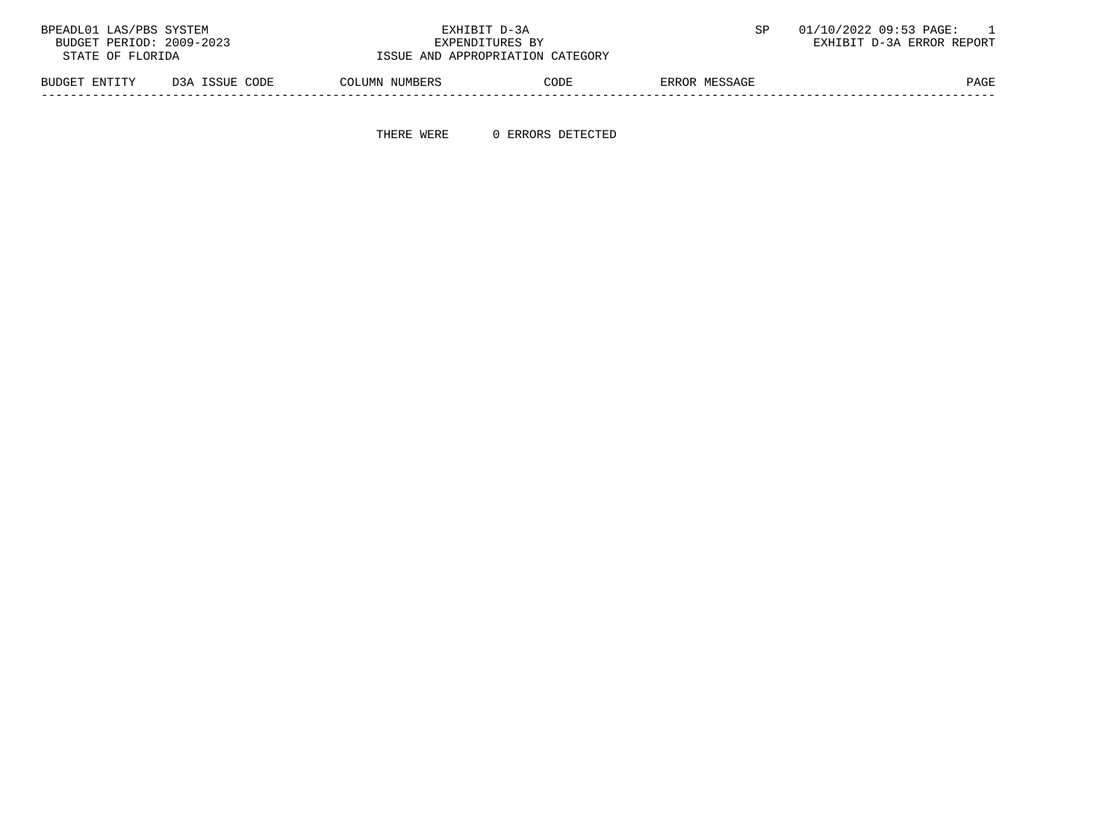| BPEADL01 LAS/PBS SYSTEM  |                | EXHIBIT D-3A    |                                  |               | 01/10/2022 09:53 PAGE:    |
|--------------------------|----------------|-----------------|----------------------------------|---------------|---------------------------|
| BUDGET PERIOD: 2009-2023 |                | EXPENDITURES BY |                                  |               | EXHIBIT D-3A ERROR REPORT |
| STATE OF FLORIDA         |                |                 | ISSUE AND APPROPRIATION CATEGORY |               |                           |
| BUDGET ENTITY            | D3A ISSUE CODE | COLUMN NUMBERS  | CODE                             | ERROR MESSAGE | PAGE                      |

-----------------------------------------------------------------------------------------------------------------------------------

THERE WERE 0 ERRORS DETECTED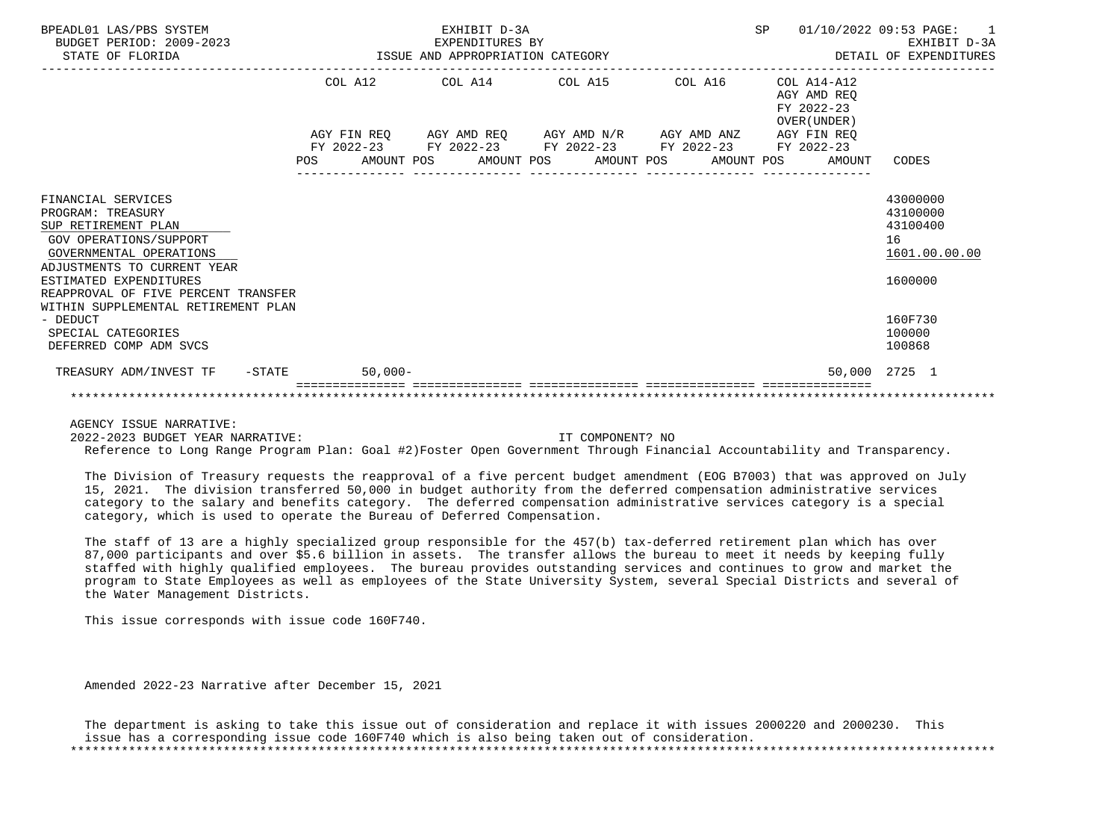| BPEADL01 LAS/PBS SYSTEM<br>BUDGET PERIOD: 2009-2023<br>STATE OF FLORIDA                                                                                                                                                                                    |  | EXHIBIT D-3A<br>EXPENDITURES BY<br>EXPENDITURES BY<br>ISSUE AND APPROPRIATION CATEGORY |                  |                                                                            | SP 01/10/2022 09:53 PAGE: 1<br>EXHIBIT D-3A<br>DETAIL OF EXPENDITURES |                                                                    |
|------------------------------------------------------------------------------------------------------------------------------------------------------------------------------------------------------------------------------------------------------------|--|----------------------------------------------------------------------------------------|------------------|----------------------------------------------------------------------------|-----------------------------------------------------------------------|--------------------------------------------------------------------|
|                                                                                                                                                                                                                                                            |  |                                                                                        |                  | COL A12 COL A14 COL A15 COL A16                                            | $COL A14- A12$<br>AGY AMD REO<br>FY 2022-23<br>OVER (UNDER)           |                                                                    |
|                                                                                                                                                                                                                                                            |  |                                                                                        |                  | AGY FIN REQ AGY AMD REQ AGY AMD N/R AGY AMD ANZ AGY FIN REQ                |                                                                       |                                                                    |
|                                                                                                                                                                                                                                                            |  |                                                                                        | ---------------- | FY 2022-23 FY 2022-23 FY 2022-23 FY 2022-23 FY 2022-23<br>________________ | POS AMOUNT POS AMOUNT POS AMOUNT POS AMOUNT POS AMOUNT CODES          |                                                                    |
| FINANCIAL SERVICES<br>PROGRAM: TREASURY<br>SUP RETIREMENT PLAN<br>GOV OPERATIONS/SUPPORT<br>GOVERNMENTAL OPERATIONS<br>ADJUSTMENTS TO CURRENT YEAR<br>ESTIMATED EXPENDITURES<br>REAPPROVAL OF FIVE PERCENT TRANSFER<br>WITHIN SUPPLEMENTAL RETIREMENT PLAN |  |                                                                                        |                  |                                                                            |                                                                       | 43000000<br>43100000<br>43100400<br>16<br>1601.00.00.00<br>1600000 |
| - DEDUCT<br>SPECIAL CATEGORIES<br>DEFERRED COMP ADM SVCS                                                                                                                                                                                                   |  |                                                                                        |                  |                                                                            |                                                                       | 160F730<br>100000<br>100868                                        |
| TREASURY ADM/INVEST TF -STATE 50,000-                                                                                                                                                                                                                      |  |                                                                                        |                  |                                                                            |                                                                       | 50,000 2725 1                                                      |
|                                                                                                                                                                                                                                                            |  |                                                                                        |                  |                                                                            |                                                                       |                                                                    |

2022-2023 BUDGET YEAR NARRATIVE: IT COMPONENT? NO

Reference to Long Range Program Plan: Goal #2)Foster Open Government Through Financial Accountability and Transparency.

 The Division of Treasury requests the reapproval of a five percent budget amendment (EOG B7003) that was approved on July 15, 2021. The division transferred 50,000 in budget authority from the deferred compensation administrative services category to the salary and benefits category. The deferred compensation administrative services category is a special category, which is used to operate the Bureau of Deferred Compensation.

 The staff of 13 are a highly specialized group responsible for the 457(b) tax-deferred retirement plan which has over 87,000 participants and over \$5.6 billion in assets. The transfer allows the bureau to meet it needs by keeping fully staffed with highly qualified employees. The bureau provides outstanding services and continues to grow and market the program to State Employees as well as employees of the State University System, several Special Districts and several of the Water Management Districts.

This issue corresponds with issue code 160F740.

Amended 2022-23 Narrative after December 15, 2021

 The department is asking to take this issue out of consideration and replace it with issues 2000220 and 2000230. This issue has a corresponding issue code 160F740 which is also being taken out of consideration. \*\*\*\*\*\*\*\*\*\*\*\*\*\*\*\*\*\*\*\*\*\*\*\*\*\*\*\*\*\*\*\*\*\*\*\*\*\*\*\*\*\*\*\*\*\*\*\*\*\*\*\*\*\*\*\*\*\*\*\*\*\*\*\*\*\*\*\*\*\*\*\*\*\*\*\*\*\*\*\*\*\*\*\*\*\*\*\*\*\*\*\*\*\*\*\*\*\*\*\*\*\*\*\*\*\*\*\*\*\*\*\*\*\*\*\*\*\*\*\*\*\*\*\*\*\*\*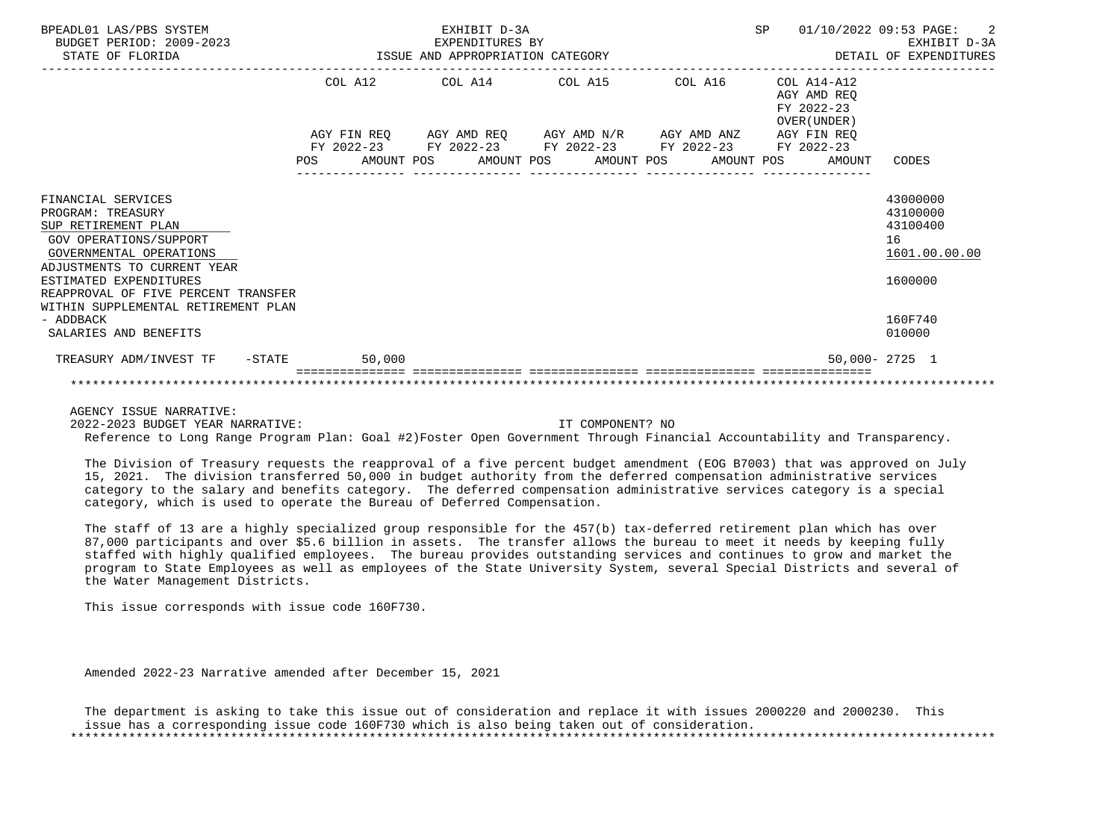| BPEADL01 LAS/PBS SYSTEM<br>BUDGET PERIOD: 2009-2023<br>STATE OF FLORIDA                                                                                   |                    | EXHIBIT D-3A<br>EXPENDITURES BY<br>ISSUE AND APPROPRIATION CATEGORY             |                                     |            | SP                                                       | 01/10/2022 09:53 PAGE:<br>$\overline{2}$<br>EXHIBIT D-3A<br>DETAIL OF EXPENDITURES |
|-----------------------------------------------------------------------------------------------------------------------------------------------------------|--------------------|---------------------------------------------------------------------------------|-------------------------------------|------------|----------------------------------------------------------|------------------------------------------------------------------------------------|
|                                                                                                                                                           | COL A12            | COL A14 COL A15                                                                 |                                     | COL A16    | COL A14-A12<br>AGY AMD REO<br>FY 2022-23<br>OVER (UNDER) |                                                                                    |
|                                                                                                                                                           | AGY FIN REO<br>POS | FY 2022-23 FY 2022-23 FY 2022-23 FY 2022-23<br>AMOUNT POS AMOUNT POS AMOUNT POS | AGY AMD REO AGY AMD N/R AGY AMD ANZ | AMOUNT POS | AGY FIN REO<br>FY 2022-23<br>AMOUNT                      | CODES                                                                              |
| FINANCIAL SERVICES<br>PROGRAM: TREASURY<br>SUP RETIREMENT PLAN<br><b>GOV OPERATIONS/SUPPORT</b><br>GOVERNMENTAL OPERATIONS<br>ADJUSTMENTS TO CURRENT YEAR |                    |                                                                                 |                                     |            |                                                          | 43000000<br>43100000<br>43100400<br>16<br>1601.00.00.00                            |
| ESTIMATED EXPENDITURES<br>REAPPROVAL OF FIVE PERCENT TRANSFER<br>WITHIN SUPPLEMENTAL RETIREMENT PLAN                                                      |                    |                                                                                 |                                     |            |                                                          | 1600000                                                                            |
| - ADDBACK<br>SALARIES AND BENEFITS                                                                                                                        |                    |                                                                                 |                                     |            |                                                          | 160F740<br>010000                                                                  |
| TREASURY ADM/INVEST TF -STATE                                                                                                                             | 50,000             |                                                                                 |                                     |            |                                                          | $50.000 - 2725$ 1                                                                  |
|                                                                                                                                                           |                    |                                                                                 |                                     |            |                                                          |                                                                                    |

2022-2023 BUDGET YEAR NARRATIVE: IT COMPONENT? NO

Reference to Long Range Program Plan: Goal #2)Foster Open Government Through Financial Accountability and Transparency.

 The Division of Treasury requests the reapproval of a five percent budget amendment (EOG B7003) that was approved on July 15, 2021. The division transferred 50,000 in budget authority from the deferred compensation administrative services category to the salary and benefits category. The deferred compensation administrative services category is a special category, which is used to operate the Bureau of Deferred Compensation.

 The staff of 13 are a highly specialized group responsible for the 457(b) tax-deferred retirement plan which has over 87,000 participants and over \$5.6 billion in assets. The transfer allows the bureau to meet it needs by keeping fully staffed with highly qualified employees. The bureau provides outstanding services and continues to grow and market the program to State Employees as well as employees of the State University System, several Special Districts and several of the Water Management Districts.

This issue corresponds with issue code 160F730.

Amended 2022-23 Narrative amended after December 15, 2021

 The department is asking to take this issue out of consideration and replace it with issues 2000220 and 2000230. This issue has a corresponding issue code 160F730 which is also being taken out of consideration. \*\*\*\*\*\*\*\*\*\*\*\*\*\*\*\*\*\*\*\*\*\*\*\*\*\*\*\*\*\*\*\*\*\*\*\*\*\*\*\*\*\*\*\*\*\*\*\*\*\*\*\*\*\*\*\*\*\*\*\*\*\*\*\*\*\*\*\*\*\*\*\*\*\*\*\*\*\*\*\*\*\*\*\*\*\*\*\*\*\*\*\*\*\*\*\*\*\*\*\*\*\*\*\*\*\*\*\*\*\*\*\*\*\*\*\*\*\*\*\*\*\*\*\*\*\*\*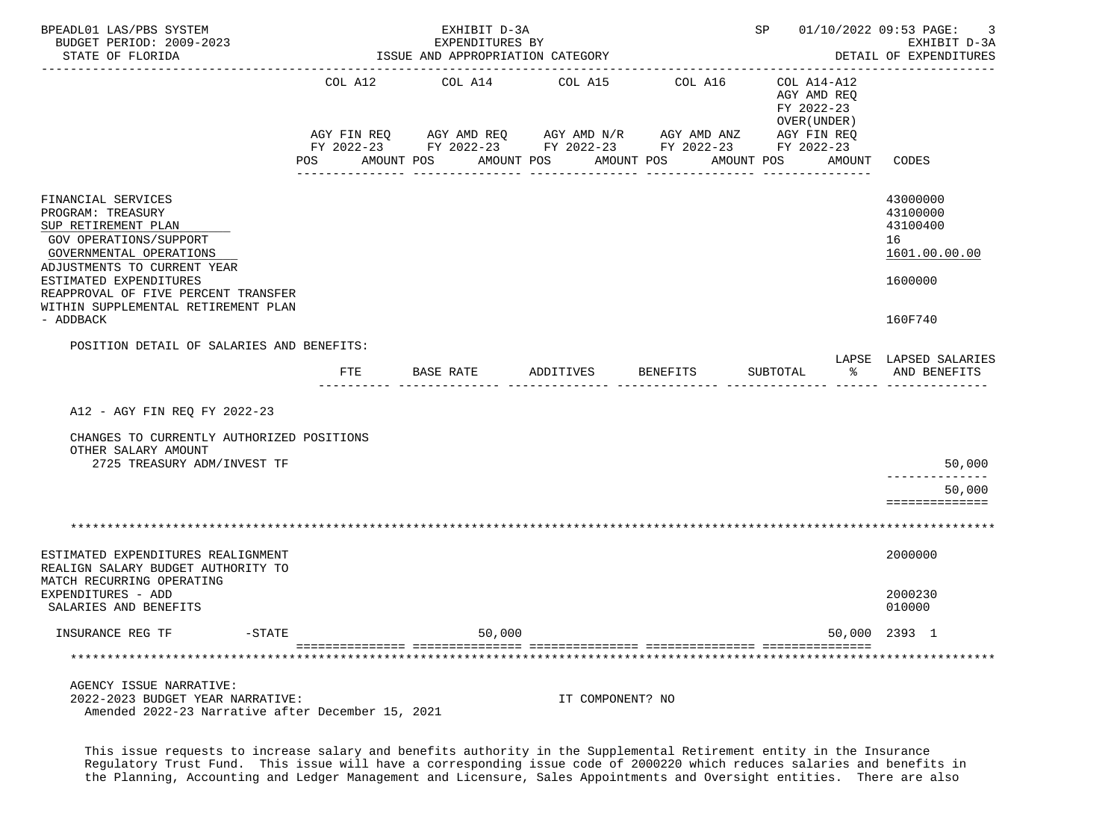| BPEADL01 LAS/PBS SYSTEM<br>BUDGET PERIOD: 2009-2023<br>STATE OF FLORIDA                                                                                                                                                                                                 |         | EXHIBIT D-3A<br>EXPENDITURES BY<br>ISSUE AND APPROPRIATION CATEGORY |                                                                                                                                                                       |            | SP 01/10/2022 09:53 PAGE: 3                              | EXHIBIT D-3A<br>DETAIL OF EXPENDITURES                                        |
|-------------------------------------------------------------------------------------------------------------------------------------------------------------------------------------------------------------------------------------------------------------------------|---------|---------------------------------------------------------------------|-----------------------------------------------------------------------------------------------------------------------------------------------------------------------|------------|----------------------------------------------------------|-------------------------------------------------------------------------------|
|                                                                                                                                                                                                                                                                         | COL A12 | COL A14 COL A15                                                     |                                                                                                                                                                       | COL A16    | COL A14-A12<br>AGY AMD REO<br>FY 2022-23<br>OVER (UNDER) |                                                                               |
|                                                                                                                                                                                                                                                                         | POS FOR | AMOUNT POS                                                          | AGY FIN REQ      AGY AMD REQ      AGY AMD N/R      AGY AMD ANZ      AGY FIN REQ<br>FY 2022-23 FY 2022-23 FY 2022-23 FY 2022-23 FY 2022-23<br>AMOUNT POS<br>AMOUNT POS | AMOUNT POS | AMOUNT CODES                                             |                                                                               |
| FINANCIAL SERVICES<br>PROGRAM: TREASURY<br>SUP RETIREMENT PLAN<br>GOV OPERATIONS/SUPPORT<br>GOVERNMENTAL OPERATIONS<br>ADJUSTMENTS TO CURRENT YEAR<br>ESTIMATED EXPENDITURES<br>REAPPROVAL OF FIVE PERCENT TRANSFER<br>WITHIN SUPPLEMENTAL RETIREMENT PLAN<br>- ADDBACK |         |                                                                     |                                                                                                                                                                       |            |                                                          | 43000000<br>43100000<br>43100400<br>16<br>1601.00.00.00<br>1600000<br>160F740 |
| POSITION DETAIL OF SALARIES AND BENEFITS:                                                                                                                                                                                                                               |         |                                                                     |                                                                                                                                                                       |            |                                                          | LAPSE LAPSED SALARIES                                                         |
|                                                                                                                                                                                                                                                                         | FTE     | BASE RATE                                                           | ADDITIVES                                                                                                                                                             | BENEFITS   | SUBTOTAL<br>$\sim$ $\sim$ $\sim$                         | AND BENEFITS                                                                  |
| A12 - AGY FIN REO FY 2022-23<br>CHANGES TO CURRENTLY AUTHORIZED POSITIONS<br>OTHER SALARY AMOUNT<br>2725 TREASURY ADM/INVEST TF                                                                                                                                         |         |                                                                     |                                                                                                                                                                       |            |                                                          | 50,000                                                                        |
|                                                                                                                                                                                                                                                                         |         |                                                                     |                                                                                                                                                                       |            |                                                          | 50,000                                                                        |
|                                                                                                                                                                                                                                                                         |         |                                                                     |                                                                                                                                                                       |            |                                                          | ==============                                                                |
|                                                                                                                                                                                                                                                                         |         |                                                                     |                                                                                                                                                                       |            |                                                          |                                                                               |
| ESTIMATED EXPENDITURES REALIGNMENT<br>REALIGN SALARY BUDGET AUTHORITY TO<br>MATCH RECURRING OPERATING                                                                                                                                                                   |         |                                                                     |                                                                                                                                                                       |            |                                                          | 2000000                                                                       |
| EXPENDITURES - ADD<br>SALARIES AND BENEFITS                                                                                                                                                                                                                             |         |                                                                     |                                                                                                                                                                       |            |                                                          | 2000230<br>010000                                                             |
| $-$ STATE<br>INSURANCE REG TF                                                                                                                                                                                                                                           |         | 50,000                                                              |                                                                                                                                                                       |            |                                                          | 50,000 2393 1                                                                 |
|                                                                                                                                                                                                                                                                         |         |                                                                     |                                                                                                                                                                       |            |                                                          |                                                                               |
| AGENCY ISSUE NARRATIVE:<br>2022-2023 BUDGET YEAR NARRATIVE:<br>Amended 2022-23 Narrative after December 15, 2021                                                                                                                                                        |         |                                                                     | IT COMPONENT? NO                                                                                                                                                      |            |                                                          |                                                                               |

This issue requests to increase salary and benefits authority in the Supplemental Retirement entity in the Insurance Regulatory Trust Fund. This issue will have a corresponding issue code of 2000220 which reduces salaries and benefits in the Planning, Accounting and Ledger Management and Licensure, Sales Appointments and Oversight entities. There are also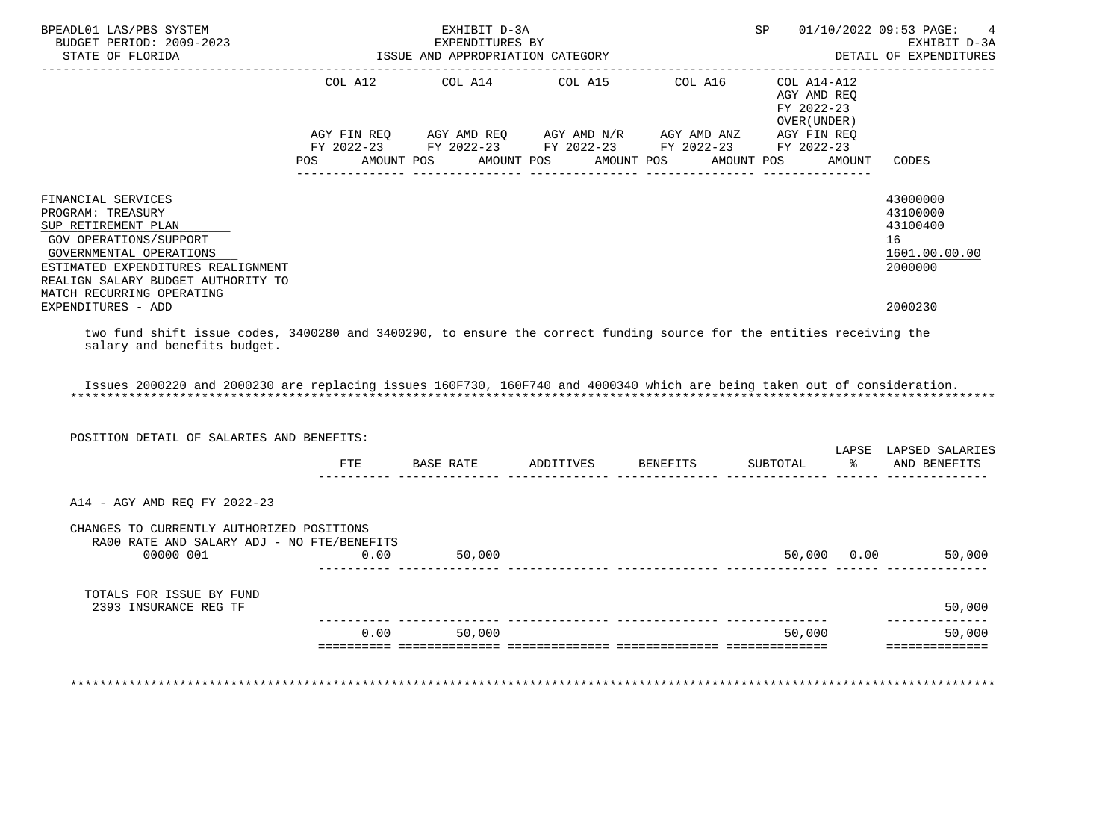| BPEADL01 LAS/PBS SYSTEM<br>BUDGET PERIOD: 2009-2023                                                                                                                                                                          |            | EXHIBIT D-3A<br>EXPENDITURES BY  |                       |                                                                                                           | SP                                                       |               | 01/10/2022 09:53 PAGE:<br>EXHIBIT D-3A                             |
|------------------------------------------------------------------------------------------------------------------------------------------------------------------------------------------------------------------------------|------------|----------------------------------|-----------------------|-----------------------------------------------------------------------------------------------------------|----------------------------------------------------------|---------------|--------------------------------------------------------------------|
| STATE OF FLORIDA                                                                                                                                                                                                             |            | ISSUE AND APPROPRIATION CATEGORY |                       |                                                                                                           |                                                          |               | DETAIL OF EXPENDITURES                                             |
|                                                                                                                                                                                                                              | COL A12    | COL A14                          | COL A15               | COL A16                                                                                                   | COL A14-A12<br>AGY AMD REO<br>FY 2022-23<br>OVER (UNDER) |               |                                                                    |
|                                                                                                                                                                                                                              | POS        | AMOUNT POS                       | AMOUNT POS AMOUNT POS | AGY FIN REQ AGY AMD REQ AGY AMD N/R AGY AMD ANZ<br>FY 2022-23 FY 2022-23 FY 2022-23 FY 2022-23 FY 2022-23 | AGY FIN REQ<br>AMOUNT POS                                | AMOUNT        | CODES                                                              |
| FINANCIAL SERVICES<br>PROGRAM: TREASURY<br>SUP RETIREMENT PLAN<br>GOV OPERATIONS/SUPPORT<br>GOVERNMENTAL OPERATIONS<br>ESTIMATED EXPENDITURES REALIGNMENT<br>REALIGN SALARY BUDGET AUTHORITY TO<br>MATCH RECURRING OPERATING |            |                                  |                       |                                                                                                           |                                                          |               | 43000000<br>43100000<br>43100400<br>16<br>1601.00.00.00<br>2000000 |
| EXPENDITURES - ADD                                                                                                                                                                                                           |            |                                  |                       |                                                                                                           |                                                          |               | 2000230                                                            |
| salary and benefits budget.<br>Issues 2000220 and 2000230 are replacing issues 160F730, 160F740 and 4000340 which are being taken out of consideration.<br>POSITION DETAIL OF SALARIES AND BENEFITS:                         |            |                                  |                       |                                                                                                           |                                                          |               | LAPSE LAPSED SALARIES                                              |
|                                                                                                                                                                                                                              | <b>FTE</b> |                                  |                       | BASE RATE ADDITIVES BENEFITS                                                                              | SUBTOTAL                                                 | $\frac{5}{6}$ | AND BENEFITS                                                       |
| A14 - AGY AMD REO FY 2022-23<br>CHANGES TO CURRENTLY AUTHORIZED POSITIONS                                                                                                                                                    |            |                                  |                       |                                                                                                           |                                                          |               |                                                                    |
| RA00 RATE AND SALARY ADJ - NO FTE/BENEFITS<br>00000 001                                                                                                                                                                      | 0.00       | 50,000                           |                       |                                                                                                           |                                                          |               | 50,000 0.00<br>50,000                                              |
| TOTALS FOR ISSUE BY FUND<br>2393 INSURANCE REG TF                                                                                                                                                                            |            |                                  |                       |                                                                                                           |                                                          |               | 50,000<br>-------------                                            |
|                                                                                                                                                                                                                              |            | 0.00<br>50,000                   |                       |                                                                                                           | 50,000                                                   |               | 50,000                                                             |
|                                                                                                                                                                                                                              |            |                                  |                       |                                                                                                           |                                                          |               | ==============                                                     |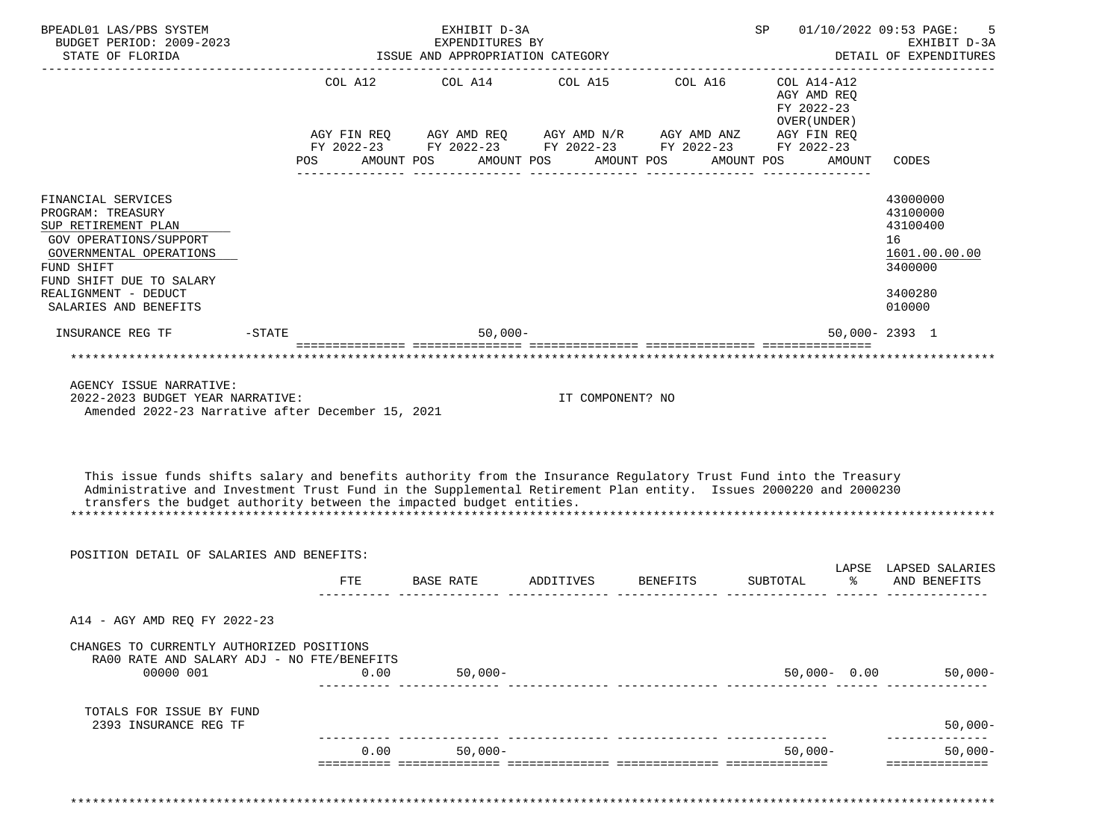| BPEADL01 LAS/PBS SYSTEM<br>BUDGET PERIOD: 2009-2023<br>STATE OF FLORIDA                                                                                                                                                                                                                                                                                 |                               | EXHIBIT D-3A<br>EXPENDITURES BY<br>ISSUE AND APPROPRIATION CATEGORY                 |                                                  |                       | SP                                                                                                  |               | 01/10/2022 09:53 PAGE:<br>EXHIBIT D-3A<br>DETAIL OF EXPENDITURES                        |
|---------------------------------------------------------------------------------------------------------------------------------------------------------------------------------------------------------------------------------------------------------------------------------------------------------------------------------------------------------|-------------------------------|-------------------------------------------------------------------------------------|--------------------------------------------------|-----------------------|-----------------------------------------------------------------------------------------------------|---------------|-----------------------------------------------------------------------------------------|
|                                                                                                                                                                                                                                                                                                                                                         | COL A12<br>AGY FIN REQ<br>POS | COL A14<br>AGY AMD REQ<br>FY 2022-23 FY 2022-23 FY 2022-23 FY 2022-23<br>AMOUNT POS | COL A15<br>AGY AMD N/R AGY AMD ANZ<br>AMOUNT POS | COL A16<br>AMOUNT POS | COL A14-A12<br>AGY AMD REQ<br>FY 2022-23<br>OVER (UNDER)<br>AGY FIN REQ<br>FY 2022-23<br>AMOUNT POS | <b>AMOUNT</b> | CODES                                                                                   |
| FINANCIAL SERVICES<br>PROGRAM: TREASURY<br>SUP RETIREMENT PLAN<br>GOV OPERATIONS/SUPPORT<br>GOVERNMENTAL OPERATIONS<br>FUND SHIFT<br>FUND SHIFT DUE TO SALARY<br>REALIGNMENT - DEDUCT<br>SALARIES AND BENEFITS                                                                                                                                          |                               |                                                                                     |                                                  |                       |                                                                                                     |               | 43000000<br>43100000<br>43100400<br>16<br>1601.00.00.00<br>3400000<br>3400280<br>010000 |
| INSURANCE REG TF                                                                                                                                                                                                                                                                                                                                        | $-$ STATE                     | $50,000-$                                                                           |                                                  |                       |                                                                                                     |               | $50.000 - 2393$ 1                                                                       |
|                                                                                                                                                                                                                                                                                                                                                         |                               | <u> soosoosoosoos soosoosoosoosa soosoosoosoosa soosoosoosoosa aseosoosoosoos</u>   |                                                  |                       |                                                                                                     |               |                                                                                         |
| AGENCY ISSUE NARRATIVE:<br>2022-2023 BUDGET YEAR NARRATIVE:<br>Amended 2022-23 Narrative after December 15, 2021<br>This issue funds shifts salary and benefits authority from the Insurance Regulatory Trust Fund into the Treasury<br>Administrative and Investment Trust Fund in the Supplemental Retirement Plan entity. Issues 2000220 and 2000230 |                               |                                                                                     | IT COMPONENT? NO                                 |                       |                                                                                                     |               |                                                                                         |
| transfers the budget authority between the impacted budget entities.                                                                                                                                                                                                                                                                                    |                               |                                                                                     |                                                  |                       |                                                                                                     |               |                                                                                         |
| POSITION DETAIL OF SALARIES AND BENEFITS:                                                                                                                                                                                                                                                                                                               |                               |                                                                                     |                                                  |                       |                                                                                                     |               |                                                                                         |
|                                                                                                                                                                                                                                                                                                                                                         | <b>FTE</b>                    | BASE RATE                                                                           | ADDITIVES                                        | <b>BENEFITS</b>       | SUBTOTAL                                                                                            | ిన            | LAPSE LAPSED SALARIES<br>AND BENEFITS                                                   |
| A14 - AGY AMD REQ FY 2022-23                                                                                                                                                                                                                                                                                                                            |                               |                                                                                     |                                                  |                       |                                                                                                     |               |                                                                                         |
| CHANGES TO CURRENTLY AUTHORIZED POSITIONS<br>RA00 RATE AND SALARY ADJ - NO FTE/BENEFITS<br>00000 001                                                                                                                                                                                                                                                    | 0.00                          | $50,000 -$                                                                          |                                                  |                       |                                                                                                     |               | $50,000 - 0.00$ 50,000-                                                                 |
| TOTALS FOR ISSUE BY FUND<br>2393 INSURANCE REG TF                                                                                                                                                                                                                                                                                                       |                               |                                                                                     |                                                  |                       |                                                                                                     |               | $50,000 -$                                                                              |
|                                                                                                                                                                                                                                                                                                                                                         |                               |                                                                                     |                                                  |                       |                                                                                                     |               |                                                                                         |
|                                                                                                                                                                                                                                                                                                                                                         |                               | $50,000-$<br>0.00                                                                   |                                                  |                       | $50,000-$                                                                                           |               | $50,000 -$<br>==============                                                            |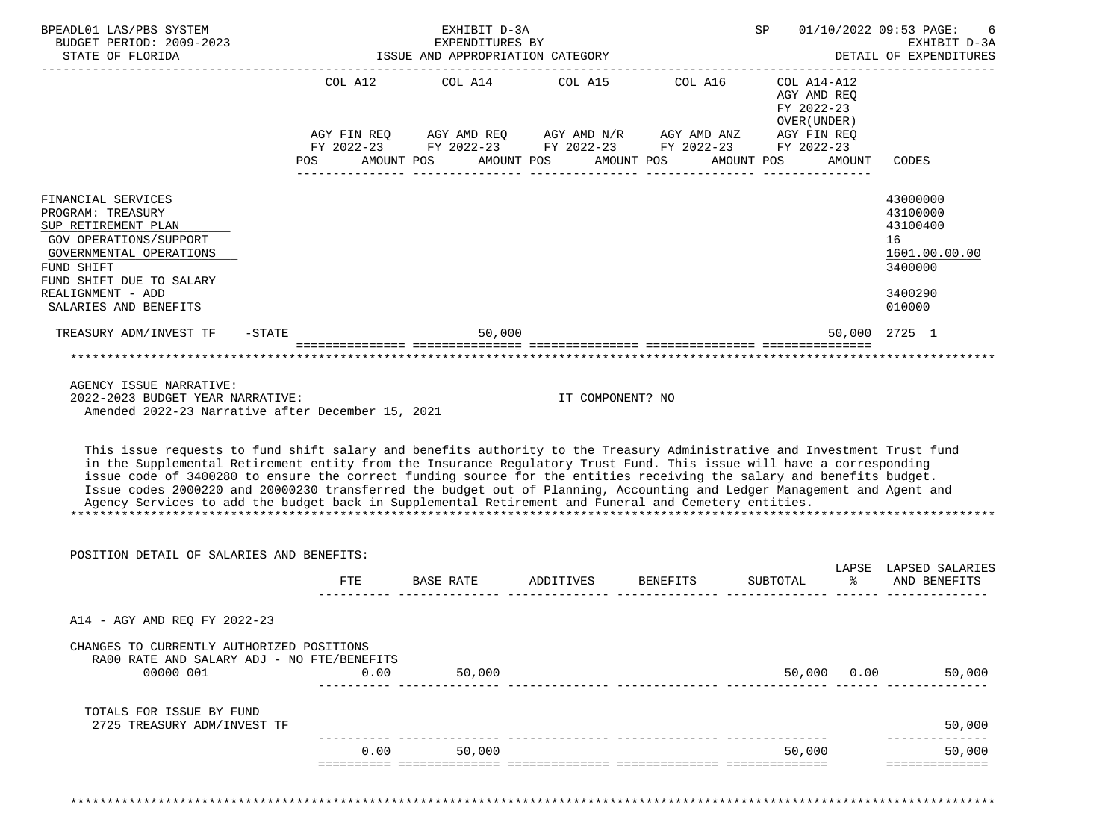| BPEADL01 LAS/PBS SYSTEM<br>BUDGET PERIOD: 2009-2023<br>STATE OF FLORIDA                                                                                                                                                                                                                                                                                                                                                                                                                                                                                                                                                                                                                                                          |                                                    | EXHIBIT D-3A<br>EXPENDITURES BY<br>ISSUE AND APPROPRIATION CATEGORY |                                    |                                                                                                                    | SP                                                                      |        | 01/10/2022 09:53 PAGE:<br>6<br>EXHIBIT D-3A<br>DETAIL OF EXPENDITURES         |
|----------------------------------------------------------------------------------------------------------------------------------------------------------------------------------------------------------------------------------------------------------------------------------------------------------------------------------------------------------------------------------------------------------------------------------------------------------------------------------------------------------------------------------------------------------------------------------------------------------------------------------------------------------------------------------------------------------------------------------|----------------------------------------------------|---------------------------------------------------------------------|------------------------------------|--------------------------------------------------------------------------------------------------------------------|-------------------------------------------------------------------------|--------|-------------------------------------------------------------------------------|
|                                                                                                                                                                                                                                                                                                                                                                                                                                                                                                                                                                                                                                                                                                                                  | COL A12<br>AGY FIN REQ<br><b>POS</b><br>AMOUNT POS | COL A14<br>AGY AMD REQ<br>AMOUNT POS                                | AMOUNT POS                         | COL A15 COL A16<br>AGY AMD N/R AGY AMD ANZ<br>FY 2022-23 FY 2022-23 FY 2022-23 FY 2022-23 FY 2022-23<br>AMOUNT POS | COL A14-A12<br>AGY AMD REQ<br>FY 2022-23<br>OVER (UNDER)<br>AGY FIN REQ | AMOUNT | CODES                                                                         |
| FINANCIAL SERVICES<br>PROGRAM: TREASURY<br>SUP RETIREMENT PLAN<br>GOV OPERATIONS/SUPPORT<br>GOVERNMENTAL OPERATIONS<br>FUND SHIFT<br>FUND SHIFT DUE TO SALARY<br>REALIGNMENT - ADD                                                                                                                                                                                                                                                                                                                                                                                                                                                                                                                                               |                                                    |                                                                     |                                    |                                                                                                                    |                                                                         |        | 43000000<br>43100000<br>43100400<br>16<br>1601.00.00.00<br>3400000<br>3400290 |
| SALARIES AND BENEFITS                                                                                                                                                                                                                                                                                                                                                                                                                                                                                                                                                                                                                                                                                                            |                                                    |                                                                     |                                    |                                                                                                                    |                                                                         |        | 010000                                                                        |
| TREASURY ADM/INVEST TF<br>$-$ STATE                                                                                                                                                                                                                                                                                                                                                                                                                                                                                                                                                                                                                                                                                              |                                                    | 50,000                                                              |                                    |                                                                                                                    |                                                                         |        | 50,000 2725 1<br>*******************************                              |
| AGENCY ISSUE NARRATIVE:<br>2022-2023 BUDGET YEAR NARRATIVE:<br>Amended 2022-23 Narrative after December 15, 2021<br>This issue requests to fund shift salary and benefits authority to the Treasury Administrative and Investment Trust fund<br>in the Supplemental Retirement entity from the Insurance Regulatory Trust Fund. This issue will have a corresponding<br>issue code of 3400280 to ensure the correct funding source for the entities receiving the salary and benefits budget.<br>Issue codes 2000220 and 20000230 transferred the budget out of Planning, Accounting and Ledger Management and Agent and<br>Agency Services to add the budget back in Supplemental Retirement and Funeral and Cemetery entities. |                                                    |                                                                     | IT COMPONENT? NO                   |                                                                                                                    |                                                                         |        |                                                                               |
| POSITION DETAIL OF SALARIES AND BENEFITS:                                                                                                                                                                                                                                                                                                                                                                                                                                                                                                                                                                                                                                                                                        |                                                    |                                                                     |                                    |                                                                                                                    |                                                                         |        | LAPSE LAPSED SALARIES                                                         |
|                                                                                                                                                                                                                                                                                                                                                                                                                                                                                                                                                                                                                                                                                                                                  | <b>FTE</b>                                         | BASE RATE                                                           | ADDITIVES                          | <b>BENEFITS</b>                                                                                                    | SUBTOTAL                                                                | ⊱      | AND BENEFITS                                                                  |
| A14 - AGY AMD REQ FY 2022-23                                                                                                                                                                                                                                                                                                                                                                                                                                                                                                                                                                                                                                                                                                     |                                                    |                                                                     |                                    |                                                                                                                    |                                                                         |        |                                                                               |
| CHANGES TO CURRENTLY AUTHORIZED POSITIONS<br>RA00 RATE AND SALARY ADJ - NO FTE/BENEFITS<br>00000 001                                                                                                                                                                                                                                                                                                                                                                                                                                                                                                                                                                                                                             | 0.00                                               | 50,000                                                              |                                    |                                                                                                                    | 50,000                                                                  | 0.00   | 50,000                                                                        |
| TOTALS FOR ISSUE BY FUND<br>2725 TREASURY ADM/INVEST TF                                                                                                                                                                                                                                                                                                                                                                                                                                                                                                                                                                                                                                                                          |                                                    |                                                                     |                                    |                                                                                                                    |                                                                         |        | 50,000                                                                        |
|                                                                                                                                                                                                                                                                                                                                                                                                                                                                                                                                                                                                                                                                                                                                  | 0.00                                               | 50,000                                                              | <u>u dia dia dia dia dia dia 4</u> |                                                                                                                    | 50,000                                                                  |        | 50,000<br>==============                                                      |

\*\*\*\*\*\*\*\*\*\*\*\*\*\*\*\*\*\*\*\*\*\*\*\*\*\*\*\*\*\*\*\*\*\*\*\*\*\*\*\*\*\*\*\*\*\*\*\*\*\*\*\*\*\*\*\*\*\*\*\*\*\*\*\*\*\*\*\*\*\*\*\*\*\*\*\*\*\*\*\*\*\*\*\*\*\*\*\*\*\*\*\*\*\*\*\*\*\*\*\*\*\*\*\*\*\*\*\*\*\*\*\*\*\*\*\*\*\*\*\*\*\*\*\*\*\*\*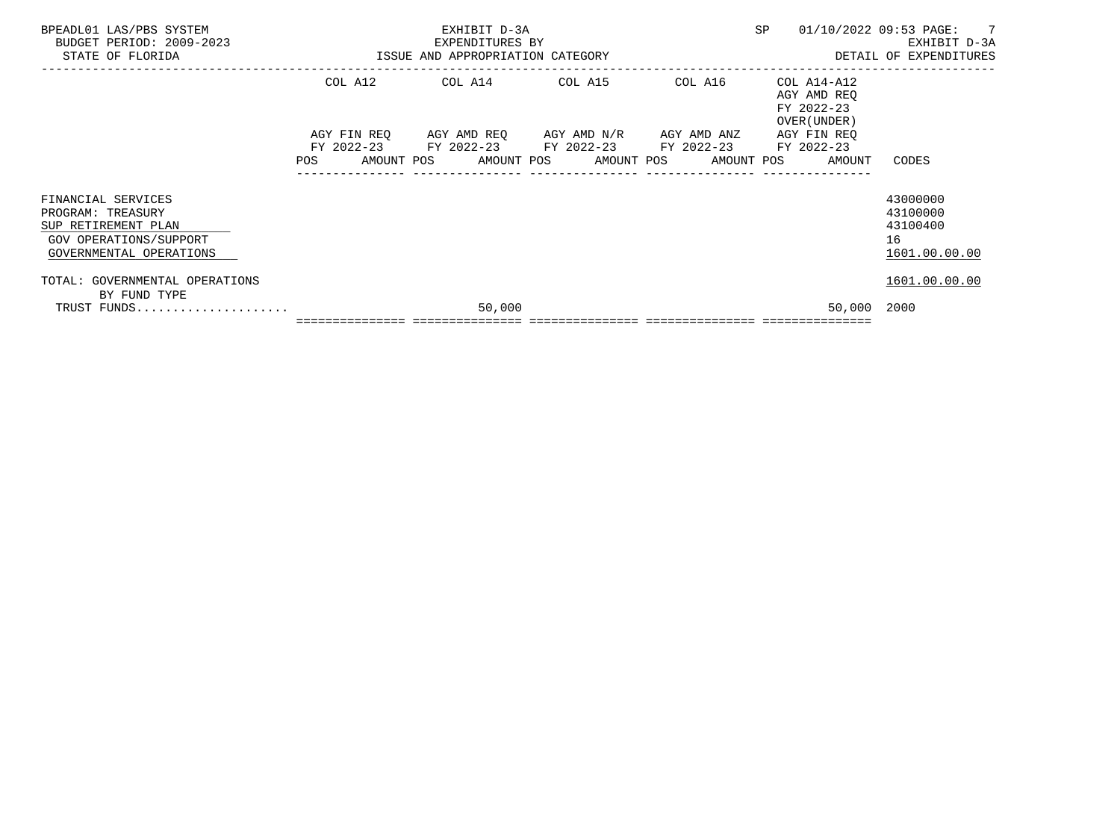| BPEADL01 LAS/PBS SYSTEM<br>BUDGET PERIOD: 2009-2023<br>STATE OF FLORIDA                                             |     | EXHIBIT D-3A<br>EXPENDITURES BY<br>ISSUE AND APPROPRIATION CATEGORY |  |        |  |                                                                                                                                               |  | SP      |  | 01/10/2022 09:53 PAGE: 7<br>EXHIBIT D-3A<br>DETAIL OF EXPENDITURES |                                                         |
|---------------------------------------------------------------------------------------------------------------------|-----|---------------------------------------------------------------------|--|--------|--|-----------------------------------------------------------------------------------------------------------------------------------------------|--|---------|--|--------------------------------------------------------------------|---------------------------------------------------------|
|                                                                                                                     |     | COL A12                                                             |  |        |  | COL A14 COL A15                                                                                                                               |  | COL A16 |  | COL A14-A12<br>AGY AMD REO<br>FY 2022-23<br>OVER (UNDER)           |                                                         |
|                                                                                                                     | POS |                                                                     |  |        |  | AGY FIN REO AGY AMD REO AGY AMD N/R AGY AMD ANZ<br>FY 2022-23 FY 2022-23 FY 2022-23 FY 2022-23<br>AMOUNT POS AMOUNT POS AMOUNT POS AMOUNT POS |  |         |  | AGY FIN REO<br>FY 2022-23<br>AMOUNT                                | CODES                                                   |
| FINANCIAL SERVICES<br>PROGRAM: TREASURY<br>SUP RETIREMENT PLAN<br>GOV OPERATIONS/SUPPORT<br>GOVERNMENTAL OPERATIONS |     |                                                                     |  |        |  |                                                                                                                                               |  |         |  |                                                                    | 43000000<br>43100000<br>43100400<br>16<br>1601.00.00.00 |
| TOTAL: GOVERNMENTAL OPERATIONS<br>BY FUND TYPE<br>TRUST FUNDS                                                       |     |                                                                     |  | 50,000 |  |                                                                                                                                               |  |         |  | 50,000 2000                                                        | 1601.00.00.00                                           |
|                                                                                                                     |     |                                                                     |  |        |  |                                                                                                                                               |  |         |  |                                                                    |                                                         |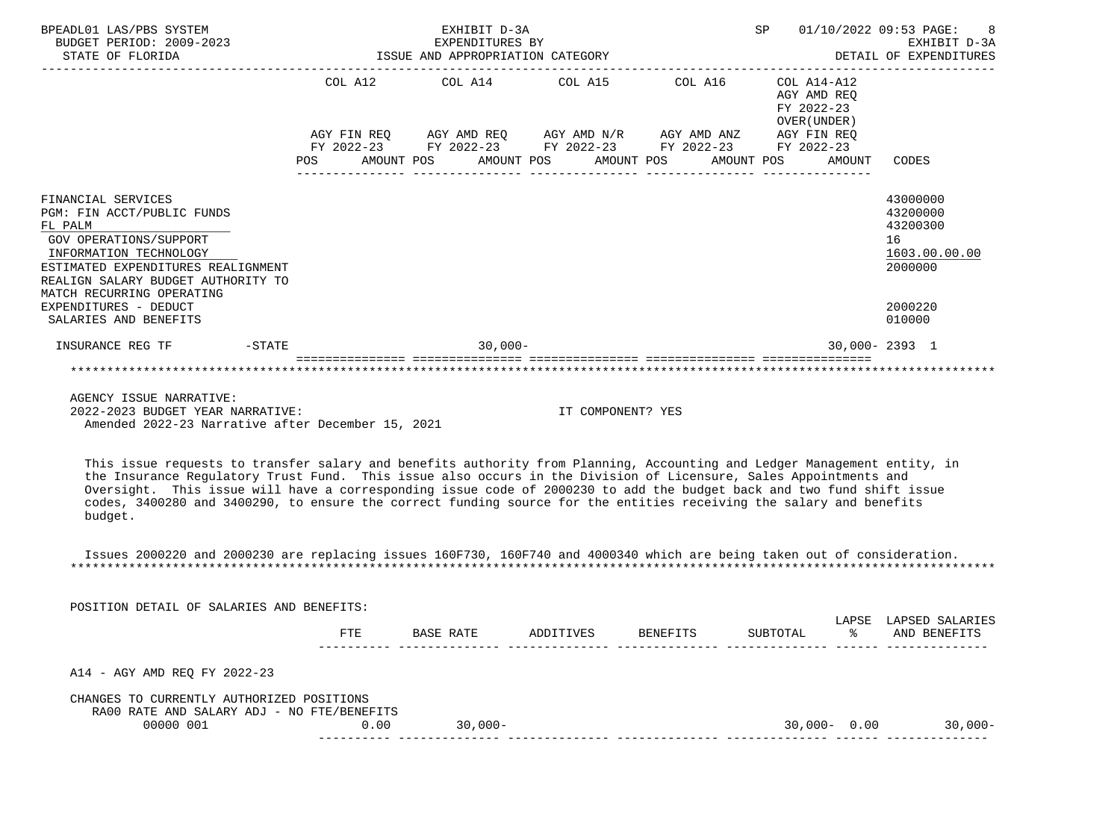| BPEADL01 LAS/PBS SYSTEM<br>BUDGET PERIOD: 2009-2023<br>STATE OF FLORIDA                                                                                                                                                  | EXPENDITURES BY<br>ISSUE AND APPROPRIATION CATEGORY | EXHIBIT D-3A<br>EXPENDITURES BY                                                                                                                          |                                   | SP                                                       | 8<br>01/10/2022 09:53 PAGE:<br>EXHIBIT D-3A<br>DETAIL OF EXPENDITURES |
|--------------------------------------------------------------------------------------------------------------------------------------------------------------------------------------------------------------------------|-----------------------------------------------------|----------------------------------------------------------------------------------------------------------------------------------------------------------|-----------------------------------|----------------------------------------------------------|-----------------------------------------------------------------------|
|                                                                                                                                                                                                                          |                                                     | COL A12 COL A14 COL A15 COL A16                                                                                                                          |                                   | COL A14-A12<br>AGY AMD REO<br>FY 2022-23<br>OVER (UNDER) |                                                                       |
|                                                                                                                                                                                                                          | POS                                                 | AGY FIN REQ AGY AMD REQ AGY AMD N/R AGY AMD ANZ<br>FY 2022-23 FY 2022-23 FY 2022-23 FY 2022-23 FY 2022-23<br>AMOUNT POS AMOUNT POS AMOUNT POS AMOUNT POS |                                   | AGY FIN REO<br>AMOUNT                                    | CODES                                                                 |
| FINANCIAL SERVICES<br>PGM: FIN ACCT/PUBLIC FUNDS<br>FL PALM<br>GOV OPERATIONS/SUPPORT<br>INFORMATION TECHNOLOGY<br>ESTIMATED EXPENDITURES REALIGNMENT<br>REALIGN SALARY BUDGET AUTHORITY TO<br>MATCH RECURRING OPERATING |                                                     |                                                                                                                                                          |                                   |                                                          | 43000000<br>43200000<br>43200300<br>16<br>1603.00.00.00<br>2000000    |
| EXPENDITURES - DEDUCT<br>SALARIES AND BENEFITS                                                                                                                                                                           |                                                     |                                                                                                                                                          |                                   |                                                          | 2000220<br>010000                                                     |
| $-STATE$<br>INSURANCE REG TF                                                                                                                                                                                             |                                                     | $30,000-$                                                                                                                                                |                                   |                                                          | $30.000 - 2393$ 1                                                     |
|                                                                                                                                                                                                                          |                                                     |                                                                                                                                                          | ---------------- ---------------- |                                                          |                                                                       |

 AGENCY ISSUE NARRATIVE: 2022-2023 BUDGET YEAR NARRATIVE: IT COMPONENT? YES Amended 2022-23 Narrative after December 15, 2021

 This issue requests to transfer salary and benefits authority from Planning, Accounting and Ledger Management entity, in the Insurance Regulatory Trust Fund. This issue also occurs in the Division of Licensure, Sales Appointments and Oversight. This issue will have a corresponding issue code of 2000230 to add the budget back and two fund shift issue codes, 3400280 and 3400290, to ensure the correct funding source for the entities receiving the salary and benefits budget.

 Issues 2000220 and 2000230 are replacing issues 160F730, 160F740 and 4000340 which are being taken out of consideration. \*\*\*\*\*\*\*\*\*\*\*\*\*\*\*\*\*\*\*\*\*\*\*\*\*\*\*\*\*\*\*\*\*\*\*\*\*\*\*\*\*\*\*\*\*\*\*\*\*\*\*\*\*\*\*\*\*\*\*\*\*\*\*\*\*\*\*\*\*\*\*\*\*\*\*\*\*\*\*\*\*\*\*\*\*\*\*\*\*\*\*\*\*\*\*\*\*\*\*\*\*\*\*\*\*\*\*\*\*\*\*\*\*\*\*\*\*\*\*\*\*\*\*\*\*\*\*

| POSITION DETAIL OF SALARIES AND BENEFITS:                                               |            |           |           |          |                 |             |                                 |
|-----------------------------------------------------------------------------------------|------------|-----------|-----------|----------|-----------------|-------------|---------------------------------|
|                                                                                         | <b>FTE</b> | BASE RATE | ADDITIVES | BENEFITS | SUBTOTAL        | LAPSE<br>°≈ | LAPSED SALARIES<br>AND BENEFITS |
| A14 - AGY AMD REO FY 2022-23                                                            |            |           |           |          |                 |             |                                 |
| CHANGES TO CURRENTLY AUTHORIZED POSITIONS<br>RA00 RATE AND SALARY ADJ - NO FTE/BENEFITS |            |           |           |          |                 |             |                                 |
| 00000 001                                                                               | 0.00       | $30,000-$ |           |          | $30,000 - 0.00$ |             | $30,000-$                       |
|                                                                                         |            |           |           |          |                 |             |                                 |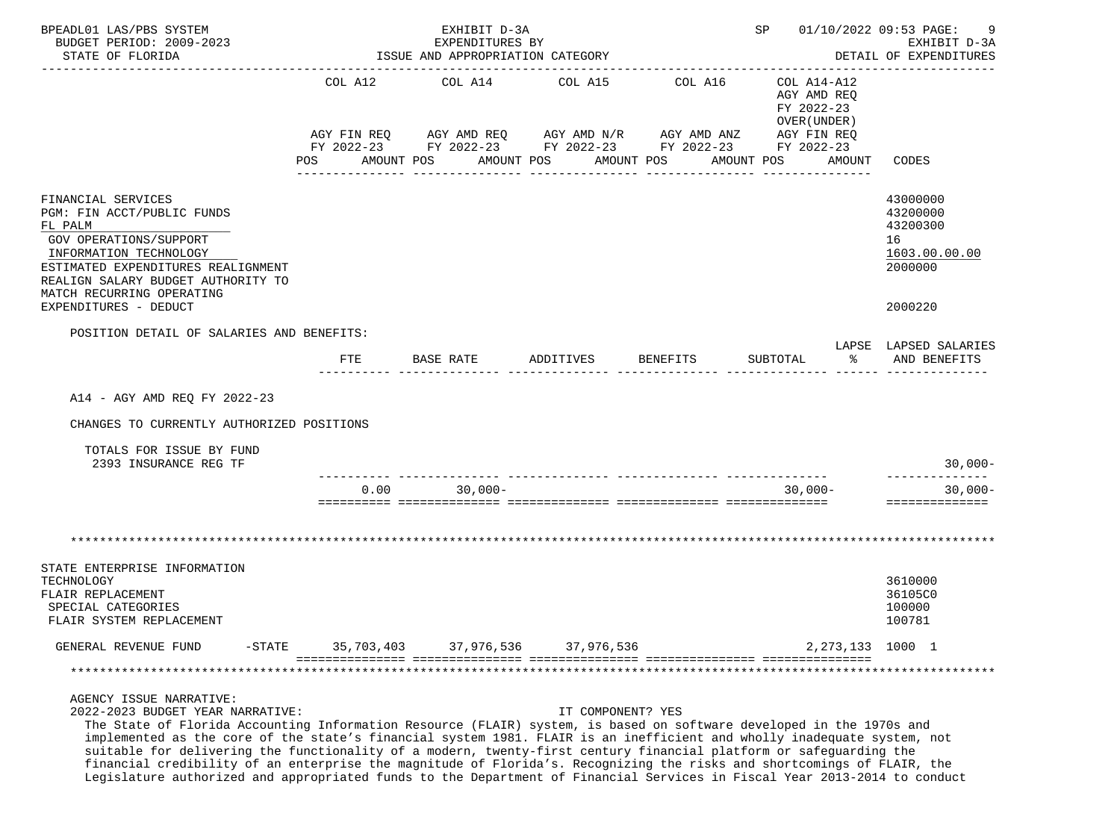| BPEADL01 LAS/PBS SYSTEM<br>BUDGET PERIOD: 2009-2023<br>STATE OF FLORIDA                                                                                                                                                                                                                                                                                                                                                              |                | EXHIBIT D-3A<br>EXPENDITURES BY<br>ISSUE AND APPROPRIATION CATEGORY |                                                                                                                                                                  |          | SP 01/10/2022 09:53 PAGE:                                                                       | -9<br>EXHIBIT D-3A<br>DETAIL OF EXPENDITURES                                  |
|--------------------------------------------------------------------------------------------------------------------------------------------------------------------------------------------------------------------------------------------------------------------------------------------------------------------------------------------------------------------------------------------------------------------------------------|----------------|---------------------------------------------------------------------|------------------------------------------------------------------------------------------------------------------------------------------------------------------|----------|-------------------------------------------------------------------------------------------------|-------------------------------------------------------------------------------|
|                                                                                                                                                                                                                                                                                                                                                                                                                                      | COL A12<br>POS | COL A14<br>AMOUNT POS                                               | COL A15<br>AGY FIN REQ AGY AMD REQ AGY AMD N/R AGY AMD ANZ<br>FY 2022-23 FY 2022-23 FY 2022-23 FY 2022-23 FY 2022-23<br>AMOUNT POS<br>AMOUNT POS<br>____________ | COL A16  | COL A14-A12<br>AGY AMD REQ<br>FY 2022-23<br>OVER (UNDER)<br>AGY FIN REQ<br>AMOUNT POS<br>AMOUNT | CODES                                                                         |
| FINANCIAL SERVICES<br>PGM: FIN ACCT/PUBLIC FUNDS<br>FL PALM<br>GOV OPERATIONS/SUPPORT<br>INFORMATION TECHNOLOGY<br>ESTIMATED EXPENDITURES REALIGNMENT<br>REALIGN SALARY BUDGET AUTHORITY TO<br>MATCH RECURRING OPERATING<br>EXPENDITURES - DEDUCT                                                                                                                                                                                    |                |                                                                     |                                                                                                                                                                  |          |                                                                                                 | 43000000<br>43200000<br>43200300<br>16<br>1603.00.00.00<br>2000000<br>2000220 |
| POSITION DETAIL OF SALARIES AND BENEFITS:                                                                                                                                                                                                                                                                                                                                                                                            | $_{\rm FTE}$   | BASE RATE                                                           | ADDITIVES                                                                                                                                                        | BENEFITS | SUBTOTAL<br>$\frac{1}{6}$                                                                       | LAPSE LAPSED SALARIES<br>AND BENEFITS                                         |
| A14 - AGY AMD REQ FY 2022-23<br>CHANGES TO CURRENTLY AUTHORIZED POSITIONS<br>TOTALS FOR ISSUE BY FUND<br>2393 INSURANCE REG TF                                                                                                                                                                                                                                                                                                       |                |                                                                     |                                                                                                                                                                  |          |                                                                                                 | $30,000-$<br>--------------                                                   |
|                                                                                                                                                                                                                                                                                                                                                                                                                                      | 0.00           | $30,000 -$                                                          |                                                                                                                                                                  |          | $30,000-$                                                                                       | $30,000 -$<br>==============                                                  |
|                                                                                                                                                                                                                                                                                                                                                                                                                                      |                |                                                                     |                                                                                                                                                                  |          |                                                                                                 |                                                                               |
| STATE ENTERPRISE INFORMATION<br>TECHNOLOGY<br>FLAIR REPLACEMENT<br>SPECIAL CATEGORIES<br>FLAIR SYSTEM REPLACEMENT                                                                                                                                                                                                                                                                                                                    |                |                                                                     |                                                                                                                                                                  |          |                                                                                                 | 3610000<br>36105C0<br>100000<br>100781                                        |
| GENERAL REVENUE FUND<br>$-$ STATE                                                                                                                                                                                                                                                                                                                                                                                                    | 35,703,403     | 37,976,536                                                          | 37,976,536                                                                                                                                                       |          | 2, 273, 133 1000 1                                                                              |                                                                               |
|                                                                                                                                                                                                                                                                                                                                                                                                                                      |                |                                                                     |                                                                                                                                                                  |          |                                                                                                 |                                                                               |
| AGENCY ISSUE NARRATIVE:<br>2022-2023 BUDGET YEAR NARRATIVE:<br>The State of Florida Accounting Information Resource (FLAIR) system, is based on software developed in the 1970s and<br>implemented as the core of the state's financial system 1981. FLAIR is an inefficient and wholly inadequate system, not<br>suitable for delivering the functionality of a modern, twenty-first century financial platform or safeguarding the |                |                                                                     | IT COMPONENT? YES                                                                                                                                                |          |                                                                                                 |                                                                               |

financial credibility of an enterprise the magnitude of Florida's. Recognizing the risks and shortcomings of FLAIR, the

Legislature authorized and appropriated funds to the Department of Financial Services in Fiscal Year 2013-2014 to conduct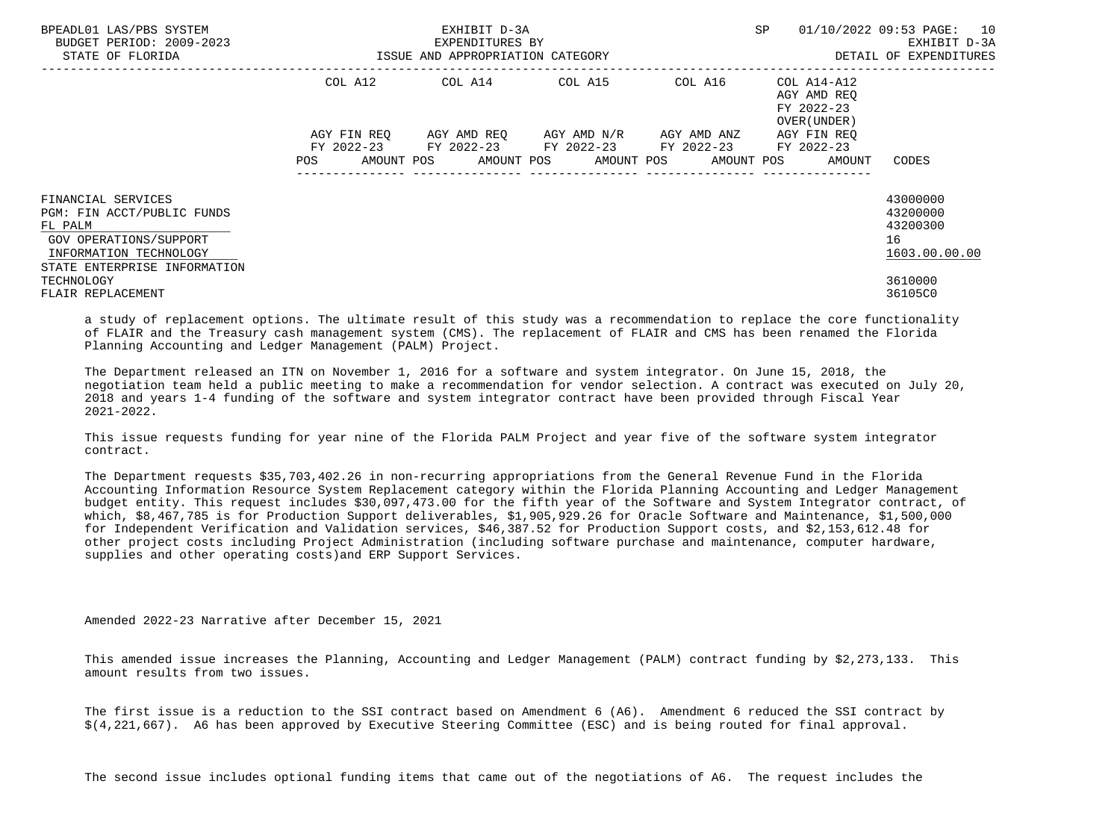| BPEADL01 LAS/PBS SYSTEM<br>BUDGET PERIOD: 2009-2023<br>STATE OF FLORIDA          | ISSUE AND APPROPRIATION CATEGORY | EXHIBIT D-3A<br>EXPENDITURES BY                        |                                                 | SP      | 01/10/2022 09:53 PAGE: 10<br>EXHIBIT D-3A<br>DETAIL OF EXPENDITURES   |                                  |
|----------------------------------------------------------------------------------|----------------------------------|--------------------------------------------------------|-------------------------------------------------|---------|-----------------------------------------------------------------------|----------------------------------|
|                                                                                  | COL A12                          | COL A14 COL A15                                        |                                                 | COL A16 | COL A14-A12<br>AGY AMD REO<br>FY 2022-23<br>OVER (UNDER)              |                                  |
|                                                                                  | AGY FIN REO                      | FY 2022-23 FY 2022-23 FY 2022-23 FY 2022-23 FY 2022-23 | AGY AMD REQ       AGY AMD N/R       AGY AMD ANZ |         | AGY FIN REO<br>POS AMOUNT POS AMOUNT POS AMOUNT POS AMOUNT POS AMOUNT | CODES                            |
| FINANCIAL SERVICES<br>PGM: FIN ACCT/PUBLIC FUNDS<br>FL PALM                      |                                  |                                                        |                                                 |         |                                                                       | 43000000<br>43200000<br>43200300 |
| GOV OPERATIONS/SUPPORT<br>INFORMATION TECHNOLOGY<br>STATE ENTERPRISE INFORMATION |                                  |                                                        |                                                 |         |                                                                       | 16<br>1603.00.00.00              |
| TECHNOLOGY<br>FLAIR REPLACEMENT                                                  |                                  |                                                        |                                                 |         |                                                                       | 3610000<br>36105C0               |

 a study of replacement options. The ultimate result of this study was a recommendation to replace the core functionality of FLAIR and the Treasury cash management system (CMS). The replacement of FLAIR and CMS has been renamed the Florida Planning Accounting and Ledger Management (PALM) Project.

 The Department released an ITN on November 1, 2016 for a software and system integrator. On June 15, 2018, the negotiation team held a public meeting to make a recommendation for vendor selection. A contract was executed on July 20, 2018 and years 1-4 funding of the software and system integrator contract have been provided through Fiscal Year 2021-2022.

 This issue requests funding for year nine of the Florida PALM Project and year five of the software system integrator contract.

 The Department requests \$35,703,402.26 in non-recurring appropriations from the General Revenue Fund in the Florida Accounting Information Resource System Replacement category within the Florida Planning Accounting and Ledger Management budget entity. This request includes \$30,097,473.00 for the fifth year of the Software and System Integrator contract, of which, \$8,467,785 is for Production Support deliverables, \$1,905,929.26 for Oracle Software and Maintenance, \$1,500,000 for Independent Verification and Validation services, \$46,387.52 for Production Support costs, and \$2,153,612.48 for other project costs including Project Administration (including software purchase and maintenance, computer hardware, supplies and other operating costs)and ERP Support Services.

Amended 2022-23 Narrative after December 15, 2021

 This amended issue increases the Planning, Accounting and Ledger Management (PALM) contract funding by \$2,273,133. This amount results from two issues.

 The first issue is a reduction to the SSI contract based on Amendment 6 (A6). Amendment 6 reduced the SSI contract by \$(4,221,667). A6 has been approved by Executive Steering Committee (ESC) and is being routed for final approval.

The second issue includes optional funding items that came out of the negotiations of A6. The request includes the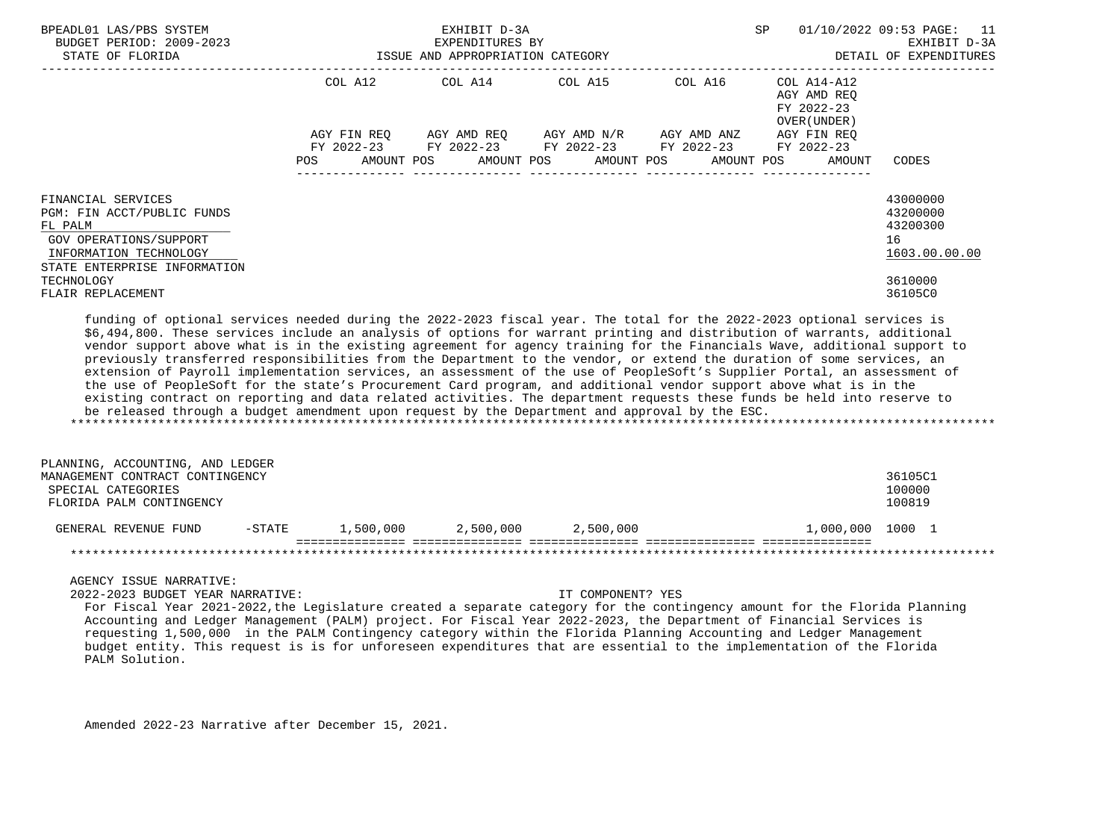| BPEADL01 LAS/PBS SYSTEM<br>BUDGET PERIOD: 2009-2023<br>STATE OF FLORIDA                                                                         | ISSUE AND APPROPRIATION CATEGORY | EXHIBIT D-3A<br>EXPENDITURES BY                        | SP                                  | 01/10/2022 09:53 PAGE: 11<br>EXHIBIT D-3A<br>DETAIL OF EXPENDITURES |                                                                   |                                                         |
|-------------------------------------------------------------------------------------------------------------------------------------------------|----------------------------------|--------------------------------------------------------|-------------------------------------|---------------------------------------------------------------------|-------------------------------------------------------------------|---------------------------------------------------------|
|                                                                                                                                                 |                                  | COL A12 COL A14 COL A15                                |                                     | ---------------------------------<br>COL A16                        | COL A14-A12<br>AGY AMD REO<br>FY 2022-23<br>OVER (UNDER)          |                                                         |
|                                                                                                                                                 | AGY FIN REO<br><b>POS</b>        | FY 2022-23 FY 2022-23 FY 2022-23 FY 2022-23 FY 2022-23 | AGY AMD REQ AGY AMD N/R AGY AMD ANZ |                                                                     | AGY FIN REO<br>AMOUNT POS AMOUNT POS AMOUNT POS AMOUNT POS AMOUNT | CODES                                                   |
| FINANCIAL SERVICES<br>PGM: FIN ACCT/PUBLIC FUNDS<br>FL PALM<br>GOV OPERATIONS/SUPPORT<br>INFORMATION TECHNOLOGY<br>STATE ENTERPRISE INFORMATION |                                  |                                                        |                                     |                                                                     |                                                                   | 43000000<br>43200000<br>43200300<br>16<br>1603.00.00.00 |
| TECHNOLOGY<br>FLAIR REPLACEMENT                                                                                                                 |                                  |                                                        |                                     |                                                                     |                                                                   | 3610000<br>36105C0                                      |

 funding of optional services needed during the 2022-2023 fiscal year. The total for the 2022-2023 optional services is \$6,494,800. These services include an analysis of options for warrant printing and distribution of warrants, additional vendor support above what is in the existing agreement for agency training for the Financials Wave, additional support to previously transferred responsibilities from the Department to the vendor, or extend the duration of some services, an extension of Payroll implementation services, an assessment of the use of PeopleSoft's Supplier Portal, an assessment of the use of PeopleSoft for the state's Procurement Card program, and additional vendor support above what is in the existing contract on reporting and data related activities. The department requests these funds be held into reserve to be released through a budget amendment upon request by the Department and approval by the ESC. \*\*\*\*\*\*\*\*\*\*\*\*\*\*\*\*\*\*\*\*\*\*\*\*\*\*\*\*\*\*\*\*\*\*\*\*\*\*\*\*\*\*\*\*\*\*\*\*\*\*\*\*\*\*\*\*\*\*\*\*\*\*\*\*\*\*\*\*\*\*\*\*\*\*\*\*\*\*\*\*\*\*\*\*\*\*\*\*\*\*\*\*\*\*\*\*\*\*\*\*\*\*\*\*\*\*\*\*\*\*\*\*\*\*\*\*\*\*\*\*\*\*\*\*\*\*\*

| PLANNING, ACCOUNTING, AND LEDGER |          |           |           |           |                  |         |
|----------------------------------|----------|-----------|-----------|-----------|------------------|---------|
| MANAGEMENT CONTRACT CONTINGENCY  |          |           |           |           |                  | 36105C1 |
| SPECIAL CATEGORIES               |          |           |           |           |                  | 100000  |
| FLORIDA PALM CONTINGENCY         |          |           |           |           |                  | 100819  |
| GENERAL REVENUE FUND             | $-STATE$ | 1,500,000 | 2,500,000 | 2,500,000 | 1,000,000 1000 1 |         |
|                                  |          |           |           |           |                  |         |

AGENCY ISSUE NARRATIVE:

2022-2023 BUDGET YEAR NARRATIVE: IT COMPONENT? YES

 For Fiscal Year 2021-2022,the Legislature created a separate category for the contingency amount for the Florida Planning Accounting and Ledger Management (PALM) project. For Fiscal Year 2022-2023, the Department of Financial Services is requesting 1,500,000 in the PALM Contingency category within the Florida Planning Accounting and Ledger Management budget entity. This request is is for unforeseen expenditures that are essential to the implementation of the Florida PALM Solution.

Amended 2022-23 Narrative after December 15, 2021.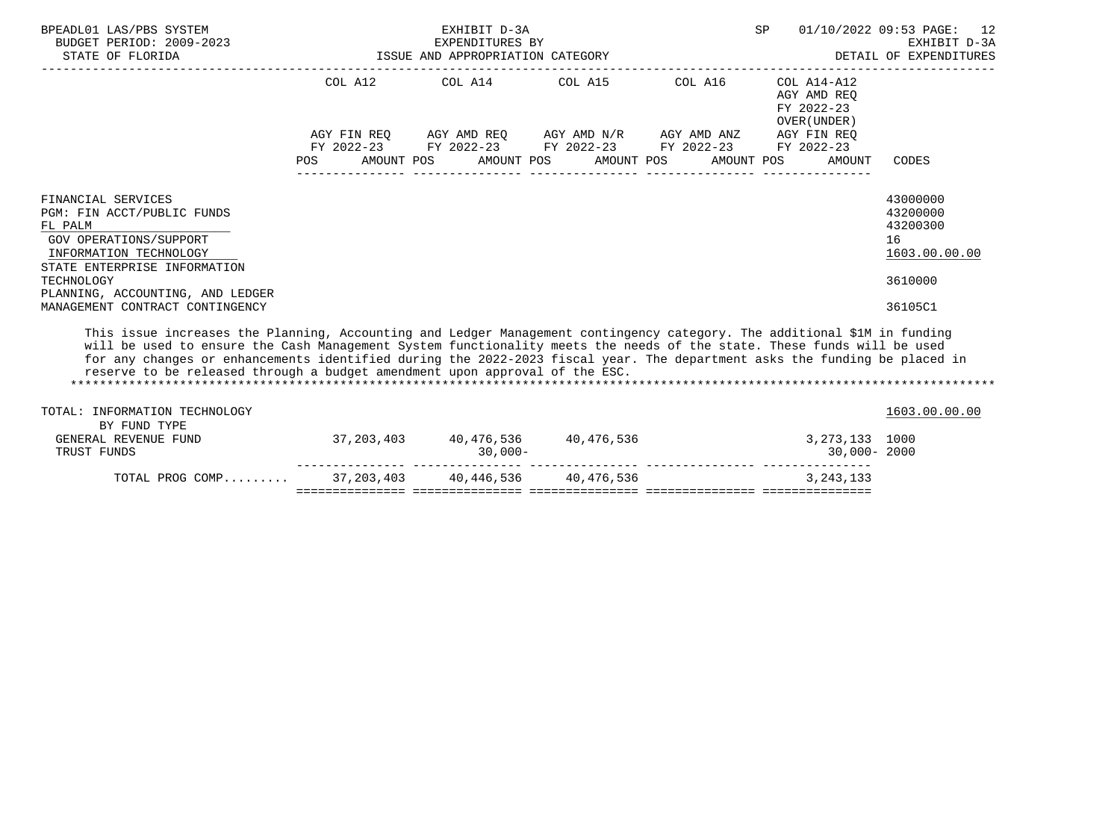| BPEADL01 LAS/PBS SYSTEM<br>BUDGET PERIOD: 2009-2023<br>ISSUE AND APPROPRIATION CATEGORY<br>STATE OF FLORIDA                                                                                                                                                                                                                                                                     |            |  | EXHIBIT D-3A<br>EXPENDITURES BY |                                                                                                       |         | SP. |                                                          | 01/10/2022 09:53 PAGE: 12<br>EXHIBIT D-3A<br>DETAIL OF EXPENDITURES |
|---------------------------------------------------------------------------------------------------------------------------------------------------------------------------------------------------------------------------------------------------------------------------------------------------------------------------------------------------------------------------------|------------|--|---------------------------------|-------------------------------------------------------------------------------------------------------|---------|-----|----------------------------------------------------------|---------------------------------------------------------------------|
|                                                                                                                                                                                                                                                                                                                                                                                 |            |  |                                 | COL A12 COL A14 COL A15                                                                               | COL A16 |     | COL A14-A12<br>AGY AMD REO<br>FY 2022-23<br>OVER (UNDER) |                                                                     |
|                                                                                                                                                                                                                                                                                                                                                                                 |            |  |                                 | AGY FIN REQ 6 AGY AMD REQ 6 AGY AMD N/R 6 AGY AMD ANZ                                                 |         |     | AGY FIN REO                                              |                                                                     |
|                                                                                                                                                                                                                                                                                                                                                                                 | <b>POS</b> |  |                                 | FY 2022-23 FY 2022-23 FY 2022-23 FY 2022-23 FY 2022-23<br>AMOUNT POS AMOUNT POS AMOUNT POS AMOUNT POS |         |     | AMOUNT                                                   | CODES                                                               |
| FINANCIAL SERVICES<br>PGM: FIN ACCT/PUBLIC FUNDS<br>FL PALM<br>GOV OPERATIONS/SUPPORT<br>INFORMATION TECHNOLOGY                                                                                                                                                                                                                                                                 |            |  |                                 |                                                                                                       |         |     |                                                          | 43000000<br>43200000<br>43200300<br>16<br>1603.00.00.00             |
| STATE ENTERPRISE INFORMATION<br>TECHNOLOGY<br>PLANNING, ACCOUNTING, AND LEDGER                                                                                                                                                                                                                                                                                                  |            |  |                                 |                                                                                                       |         |     |                                                          | 3610000                                                             |
| MANAGEMENT CONTRACT CONTINGENCY                                                                                                                                                                                                                                                                                                                                                 |            |  |                                 |                                                                                                       |         |     |                                                          | 36105C1                                                             |
| This issue increases the Planning, Accounting and Ledger Management contingency category. The additional \$1M in funding<br>will be used to ensure the Cash Management System functionality meets the needs of the state. These funds will be used<br>for any changes or enhancements identified during the 2022-2023 fiscal year. The department asks the funding be placed in |            |  |                                 |                                                                                                       |         |     |                                                          |                                                                     |

\*\*\*\*\*\*\*\*\*\*\*\*\*\*\*\*\*\*\*\*\*\*\*\*\*\*\*\*\*\*\*\*\*\*\*\*\*\*\*\*\*\*\*\*\*\*\*\*\*\*\*\*\*\*\*\*\*\*\*\*\*\*\*\*\*\*\*\*\*\*\*\*\*\*\*\*\*\*\*\*\*\*\*\*\*\*\*\*\*\*\*\*\*\*\*\*\*\*\*\*\*\*\*\*\*\*\*\*\*\*\*\*\*\*\*\*\*\*\*\*\*\*\*\*\*\*\*

--------------- --------------- --------------- --------------- ---------------

=============== =============== =============== =============== ===============

TOTAL: INFORMATION TECHNOLOGY 1603.00.00 POTAL: 1003.00.00.00 POTAL: 1003.00.00 POTAL: 1003.00.00 POTAL: 1003.00.00 POTAL: 1003.00.00 POTAL: 1003.00.00 POTAL: 1003.00.00 POTAL: 1003.00.00 POTAL: 1003.00 POTAL: 1003.00 POTA

GENERAL REVENUE FUND 37,203,403 40,476,536 40,476,536 3,273,133 1000<br>TRUST FUNDS 30,000-2000 TRUST FUNDS 30,000- 30,000- 2000

TOTAL PROG COMP.........  $37,203,403$   $40,446,536$   $40,476,536$ 

reserve to be released through a budget amendment upon approval of the ESC.

BY FUND TYPE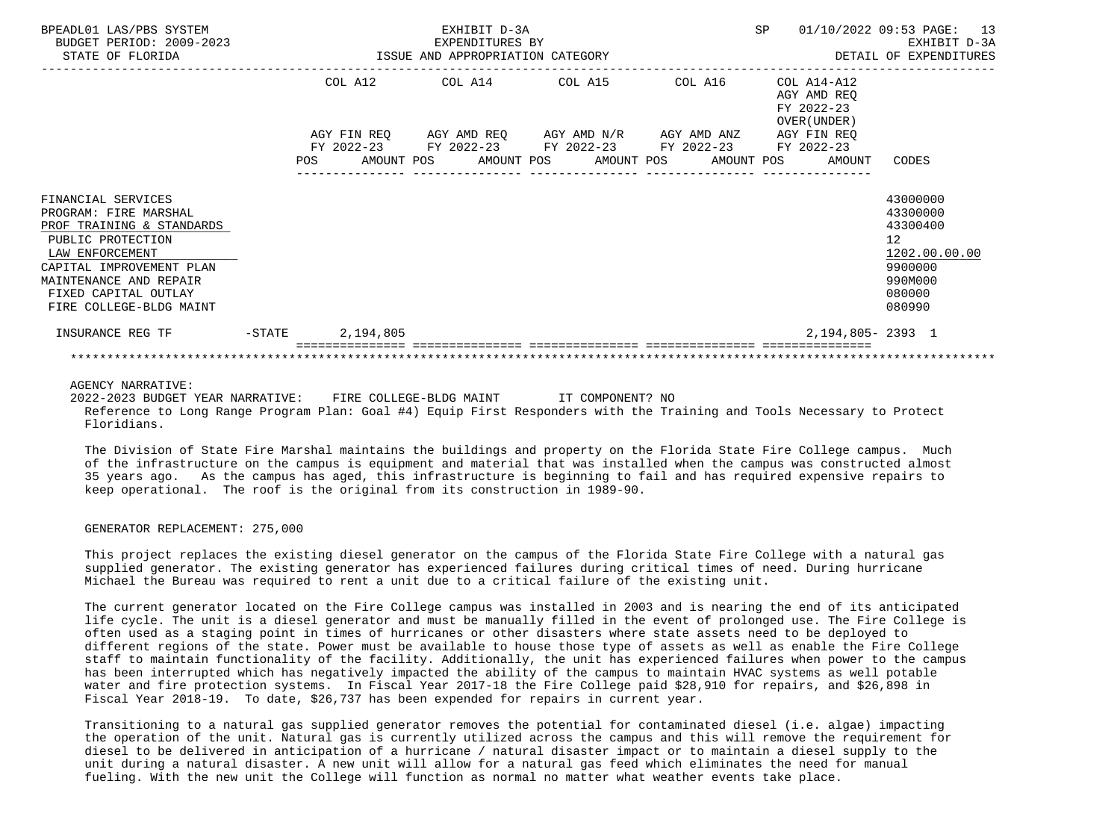| BPEADL01 LAS/PBS SYSTEM<br>BUDGET PERIOD: 2009-2023<br>STATE OF FLORIDA                                                                                                                                                   |  |                  | EXHIBIT D-3A | 99-2023 EXPENDITURES BY<br>ISSUE AND APPROPRIATION CATEGORY                                                                                              |  |                                                          | SP 01/10/2022 09:53 PAGE: 13<br>EXHIBIT D-3A<br>DETAIL OF EXPENDITURES                            |
|---------------------------------------------------------------------------------------------------------------------------------------------------------------------------------------------------------------------------|--|------------------|--------------|----------------------------------------------------------------------------------------------------------------------------------------------------------|--|----------------------------------------------------------|---------------------------------------------------------------------------------------------------|
|                                                                                                                                                                                                                           |  |                  |              | COL A12 COL A14 COL A15 COL A16<br>AGY FIN REQ AGY AMD REQ AGY AMD N/R AGY AMD ANZ AGY FIN REQ<br>FY 2022-23 FY 2022-23 FY 2022-23 FY 2022-23 FY 2022-23 |  | COL A14-A12<br>AGY AMD REO<br>FY 2022-23<br>OVER (UNDER) |                                                                                                   |
|                                                                                                                                                                                                                           |  |                  |              |                                                                                                                                                          |  | POS AMOUNT POS AMOUNT POS AMOUNT POS AMOUNT POS AMOUNT   | CODES                                                                                             |
| FINANCIAL SERVICES<br>PROGRAM: FIRE MARSHAL<br>PROF TRAINING & STANDARDS<br>PUBLIC PROTECTION<br>LAW ENFORCEMENT<br>CAPITAL IMPROVEMENT PLAN<br>MAINTENANCE AND REPAIR<br>FIXED CAPITAL OUTLAY<br>FIRE COLLEGE-BLDG MAINT |  |                  |              |                                                                                                                                                          |  |                                                          | 43000000<br>43300000<br>43300400<br>12<br>1202.00.00.00<br>9900000<br>990M000<br>080000<br>080990 |
| INSURANCE REG TF                                                                                                                                                                                                          |  | -STATE 2,194,805 |              |                                                                                                                                                          |  | 2, 194, 805 - 2393 1                                     |                                                                                                   |
|                                                                                                                                                                                                                           |  |                  |              |                                                                                                                                                          |  |                                                          |                                                                                                   |

AGENCY NARRATIVE:

 2022-2023 BUDGET YEAR NARRATIVE: FIRE COLLEGE-BLDG MAINT IT COMPONENT? NO Reference to Long Range Program Plan: Goal #4) Equip First Responders with the Training and Tools Necessary to Protect Floridians.

 The Division of State Fire Marshal maintains the buildings and property on the Florida State Fire College campus. Much of the infrastructure on the campus is equipment and material that was installed when the campus was constructed almost 35 years ago. As the campus has aged, this infrastructure is beginning to fail and has required expensive repairs to keep operational. The roof is the original from its construction in 1989-90.

## GENERATOR REPLACEMENT: 275,000

 This project replaces the existing diesel generator on the campus of the Florida State Fire College with a natural gas supplied generator. The existing generator has experienced failures during critical times of need. During hurricane Michael the Bureau was required to rent a unit due to a critical failure of the existing unit.

 The current generator located on the Fire College campus was installed in 2003 and is nearing the end of its anticipated life cycle. The unit is a diesel generator and must be manually filled in the event of prolonged use. The Fire College is often used as a staging point in times of hurricanes or other disasters where state assets need to be deployed to different regions of the state. Power must be available to house those type of assets as well as enable the Fire College staff to maintain functionality of the facility. Additionally, the unit has experienced failures when power to the campus has been interrupted which has negatively impacted the ability of the campus to maintain HVAC systems as well potable water and fire protection systems. In Fiscal Year 2017-18 the Fire College paid \$28,910 for repairs, and \$26,898 in Fiscal Year 2018-19. To date, \$26,737 has been expended for repairs in current year.

 Transitioning to a natural gas supplied generator removes the potential for contaminated diesel (i.e. algae) impacting the operation of the unit. Natural gas is currently utilized across the campus and this will remove the requirement for diesel to be delivered in anticipation of a hurricane / natural disaster impact or to maintain a diesel supply to the unit during a natural disaster. A new unit will allow for a natural gas feed which eliminates the need for manual fueling. With the new unit the College will function as normal no matter what weather events take place.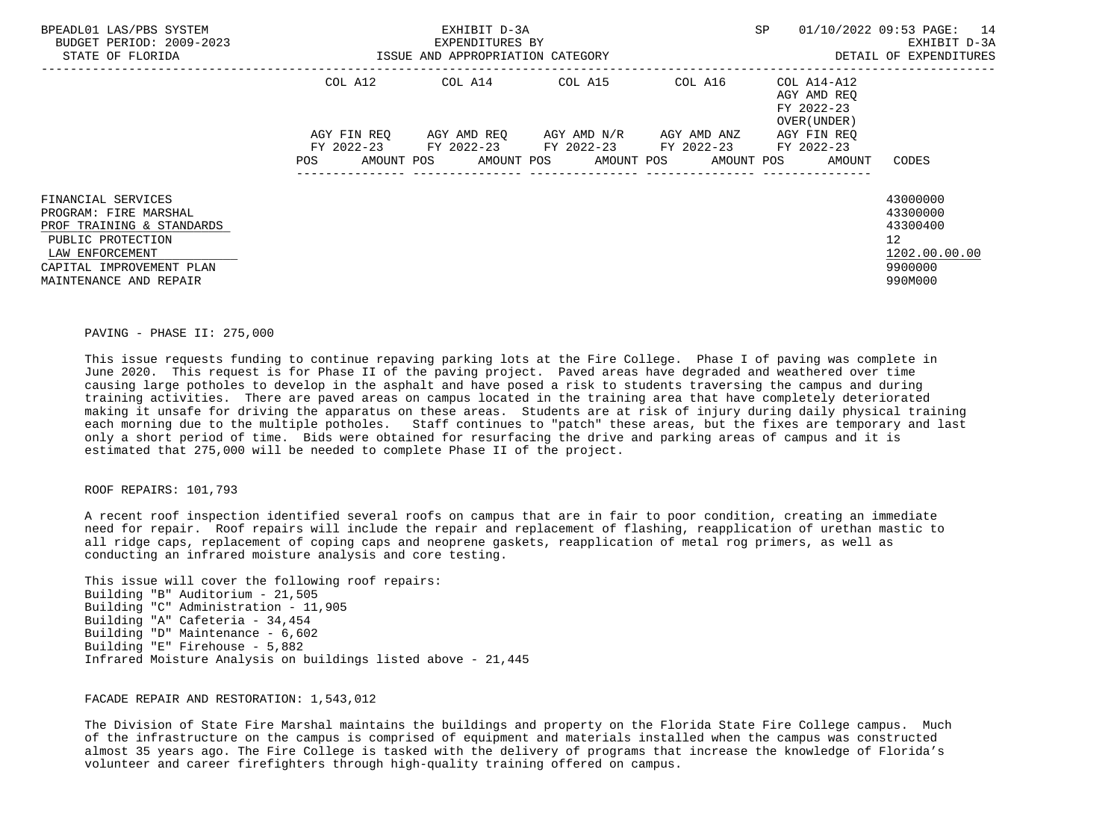| BPEADL01 LAS/PBS SYSTEM<br>BUDGET PERIOD: 2009-2023<br>STATE OF FLORIDA | ISSUE AND APPROPRIATION CATEGORY | EXHIBIT D-3A<br>EXPENDITURES BY |                                     | SP                                                        | 01/10/2022 09:53 PAGE: 14<br>EXHIBIT D-3A<br>DETAIL OF EXPENDITURES |                 |
|-------------------------------------------------------------------------|----------------------------------|---------------------------------|-------------------------------------|-----------------------------------------------------------|---------------------------------------------------------------------|-----------------|
|                                                                         | COL A12                          |                                 |                                     | $COL A14$ $COL A15$ $COL A16$ $COL A14-A12$               | AGY AMD REO<br>FY 2022-23<br>OVER (UNDER)                           |                 |
|                                                                         | AGY FIN REO                      |                                 | AGY AMD REO AGY AMD N/R AGY AMD ANZ |                                                           | AGY FIN REO                                                         |                 |
|                                                                         | AMOUNT POS<br>POS                |                                 | AMOUNT POS AMOUNT POS               | FY 2022-23 FY 2022-23 FY 2022-23 FY 2022-23<br>AMOUNT POS | FY 2022-23<br>AMOUNT                                                | CODES           |
|                                                                         |                                  |                                 |                                     |                                                           |                                                                     |                 |
| FINANCIAL SERVICES                                                      |                                  |                                 |                                     |                                                           |                                                                     | 43000000        |
| PROGRAM: FIRE MARSHAL                                                   |                                  |                                 |                                     |                                                           |                                                                     | 43300000        |
| PROF TRAINING & STANDARDS                                               |                                  |                                 |                                     |                                                           |                                                                     | 43300400        |
| PUBLIC PROTECTION                                                       |                                  |                                 |                                     |                                                           |                                                                     | 12 <sup>°</sup> |
| LAW ENFORCEMENT                                                         |                                  |                                 |                                     |                                                           |                                                                     | 1202.00.00.00   |
| CAPITAL IMPROVEMENT PLAN                                                |                                  |                                 |                                     |                                                           |                                                                     | 9900000         |
| MAINTENANCE AND REPAIR                                                  |                                  |                                 |                                     |                                                           |                                                                     | 990M000         |

### PAVING - PHASE II: 275,000

 This issue requests funding to continue repaving parking lots at the Fire College. Phase I of paving was complete in June 2020. This request is for Phase II of the paving project. Paved areas have degraded and weathered over time causing large potholes to develop in the asphalt and have posed a risk to students traversing the campus and during training activities. There are paved areas on campus located in the training area that have completely deteriorated making it unsafe for driving the apparatus on these areas. Students are at risk of injury during daily physical training each morning due to the multiple potholes. Staff continues to "patch" these areas, but the fixes are temporary and last only a short period of time. Bids were obtained for resurfacing the drive and parking areas of campus and it is estimated that 275,000 will be needed to complete Phase II of the project.

### ROOF REPAIRS: 101,793

 A recent roof inspection identified several roofs on campus that are in fair to poor condition, creating an immediate need for repair. Roof repairs will include the repair and replacement of flashing, reapplication of urethan mastic to all ridge caps, replacement of coping caps and neoprene gaskets, reapplication of metal rog primers, as well as conducting an infrared moisture analysis and core testing.

 This issue will cover the following roof repairs: Building "B" Auditorium - 21,505 Building "C" Administration - 11,905 Building "A" Cafeteria - 34,454 Building "D" Maintenance - 6,602 Building "E" Firehouse - 5,882 Infrared Moisture Analysis on buildings listed above - 21,445

# FACADE REPAIR AND RESTORATION: 1,543,012

 The Division of State Fire Marshal maintains the buildings and property on the Florida State Fire College campus. Much of the infrastructure on the campus is comprised of equipment and materials installed when the campus was constructed almost 35 years ago. The Fire College is tasked with the delivery of programs that increase the knowledge of Florida's volunteer and career firefighters through high-quality training offered on campus.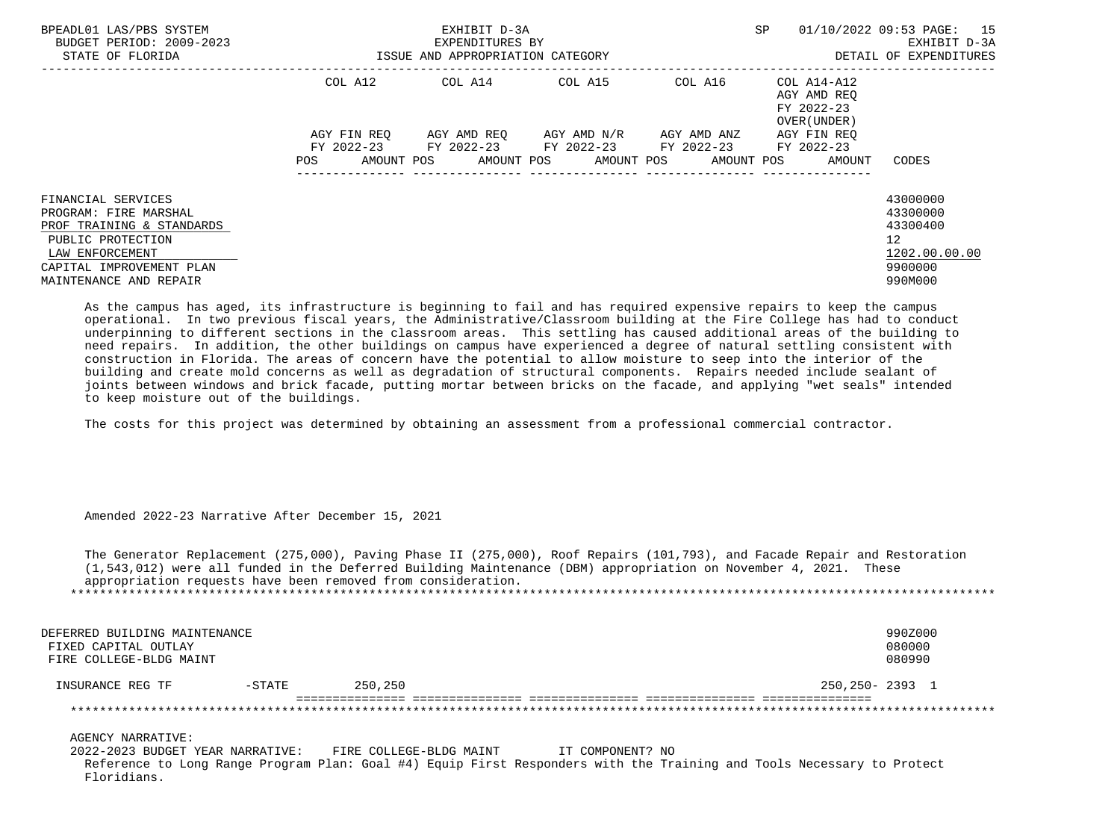| BPEADL01 LAS/PBS SYSTEM<br>BUDGET PERIOD: 2009-2023<br>STATE OF FLORIDA                                                                                                |                           | EXHIBIT D-3A<br>EXPENDITURES BY<br>ISSUE AND APPROPRIATION CATEGORY |                       |                                                 | SP<br>01/10/2022 09:53 PAGE:                             | 15<br>EXHIBIT D-3A<br>DETAIL OF EXPENDITURES                                               |
|------------------------------------------------------------------------------------------------------------------------------------------------------------------------|---------------------------|---------------------------------------------------------------------|-----------------------|-------------------------------------------------|----------------------------------------------------------|--------------------------------------------------------------------------------------------|
|                                                                                                                                                                        | COL A12                   | COL A14 COL A15                                                     |                       | COL A16                                         | COL A14-A12<br>AGY AMD REO<br>FY 2022-23<br>OVER (UNDER) |                                                                                            |
|                                                                                                                                                                        | AGY FIN REO<br>FY 2022-23 | AGY AMD REO AGY AMD N/R                                             |                       | AGY AMD ANZ<br>FY 2022-23 FY 2022-23 FY 2022-23 | AGY FIN REO<br>FY 2022-23                                |                                                                                            |
|                                                                                                                                                                        | AMOUNT POS<br>POS.        |                                                                     | AMOUNT POS AMOUNT POS | AMOUNT POS                                      | AMOUNT                                                   | CODES                                                                                      |
| FINANCIAL SERVICES<br>PROGRAM: FIRE MARSHAL<br>PROF TRAINING & STANDARDS<br>PUBLIC PROTECTION<br>LAW ENFORCEMENT<br>CAPITAL IMPROVEMENT PLAN<br>MAINTENANCE AND REPAIR |                           |                                                                     |                       |                                                 |                                                          | 43000000<br>43300000<br>43300400<br>12 <sup>°</sup><br>1202.00.00.00<br>9900000<br>990M000 |

 As the campus has aged, its infrastructure is beginning to fail and has required expensive repairs to keep the campus operational. In two previous fiscal years, the Administrative/Classroom building at the Fire College has had to conduct underpinning to different sections in the classroom areas. This settling has caused additional areas of the building to need repairs. In addition, the other buildings on campus have experienced a degree of natural settling consistent with construction in Florida. The areas of concern have the potential to allow moisture to seep into the interior of the building and create mold concerns as well as degradation of structural components. Repairs needed include sealant of joints between windows and brick facade, putting mortar between bricks on the facade, and applying "wet seals" intended to keep moisture out of the buildings.

The costs for this project was determined by obtaining an assessment from a professional commercial contractor.

Amended 2022-23 Narrative After December 15, 2021

 The Generator Replacement (275,000), Paving Phase II (275,000), Roof Repairs (101,793), and Facade Repair and Restoration (1,543,012) were all funded in the Deferred Building Maintenance (DBM) appropriation on November 4, 2021. These appropriation requests have been removed from consideration. \*\*\*\*\*\*\*\*\*\*\*\*\*\*\*\*\*\*\*\*\*\*\*\*\*\*\*\*\*\*\*\*\*\*\*\*\*\*\*\*\*\*\*\*\*\*\*\*\*\*\*\*\*\*\*\*\*\*\*\*\*\*\*\*\*\*\*\*\*\*\*\*\*\*\*\*\*\*\*\*\*\*\*\*\*\*\*\*\*\*\*\*\*\*\*\*\*\*\*\*\*\*\*\*\*\*\*\*\*\*\*\*\*\*\*\*\*\*\*\*\*\*\*\*\*\*\*

| DEFERRED BUILDING MAINTENANCE<br>FIXED CAPITAL OUTLAY<br>FIRE COLLEGE-BLDG MAINT |           |         | 990Z000<br>080000<br>080990 |
|----------------------------------------------------------------------------------|-----------|---------|-----------------------------|
| INSURANCE REG TF                                                                 | $-$ STATE | 250,250 | 250,250-2393 1              |
|                                                                                  |           |         |                             |

AGENCY NARRATIVE:

 2022-2023 BUDGET YEAR NARRATIVE: FIRE COLLEGE-BLDG MAINT IT COMPONENT? NO Reference to Long Range Program Plan: Goal #4) Equip First Responders with the Training and Tools Necessary to Protect Floridians.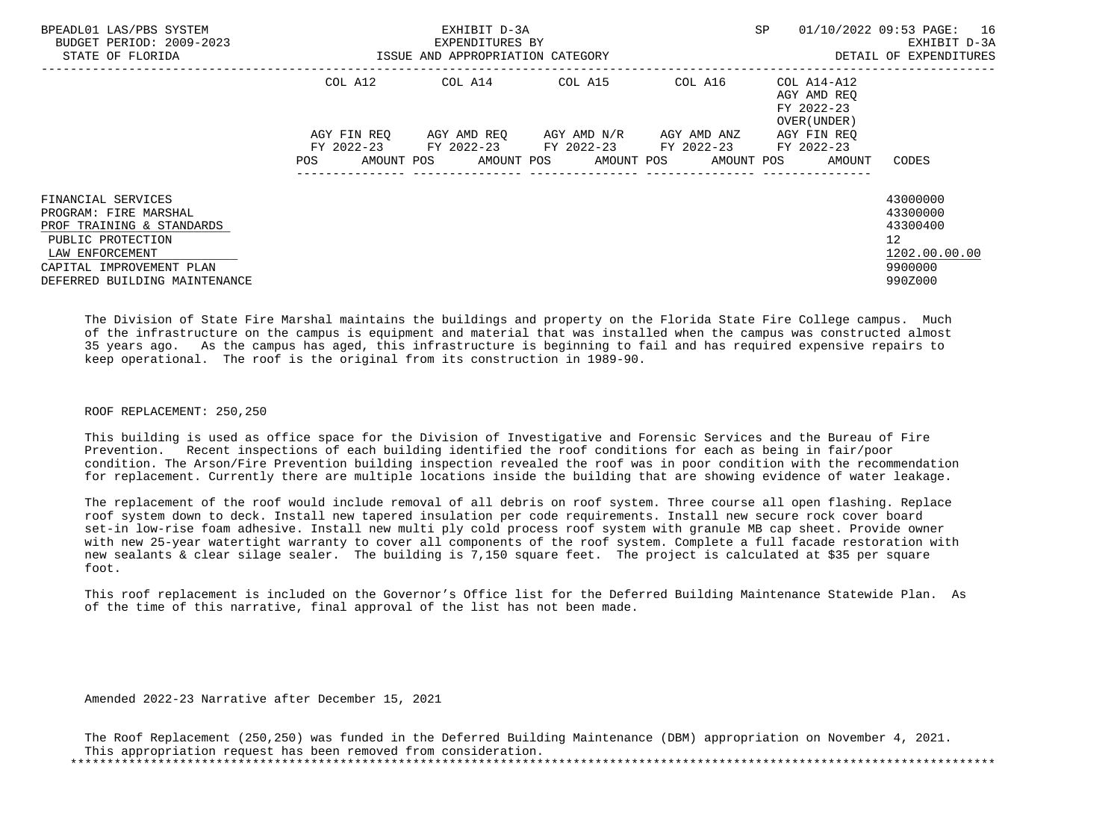| BPEADL01 LAS/PBS SYSTEM<br>BUDGET PERIOD: 2009-2023<br>STATE OF FLORIDA  | ISSUE AND APPROPRIATION CATEGORY | EXHIBIT D-3A<br>EXPENDITURES BY                                                                       |  | SP |  |  | 01/10/2022 09:53 PAGE: 16<br>EXHIBIT D-3A<br>DETAIL OF EXPENDITURES |                                             |
|--------------------------------------------------------------------------|----------------------------------|-------------------------------------------------------------------------------------------------------|--|----|--|--|---------------------------------------------------------------------|---------------------------------------------|
|                                                                          | COL A12                          |                                                                                                       |  |    |  |  | AGY AMD REO<br>FY 2022-23<br>OVER (UNDER)                           |                                             |
|                                                                          | AGY FIN REO                      | AGY AMD REO AGY AMD N/R AGY AMD ANZ                                                                   |  |    |  |  | AGY FIN REO                                                         |                                             |
|                                                                          | POS                              | FY 2022-23 FY 2022-23 FY 2022-23 FY 2022-23 FY 2022-23<br>AMOUNT POS AMOUNT POS AMOUNT POS AMOUNT POS |  |    |  |  | AMOUNT                                                              | CODES                                       |
| FINANCIAL SERVICES<br>PROGRAM: FIRE MARSHAL<br>PROF TRAINING & STANDARDS |                                  |                                                                                                       |  |    |  |  |                                                                     | 43000000<br>43300000<br>43300400            |
| PUBLIC PROTECTION<br>LAW ENFORCEMENT<br>CAPITAL IMPROVEMENT PLAN         |                                  |                                                                                                       |  |    |  |  |                                                                     | 12 <sup>°</sup><br>1202.00.00.00<br>9900000 |
| DEFERRED BUILDING MAINTENANCE                                            |                                  |                                                                                                       |  |    |  |  |                                                                     | 990Z000                                     |

 The Division of State Fire Marshal maintains the buildings and property on the Florida State Fire College campus. Much of the infrastructure on the campus is equipment and material that was installed when the campus was constructed almost 35 years ago. As the campus has aged, this infrastructure is beginning to fail and has required expensive repairs to keep operational. The roof is the original from its construction in 1989-90.

#### ROOF REPLACEMENT: 250,250

 This building is used as office space for the Division of Investigative and Forensic Services and the Bureau of Fire Prevention. Recent inspections of each building identified the roof conditions for each as being in fair/poor condition. The Arson/Fire Prevention building inspection revealed the roof was in poor condition with the recommendation for replacement. Currently there are multiple locations inside the building that are showing evidence of water leakage.

 The replacement of the roof would include removal of all debris on roof system. Three course all open flashing. Replace roof system down to deck. Install new tapered insulation per code requirements. Install new secure rock cover board set-in low-rise foam adhesive. Install new multi ply cold process roof system with granule MB cap sheet. Provide owner with new 25-year watertight warranty to cover all components of the roof system. Complete a full facade restoration with new sealants & clear silage sealer. The building is 7,150 square feet. The project is calculated at \$35 per square foot.

 This roof replacement is included on the Governor's Office list for the Deferred Building Maintenance Statewide Plan. As of the time of this narrative, final approval of the list has not been made.

Amended 2022-23 Narrative after December 15, 2021

 The Roof Replacement (250,250) was funded in the Deferred Building Maintenance (DBM) appropriation on November 4, 2021. This appropriation request has been removed from consideration. \*\*\*\*\*\*\*\*\*\*\*\*\*\*\*\*\*\*\*\*\*\*\*\*\*\*\*\*\*\*\*\*\*\*\*\*\*\*\*\*\*\*\*\*\*\*\*\*\*\*\*\*\*\*\*\*\*\*\*\*\*\*\*\*\*\*\*\*\*\*\*\*\*\*\*\*\*\*\*\*\*\*\*\*\*\*\*\*\*\*\*\*\*\*\*\*\*\*\*\*\*\*\*\*\*\*\*\*\*\*\*\*\*\*\*\*\*\*\*\*\*\*\*\*\*\*\*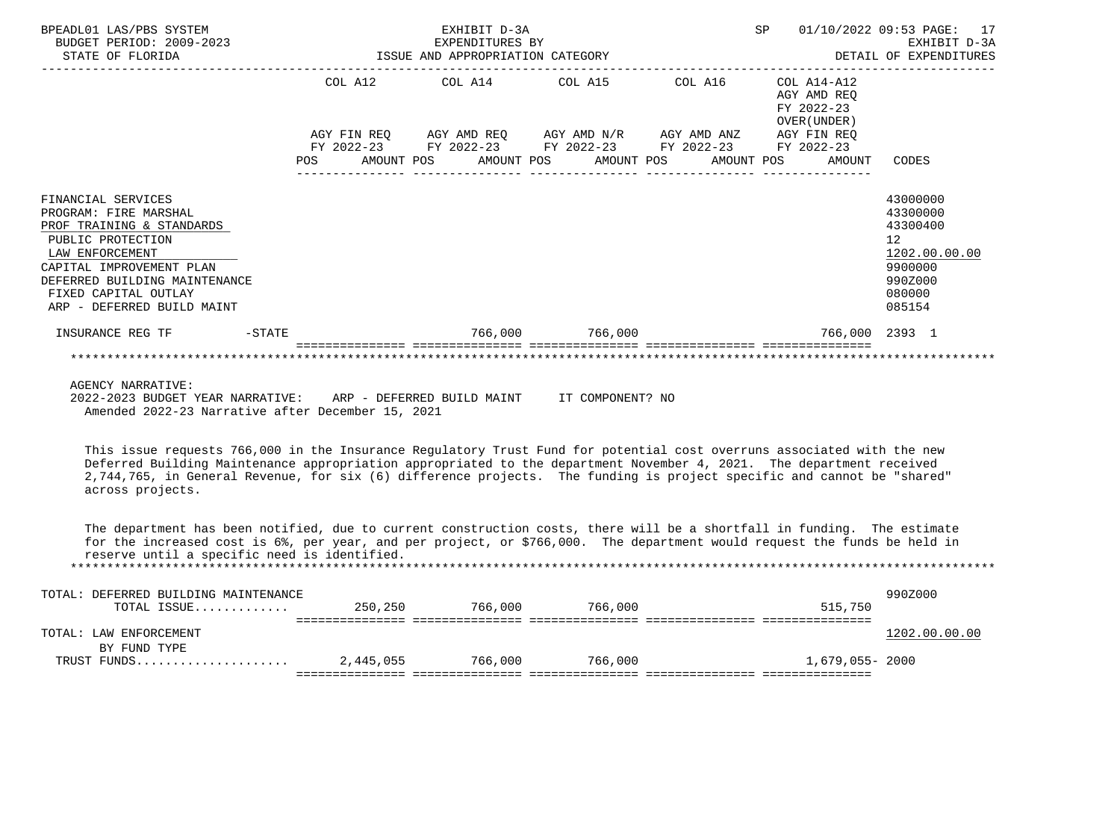| BPEADL01 LAS/PBS SYSTEM<br>BUDGET PERIOD: 2009-2023<br>STATE OF FLORIDA                                                                                                                                                             |     |  | EXHIBIT D-3A<br>EXPENDITURES BY<br>EXPENDITURES BY<br>ISSUE AND APPROPRIATION CATEGORY                |                 |         | SP |                                                          | 01/10/2022 09:53 PAGE: 17<br>EXHIBIT D-3A<br>DETAIL OF EXPENDITURES                               |
|-------------------------------------------------------------------------------------------------------------------------------------------------------------------------------------------------------------------------------------|-----|--|-------------------------------------------------------------------------------------------------------|-----------------|---------|----|----------------------------------------------------------|---------------------------------------------------------------------------------------------------|
|                                                                                                                                                                                                                                     |     |  | COL A12 COL A14 COL A15                                                                               |                 | COL A16 |    | COL A14-A12<br>AGY AMD REO<br>FY 2022-23<br>OVER (UNDER) |                                                                                                   |
|                                                                                                                                                                                                                                     |     |  | AGY FIN REQ 6GY AMD REQ 6GY AMD N/R 6GY AMD ANZ                                                       |                 |         |    | AGY FIN REO                                              |                                                                                                   |
|                                                                                                                                                                                                                                     | POS |  | FY 2022-23 FY 2022-23 FY 2022-23 FY 2022-23 FY 2022-23<br>AMOUNT POS AMOUNT POS AMOUNT POS AMOUNT POS |                 |         |    | AMOUNT                                                   | CODES                                                                                             |
| FINANCIAL SERVICES<br>PROGRAM: FIRE MARSHAL<br>PROF TRAINING & STANDARDS<br>PUBLIC PROTECTION<br>LAW ENFORCEMENT<br>CAPITAL IMPROVEMENT PLAN<br>DEFERRED BUILDING MAINTENANCE<br>FIXED CAPITAL OUTLAY<br>ARP - DEFERRED BUILD MAINT |     |  |                                                                                                       |                 |         |    |                                                          | 43000000<br>43300000<br>43300400<br>12<br>1202.00.00.00<br>9900000<br>990Z000<br>080000<br>085154 |
| $-STATE$<br>INSURANCE REG TF                                                                                                                                                                                                        |     |  |                                                                                                       | 766,000 766,000 |         |    | 766.000 2393 1                                           |                                                                                                   |
|                                                                                                                                                                                                                                     |     |  |                                                                                                       |                 |         |    |                                                          |                                                                                                   |
| <b>AGENCY NARRATIVE:</b>                                                                                                                                                                                                            |     |  |                                                                                                       |                 |         |    |                                                          |                                                                                                   |

 2022-2023 BUDGET YEAR NARRATIVE: ARP - DEFERRED BUILD MAINT IT COMPONENT? NO Amended 2022-23 Narrative after December 15, 2021

 This issue requests 766,000 in the Insurance Regulatory Trust Fund for potential cost overruns associated with the new Deferred Building Maintenance appropriation appropriated to the department November 4, 2021. The department received 2,744,765, in General Revenue, for six (6) difference projects. The funding is project specific and cannot be "shared" across projects.

 The department has been notified, due to current construction costs, there will be a shortfall in funding. The estimate for the increased cost is 6%, per year, and per project, or \$766,000. The department would request the funds be held in reserve until a specific need is identified. \*\*\*\*\*\*\*\*\*\*\*\*\*\*\*\*\*\*\*\*\*\*\*\*\*\*\*\*\*\*\*\*\*\*\*\*\*\*\*\*\*\*\*\*\*\*\*\*\*\*\*\*\*\*\*\*\*\*\*\*\*\*\*\*\*\*\*\*\*\*\*\*\*\*\*\*\*\*\*\*\*\*\*\*\*\*\*\*\*\*\*\*\*\*\*\*\*\*\*\*\*\*\*\*\*\*\*\*\*\*\*\*\*\*\*\*\*\*\*\*\*\*\*\*\*\*\*

| DEFERRED BUILDING MAINTENANCE<br>TOTAL: |           |         |         |                 | 990Z000       |
|-----------------------------------------|-----------|---------|---------|-----------------|---------------|
| TOTAL ISSUE                             | 250,250   | 766,000 | 766,000 | 515,750         |               |
|                                         |           |         |         |                 |               |
| TOTAL: LAW ENFORCEMENT                  |           |         |         |                 | 1202.00.00.00 |
| BY FUND TYPE                            |           |         |         |                 |               |
| TRUST FUNDS                             | 2,445,055 | 766,000 | 766,000 | 1,679,055- 2000 |               |
|                                         |           |         |         |                 |               |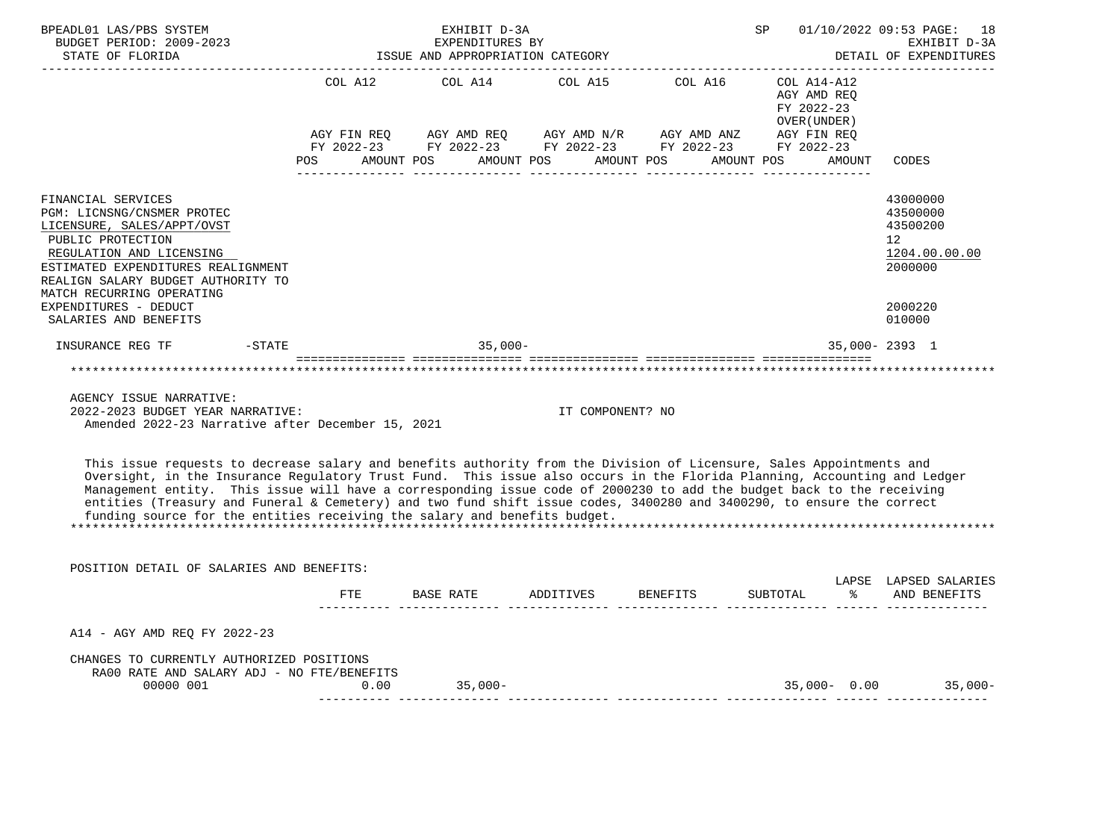| BPEADL01 LAS/PBS SYSTEM<br>BUDGET PERIOD: 2009-2023<br>STATE OF FLORIDA                                                                                                                                                                  |                                                                                                                | EXHIBIT D-3A<br>EXPENDITURES BY<br>EXPENDITURES BY<br>ISSUE AND APPROPRIATION CATEGORY                               |                  |                                                          | SP 01/10/2022 09:53 PAGE: 18<br>EXHIBIT D-3A<br>DETAIL OF EXPENDITURES |
|------------------------------------------------------------------------------------------------------------------------------------------------------------------------------------------------------------------------------------------|----------------------------------------------------------------------------------------------------------------|----------------------------------------------------------------------------------------------------------------------|------------------|----------------------------------------------------------|------------------------------------------------------------------------|
|                                                                                                                                                                                                                                          |                                                                                                                | COL A12 COL A14 COL A15 COL A16                                                                                      |                  | COL A14-A12<br>AGY AMD REO<br>FY 2022-23<br>OVER (UNDER) |                                                                        |
|                                                                                                                                                                                                                                          |                                                                                                                | AGY FIN REQ AGY AMD REQ AGY AMD N/R AGY AMD ANZ AGY FIN REQ                                                          |                  |                                                          |                                                                        |
|                                                                                                                                                                                                                                          | POS FOR THE POST OF THE STATE STATE STATE STATE STATE STATE STATE STATE STATE STATE STATE STATE STATE STATE ST | FY 2022-23 FY 2022-23 FY 2022-23 FY 2022-23 FY 2022-23<br>AMOUNT POS      AMOUNT POS      AMOUNT POS      AMOUNT POS |                  | AMOUNT                                                   | CODES                                                                  |
| FINANCIAL SERVICES<br>PGM: LICNSNG/CNSMER PROTEC<br>LICENSURE, SALES/APPT/OVST<br>PUBLIC PROTECTION<br>REGULATION AND LICENSING<br>ESTIMATED EXPENDITURES REALIGNMENT<br>REALIGN SALARY BUDGET AUTHORITY TO<br>MATCH RECURRING OPERATING |                                                                                                                |                                                                                                                      |                  |                                                          | 43000000<br>43500000<br>43500200<br>12<br>1204.00.00.00<br>2000000     |
| EXPENDITURES - DEDUCT<br>SALARIES AND BENEFITS                                                                                                                                                                                           |                                                                                                                |                                                                                                                      |                  |                                                          | 2000220<br>010000                                                      |
| INSURANCE REG TF<br>$-STATE$                                                                                                                                                                                                             |                                                                                                                | $35.000 -$                                                                                                           |                  |                                                          | 35,000-2393 1                                                          |
|                                                                                                                                                                                                                                          |                                                                                                                |                                                                                                                      |                  |                                                          |                                                                        |
| AGENCY ISSUE NARRATIVE:<br>2022-2023 BUDGET YEAR NARRATIVE:                                                                                                                                                                              |                                                                                                                |                                                                                                                      | TT COMPONENT? NO |                                                          |                                                                        |

Amended 2022-23 Narrative after December 15, 2021

 This issue requests to decrease salary and benefits authority from the Division of Licensure, Sales Appointments and Oversight, in the Insurance Regulatory Trust Fund. This issue also occurs in the Florida Planning, Accounting and Ledger Management entity. This issue will have a corresponding issue code of 2000230 to add the budget back to the receiving entities (Treasury and Funeral & Cemetery) and two fund shift issue codes, 3400280 and 3400290, to ensure the correct funding source for the entities receiving the salary and benefits budget. \*\*\*\*\*\*\*\*\*\*\*\*\*\*\*\*\*\*\*\*\*\*\*\*\*\*\*\*\*\*\*\*\*\*\*\*\*\*\*\*\*\*\*\*\*\*\*\*\*\*\*\*\*\*\*\*\*\*\*\*\*\*\*\*\*\*\*\*\*\*\*\*\*\*\*\*\*\*\*\*\*\*\*\*\*\*\*\*\*\*\*\*\*\*\*\*\*\*\*\*\*\*\*\*\*\*\*\*\*\*\*\*\*\*\*\*\*\*\*\*\*\*\*\*\*\*\*

 POSITION DETAIL OF SALARIES AND BENEFITS: LAPSE LAPSED SALARIES FTE BASE RATE ADDITIVES BENEFITS SUBTOTAL % AND BENEFITS ---------- -------------- -------------- -------------- -------------- ------ -------------- A14 - AGY AMD REQ FY 2022-23 CHANGES TO CURRENTLY AUTHORIZED POSITIONS RA00 RATE AND SALARY ADJ - NO FTE/BENEFITS 00000 001 0.00 35,000- 35,000- 0.00 35,000- ---------- -------------- -------------- -------------- -------------- ------ --------------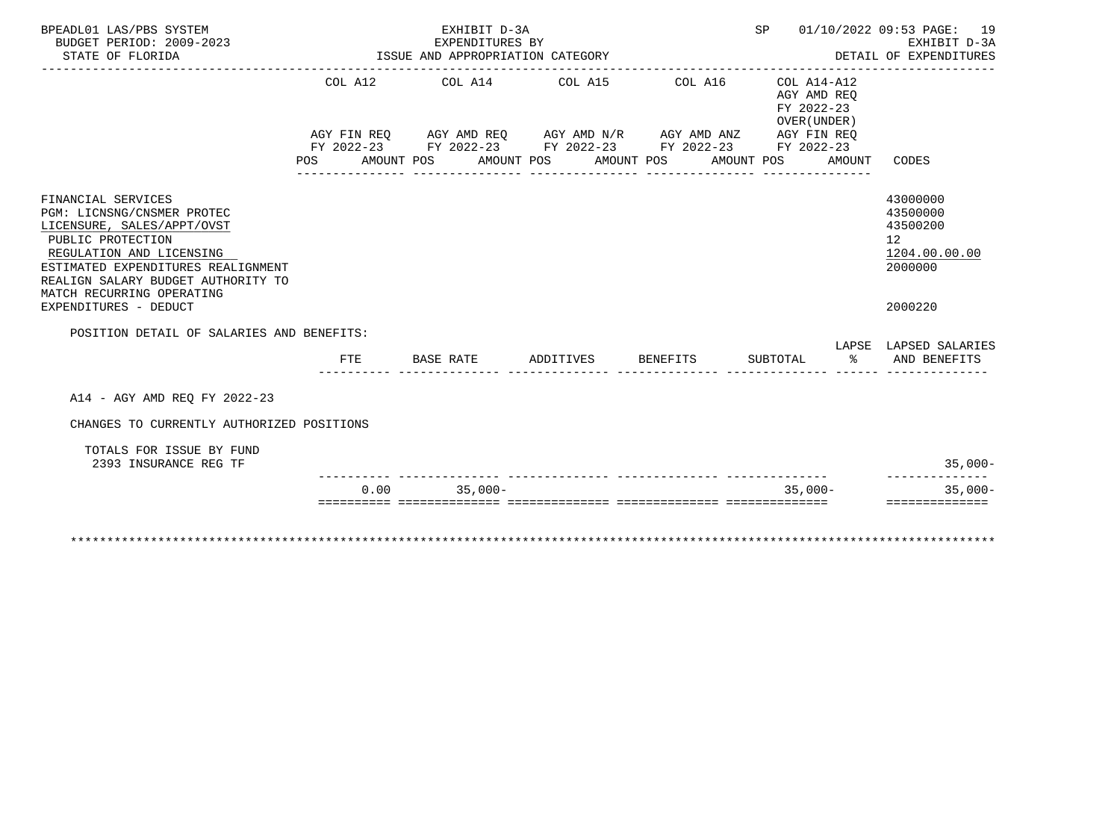| BPEADL01 LAS/PBS SYSTEM<br>BUDGET PERIOD: 2009-2023                                                                                                                                                                                      |     | EXHIBIT D-3A<br>EXPENDITURES BY      |                    |                                                                                                                                                                      |                                                                   | SP 01/10/2022 09:53 PAGE: 19<br>EXHIBIT D-3A                                    |
|------------------------------------------------------------------------------------------------------------------------------------------------------------------------------------------------------------------------------------------|-----|--------------------------------------|--------------------|----------------------------------------------------------------------------------------------------------------------------------------------------------------------|-------------------------------------------------------------------|---------------------------------------------------------------------------------|
| STATE OF FLORIDA                                                                                                                                                                                                                         |     | ISSUE AND APPROPRIATION CATEGORY     |                    |                                                                                                                                                                      |                                                                   | DETAIL OF EXPENDITURES                                                          |
|                                                                                                                                                                                                                                          |     | POS AMOUNT POS AMOUNT POS AMOUNT POS |                    | COL A12 COL A14 COL A15 COL A16 COL A14-A12<br>AGY FIN REQ AGY AMD REQ AGY AMD N/R AGY AMD ANZ AGY FIN REQ<br>FY 2022-23 FY 2022-23 FY 2022-23 FY 2022-23 FY 2022-23 | AGY AMD REO<br>FY 2022-23<br>OVER (UNDER)<br>AMOUNT POS<br>AMOUNT | CODES                                                                           |
| FINANCIAL SERVICES<br>PGM: LICNSNG/CNSMER PROTEC<br>LICENSURE, SALES/APPT/OVST<br>PUBLIC PROTECTION<br>REGULATION AND LICENSING<br>ESTIMATED EXPENDITURES REALIGNMENT<br>REALIGN SALARY BUDGET AUTHORITY TO<br>MATCH RECURRING OPERATING |     |                                      |                    |                                                                                                                                                                      |                                                                   | 43000000<br>43500000<br>43500200<br>12 <sup>°</sup><br>1204.00.00.00<br>2000000 |
| EXPENDITURES - DEDUCT                                                                                                                                                                                                                    |     |                                      |                    |                                                                                                                                                                      |                                                                   | 2000220                                                                         |
| POSITION DETAIL OF SALARIES AND BENEFITS:                                                                                                                                                                                                |     |                                      |                    |                                                                                                                                                                      |                                                                   |                                                                                 |
|                                                                                                                                                                                                                                          | FTE | <b>BASE RATE</b>                     | ADDITIVES BENEFITS |                                                                                                                                                                      | SUBTOTAL $\frac{1}{6}$ AND BENEFITS                               | LAPSE LAPSED SALARIES                                                           |
| A14 - AGY AMD REO FY 2022-23                                                                                                                                                                                                             |     |                                      |                    |                                                                                                                                                                      |                                                                   |                                                                                 |
| CHANGES TO CURRENTLY AUTHORIZED POSITIONS                                                                                                                                                                                                |     |                                      |                    |                                                                                                                                                                      |                                                                   |                                                                                 |
| TOTALS FOR ISSUE BY FUND<br>2393 INSURANCE REG TF                                                                                                                                                                                        |     |                                      |                    |                                                                                                                                                                      |                                                                   | $35,000-$                                                                       |
|                                                                                                                                                                                                                                          |     | $0.00$ 35,000-                       |                    |                                                                                                                                                                      | $35.000 -$                                                        | --------------<br>$35.000 -$                                                    |
|                                                                                                                                                                                                                                          |     |                                      |                    |                                                                                                                                                                      |                                                                   | ==============                                                                  |
|                                                                                                                                                                                                                                          |     |                                      |                    |                                                                                                                                                                      |                                                                   |                                                                                 |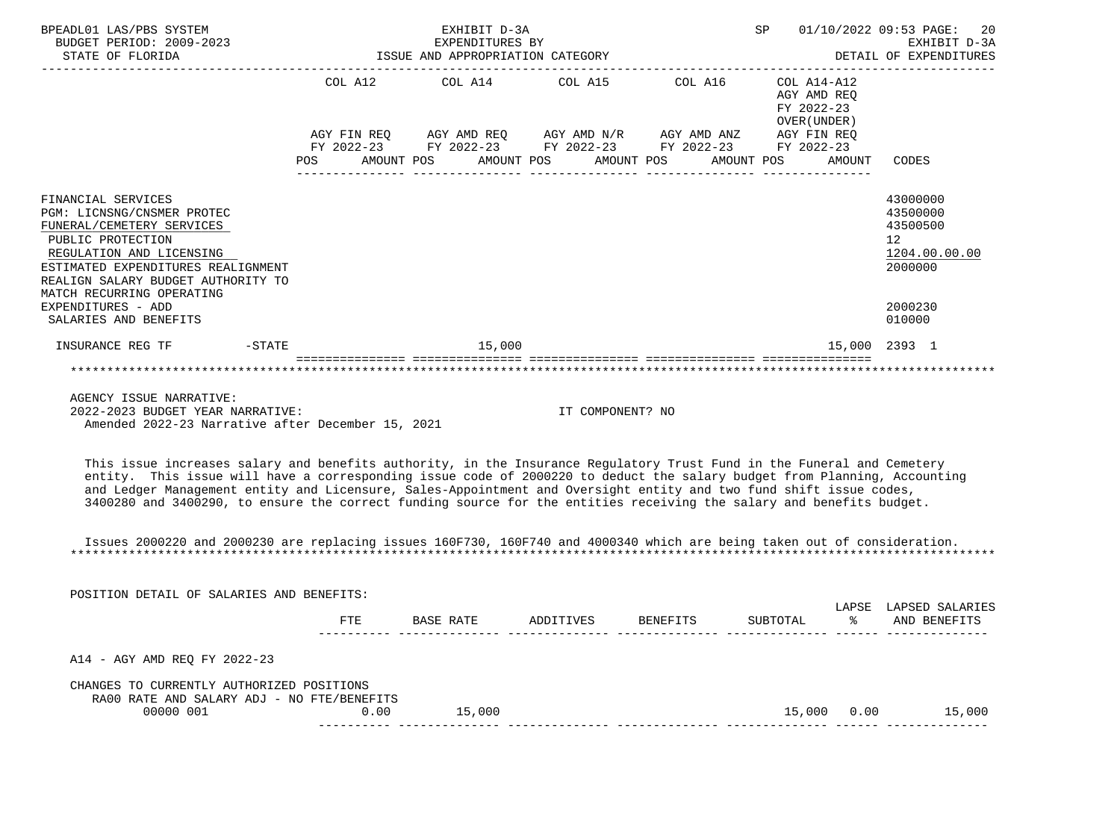| BPEADL01 LAS/PBS SYSTEM<br>BUDGET PERIOD: 2009-2023<br>STATE OF FLORIDA                                                                                                                                                                                                                                                                                                                                                                                                                          |         | EXHIBIT D-3A | EXPENDITURES BY<br>ISSUE AND APPROPRIATION CATEGORY                                                                                                                                  | SP <sub>2</sub>                                                                  | 01/10/2022 09:53 PAGE:<br>20<br>EXHIBIT D-3A<br>DETAIL OF EXPENDITURES                               |
|--------------------------------------------------------------------------------------------------------------------------------------------------------------------------------------------------------------------------------------------------------------------------------------------------------------------------------------------------------------------------------------------------------------------------------------------------------------------------------------------------|---------|--------------|--------------------------------------------------------------------------------------------------------------------------------------------------------------------------------------|----------------------------------------------------------------------------------|------------------------------------------------------------------------------------------------------|
|                                                                                                                                                                                                                                                                                                                                                                                                                                                                                                  | POS FOR | AMOUNT POS   | COL A12 COL A14 COL A15 COL A16<br>AGY FIN REQ AGY AMD REQ AGY AMD N/R AGY AMD ANZ AGY FIN REQ<br>FY 2022-23 FY 2022-23 FY 2022-23 FY 2022-23 FY 2022-23<br>AMOUNT POS<br>AMOUNT POS | COL A14-A12<br>AGY AMD REQ<br>FY 2022-23<br>OVER (UNDER)<br>AMOUNT POS<br>AMOUNT | CODES                                                                                                |
| FINANCIAL SERVICES<br>PGM: LICNSNG/CNSMER PROTEC<br>FUNERAL/CEMETERY SERVICES<br>PUBLIC PROTECTION<br>REGULATION AND LICENSING<br>ESTIMATED EXPENDITURES REALIGNMENT<br>REALIGN SALARY BUDGET AUTHORITY TO<br>MATCH RECURRING OPERATING<br>EXPENDITURES - ADD<br>SALARIES AND BENEFITS                                                                                                                                                                                                           |         |              |                                                                                                                                                                                      |                                                                                  | 43000000<br>43500000<br>43500500<br>12 <sup>°</sup><br>1204.00.00.00<br>2000000<br>2000230<br>010000 |
| $-STATE$<br>INSURANCE REG TF                                                                                                                                                                                                                                                                                                                                                                                                                                                                     |         | 15,000       |                                                                                                                                                                                      |                                                                                  | 15,000 2393 1                                                                                        |
|                                                                                                                                                                                                                                                                                                                                                                                                                                                                                                  |         |              |                                                                                                                                                                                      |                                                                                  |                                                                                                      |
| AGENCY ISSUE NARRATIVE:<br>2022-2023 BUDGET YEAR NARRATIVE:<br>Amended 2022-23 Narrative after December 15, 2021                                                                                                                                                                                                                                                                                                                                                                                 |         |              | IT COMPONENT? NO                                                                                                                                                                     |                                                                                  |                                                                                                      |
| This issue increases salary and benefits authority, in the Insurance Requlatory Trust Fund in the Funeral and Cemetery<br>entity. This issue will have a corresponding issue code of 2000220 to deduct the salary budget from Planning, Accounting<br>and Ledger Management entity and Licensure, Sales-Appointment and Oversight entity and two fund shift issue codes,<br>3400280 and 3400290, to ensure the correct funding source for the entities receiving the salary and benefits budget. |         |              |                                                                                                                                                                                      |                                                                                  |                                                                                                      |
| Issues 2000220 and 2000230 are replacing issues 160F730, 160F740 and 4000340 which are being taken out of consideration.                                                                                                                                                                                                                                                                                                                                                                         |         |              |                                                                                                                                                                                      |                                                                                  |                                                                                                      |

| POSITION DETAIL OF SALARIES AND BENEFITS:                                               |      |           |           |          |          |             |                                 |
|-----------------------------------------------------------------------------------------|------|-----------|-----------|----------|----------|-------------|---------------------------------|
|                                                                                         | FTE  | BASE RATE | ADDITIVES | BENEFITS | SUBTOTAL | LAPSE<br>°≈ | LAPSED SALARIES<br>AND BENEFITS |
| A14 - AGY AMD REO FY 2022-23                                                            |      |           |           |          |          |             |                                 |
| CHANGES TO CURRENTLY AUTHORIZED POSITIONS<br>RA00 RATE AND SALARY ADJ - NO FTE/BENEFITS |      |           |           |          |          |             |                                 |
| 00000 001                                                                               | 0.00 | 15,000    |           |          | 15,000   | 0.00        | 15,000                          |
|                                                                                         |      |           |           |          |          |             |                                 |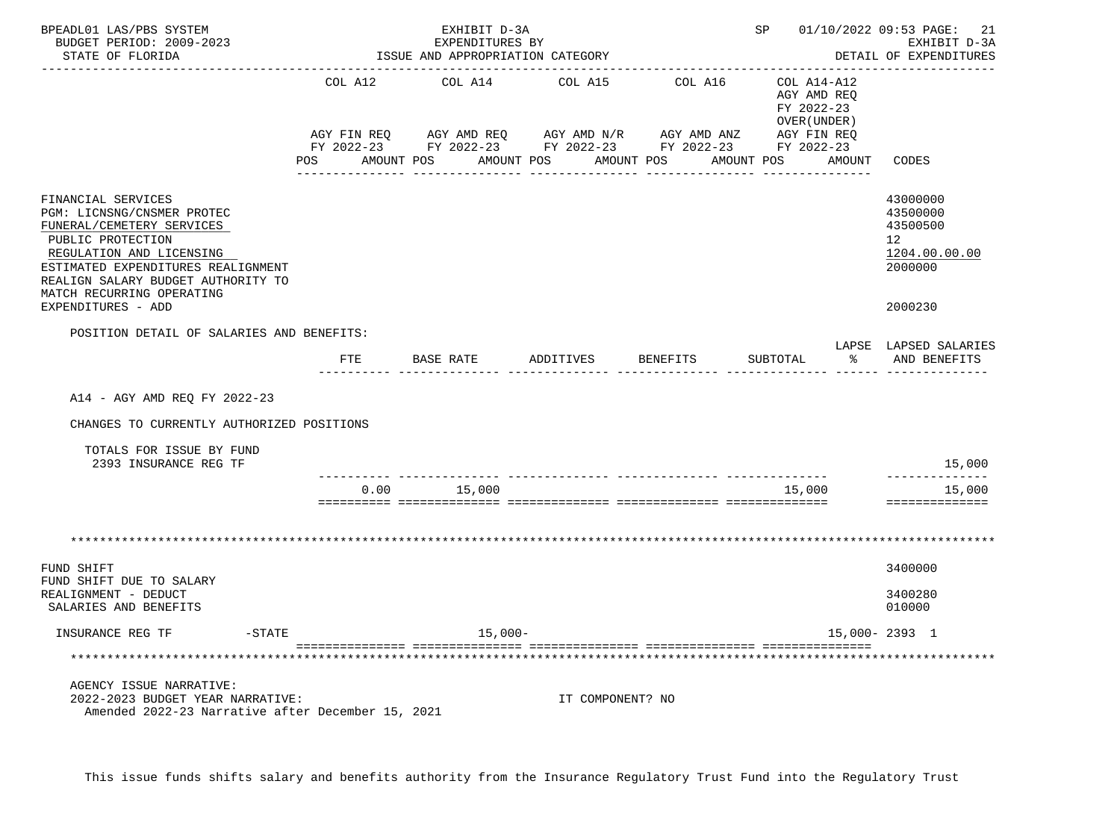| BPEADL01 LAS/PBS SYSTEM<br>BUDGET PERIOD: 2009-2023<br>STATE OF FLORIDA                                                                                                                                                                                       |              | EXHIBIT D-3A<br>EXPENDITURES BY<br>ISSUE AND APPROPRIATION CATEGORY |                  |                                                                                                                        |                                                          | SP 01/10/2022 09:53 PAGE: 21<br>EXHIBIT D-3A<br>DETAIL OF EXPENDITURES                     |
|---------------------------------------------------------------------------------------------------------------------------------------------------------------------------------------------------------------------------------------------------------------|--------------|---------------------------------------------------------------------|------------------|------------------------------------------------------------------------------------------------------------------------|----------------------------------------------------------|--------------------------------------------------------------------------------------------|
|                                                                                                                                                                                                                                                               | COL A12      | COL A14 COL A15                                                     |                  | COL A16                                                                                                                | COL A14-A12<br>AGY AMD REQ<br>FY 2022-23<br>OVER (UNDER) |                                                                                            |
|                                                                                                                                                                                                                                                               |              |                                                                     |                  | FY 2022-23 FY 2022-23 FY 2022-23 FY 2022-23 FY 2022-23<br>POS AMOUNT POS AMOUNT POS AMOUNT POS AMOUNT POS AMOUNT CODES | AGY FIN REQ                                              |                                                                                            |
| FINANCIAL SERVICES<br>PGM: LICNSNG/CNSMER PROTEC<br>FUNERAL/CEMETERY SERVICES<br>PUBLIC PROTECTION<br>REGULATION AND LICENSING<br>ESTIMATED EXPENDITURES REALIGNMENT<br>REALIGN SALARY BUDGET AUTHORITY TO<br>MATCH RECURRING OPERATING<br>EXPENDITURES - ADD |              |                                                                     |                  |                                                                                                                        |                                                          | 43000000<br>43500000<br>43500500<br>12 <sup>°</sup><br>1204.00.00.00<br>2000000<br>2000230 |
| POSITION DETAIL OF SALARIES AND BENEFITS:                                                                                                                                                                                                                     |              |                                                                     |                  |                                                                                                                        |                                                          |                                                                                            |
|                                                                                                                                                                                                                                                               | $_{\rm FTE}$ | BASE RATE                                                           | ADDITIVES        | BENEFITS                                                                                                               | SUBTOTAL                                                 | LAPSE LAPSED SALARIES<br>AND BENEFITS                                                      |
| A14 - AGY AMD REQ FY 2022-23                                                                                                                                                                                                                                  |              |                                                                     |                  |                                                                                                                        |                                                          |                                                                                            |
| CHANGES TO CURRENTLY AUTHORIZED POSITIONS                                                                                                                                                                                                                     |              |                                                                     |                  |                                                                                                                        |                                                          |                                                                                            |
| TOTALS FOR ISSUE BY FUND<br>2393 INSURANCE REG TF                                                                                                                                                                                                             |              |                                                                     |                  |                                                                                                                        |                                                          | 15,000                                                                                     |
|                                                                                                                                                                                                                                                               |              | $0.00$ 15,000                                                       |                  |                                                                                                                        | 15,000                                                   | --------------<br>15,000<br>==============                                                 |
|                                                                                                                                                                                                                                                               |              |                                                                     |                  |                                                                                                                        |                                                          |                                                                                            |
| FUND SHIFT                                                                                                                                                                                                                                                    |              |                                                                     |                  |                                                                                                                        |                                                          | 3400000                                                                                    |
| FUND SHIFT DUE TO SALARY<br>REALIGNMENT - DEDUCT<br>SALARIES AND BENEFITS                                                                                                                                                                                     |              |                                                                     |                  |                                                                                                                        |                                                          | 3400280<br>010000                                                                          |
| INSURANCE REG TF<br>-STATE                                                                                                                                                                                                                                    |              | $15,000-$                                                           |                  |                                                                                                                        |                                                          | 15,000-2393 1                                                                              |
|                                                                                                                                                                                                                                                               |              |                                                                     |                  |                                                                                                                        |                                                          |                                                                                            |
| AGENCY ISSUE NARRATIVE:<br>2022-2023 BUDGET YEAR NARRATIVE:<br>Amended 2022-23 Narrative after December 15, 2021                                                                                                                                              |              |                                                                     | IT COMPONENT? NO |                                                                                                                        |                                                          |                                                                                            |

This issue funds shifts salary and benefits authority from the Insurance Regulatory Trust Fund into the Regulatory Trust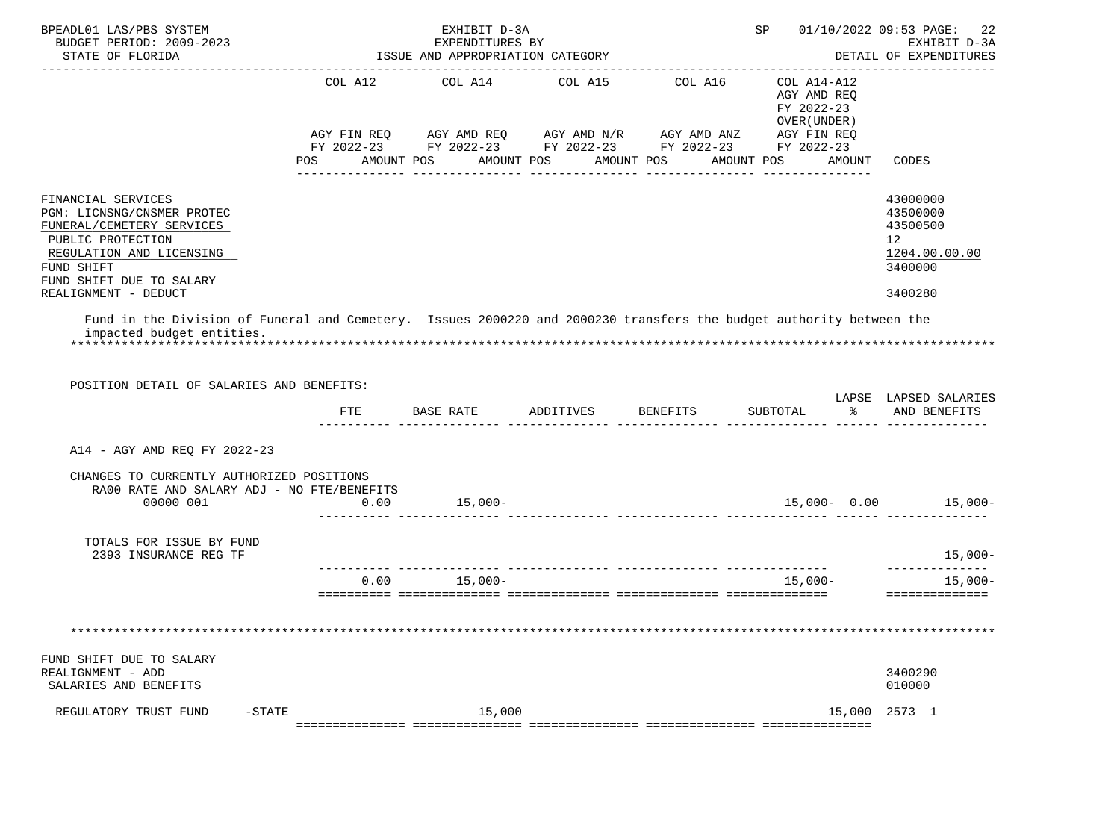| BPEADL01 LAS/PBS SYSTEM<br>BUDGET PERIOD: 2009-2023<br>STATE OF FLORIDA                                                                                                                          |                                                                                                                           | EXHIBIT D-3A<br>EXPENDITURES BY<br>ISSUE AND APPROPRIATION CATEGORY |                                  |                                                                                                                                          | SP 01/10/2022 09:53 PAGE:                                                     | 22<br>EXHIBIT D-3A<br>DETAIL OF EXPENDITURES                                               |
|--------------------------------------------------------------------------------------------------------------------------------------------------------------------------------------------------|---------------------------------------------------------------------------------------------------------------------------|---------------------------------------------------------------------|----------------------------------|------------------------------------------------------------------------------------------------------------------------------------------|-------------------------------------------------------------------------------|--------------------------------------------------------------------------------------------|
|                                                                                                                                                                                                  | COL A12<br>POS FOR THE POST OF THE POST OF THE POST OF THE POST OF THE POST OF THE POST OF THE POST OF THE POST OF THE PO | COL A14                                                             | AMOUNT POS AMOUNT POS AMOUNT POS | COL A15 COL A16<br>AGY FIN REQ AGY AMD REQ AGY AMD N/R AGY AMD ANZ AGY FIN REQ<br>FY 2022-23 FY 2022-23 FY 2022-23 FY 2022-23 FY 2022-23 | COL A14-A12<br>AGY AMD REQ<br>FY 2022-23<br>OVER (UNDER)<br>AMOUNT POS AMOUNT | CODES                                                                                      |
| FINANCIAL SERVICES<br>PGM: LICNSNG/CNSMER PROTEC<br>FUNERAL/CEMETERY SERVICES<br>PUBLIC PROTECTION<br>REGULATION AND LICENSING<br>FUND SHIFT<br>FUND SHIFT DUE TO SALARY<br>REALIGNMENT - DEDUCT |                                                                                                                           |                                                                     |                                  |                                                                                                                                          |                                                                               | 43000000<br>43500000<br>43500500<br>12 <sup>°</sup><br>1204.00.00.00<br>3400000<br>3400280 |
| Fund in the Division of Funeral and Cemetery. Issues 2000220 and 2000230 transfers the budget authority between the<br>impacted budget entities.<br>POSITION DETAIL OF SALARIES AND BENEFITS:    |                                                                                                                           |                                                                     |                                  |                                                                                                                                          |                                                                               | LAPSE LAPSED SALARIES                                                                      |
|                                                                                                                                                                                                  | FTE                                                                                                                       |                                                                     | BASE RATE ADDITIVES BENEFITS     |                                                                                                                                          | SUBTOTAL                                                                      | % AND BENEFITS                                                                             |
| A14 - AGY AMD REQ FY 2022-23                                                                                                                                                                     |                                                                                                                           |                                                                     |                                  |                                                                                                                                          |                                                                               |                                                                                            |
| CHANGES TO CURRENTLY AUTHORIZED POSITIONS<br>RA00 RATE AND SALARY ADJ - NO FTE/BENEFITS<br>00000 001                                                                                             |                                                                                                                           |                                                                     |                                  | $0.00$ 15,000- 15,000- 15,000- 15,000- 15,000- 15,000- 15,000- 15,000- 15,000- 15,000-                                                   |                                                                               |                                                                                            |
| TOTALS FOR ISSUE BY FUND<br>2393 INSURANCE REG TF                                                                                                                                                |                                                                                                                           |                                                                     |                                  |                                                                                                                                          |                                                                               | $15,000-$                                                                                  |
|                                                                                                                                                                                                  |                                                                                                                           | $0.00$ 15,000-                                                      |                                  |                                                                                                                                          | $15,000-$                                                                     | --------------<br>$15,000-$<br>==============                                              |
|                                                                                                                                                                                                  |                                                                                                                           |                                                                     |                                  |                                                                                                                                          |                                                                               |                                                                                            |
| FUND SHIFT DUE TO SALARY<br>REALIGNMENT - ADD<br>SALARIES AND BENEFITS                                                                                                                           |                                                                                                                           |                                                                     |                                  |                                                                                                                                          |                                                                               | 3400290<br>010000                                                                          |
| REGULATORY TRUST FUND<br>$-STATE$                                                                                                                                                                |                                                                                                                           | 15,000                                                              |                                  |                                                                                                                                          | 15,000                                                                        | 2573 1                                                                                     |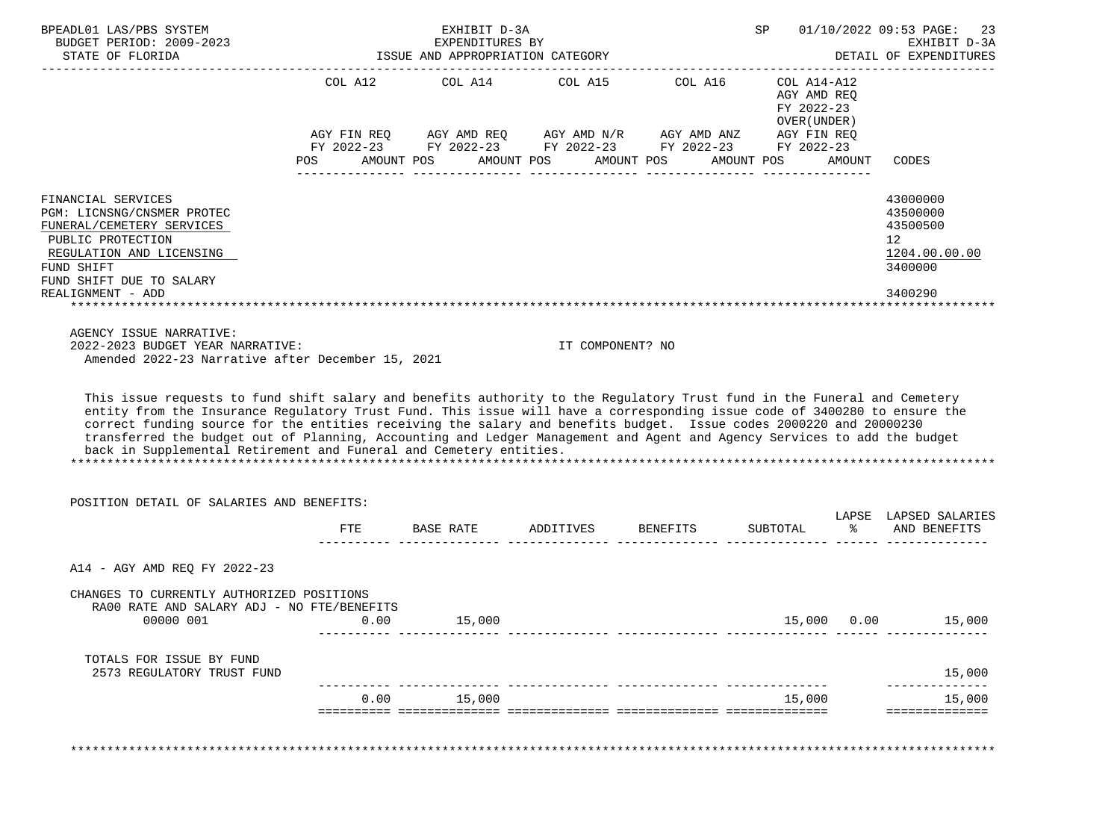| BPEADL01 LAS/PBS SYSTEM                                                                                                                                                                                                                                                                                                                                                                                                                                                                                                                                                                                                    |      | EXHIBIT D-3A                                        |                              |                                                                                                                                                          | SP                                                       |             | 01/10/2022 09:53 PAGE: 23                                          |
|----------------------------------------------------------------------------------------------------------------------------------------------------------------------------------------------------------------------------------------------------------------------------------------------------------------------------------------------------------------------------------------------------------------------------------------------------------------------------------------------------------------------------------------------------------------------------------------------------------------------------|------|-----------------------------------------------------|------------------------------|----------------------------------------------------------------------------------------------------------------------------------------------------------|----------------------------------------------------------|-------------|--------------------------------------------------------------------|
| BUDGET PERIOD: 2009-2023<br>STATE OF FLORIDA                                                                                                                                                                                                                                                                                                                                                                                                                                                                                                                                                                               |      | EXPENDITURES BY<br>ISSUE AND APPROPRIATION CATEGORY |                              |                                                                                                                                                          | EXHIBIT D-3A<br>DETAIL OF EXPENDITURES                   |             |                                                                    |
|                                                                                                                                                                                                                                                                                                                                                                                                                                                                                                                                                                                                                            |      |                                                     |                              | COL A12 COL A14 COL A15 COL A16<br>AGY FIN REQ AGY AMD REQ AGY AMD N/R AGY AMD ANZ AGY FIN REQ<br>FY 2022-23 FY 2022-23 FY 2022-23 FY 2022-23 FY 2022-23 | COL A14-A12<br>AGY AMD REQ<br>FY 2022-23<br>OVER (UNDER) |             |                                                                    |
|                                                                                                                                                                                                                                                                                                                                                                                                                                                                                                                                                                                                                            | POS  | AMOUNT POS                                          | AMOUNT POS AMOUNT POS        |                                                                                                                                                          | AMOUNT POS                                               | AMOUNT      | CODES                                                              |
| FINANCIAL SERVICES<br>PGM: LICNSNG/CNSMER PROTEC<br>FUNERAL/CEMETERY SERVICES<br>PUBLIC PROTECTION<br>REGULATION AND LICENSING<br>FUND SHIFT<br>FUND SHIFT DUE TO SALARY                                                                                                                                                                                                                                                                                                                                                                                                                                                   |      |                                                     |                              |                                                                                                                                                          |                                                          |             | 43000000<br>43500000<br>43500500<br>12<br>1204.00.00.00<br>3400000 |
| REALIGNMENT - ADD                                                                                                                                                                                                                                                                                                                                                                                                                                                                                                                                                                                                          |      |                                                     |                              |                                                                                                                                                          |                                                          |             | 3400290                                                            |
| This issue requests to fund shift salary and benefits authority to the Regulatory Trust fund in the Funeral and Cemetery<br>entity from the Insurance Regulatory Trust Fund. This issue will have a corresponding issue code of 3400280 to ensure the<br>correct funding source for the entities receiving the salary and benefits budget. Issue codes 2000220 and 20000230<br>transferred the budget out of Planning, Accounting and Ledger Management and Agent and Agency Services to add the budget<br>back in Supplemental Retirement and Funeral and Cemetery entities.<br>POSITION DETAIL OF SALARIES AND BENEFITS: |      |                                                     |                              |                                                                                                                                                          |                                                          |             |                                                                    |
|                                                                                                                                                                                                                                                                                                                                                                                                                                                                                                                                                                                                                            | FTE  |                                                     | BASE RATE ADDITIVES BENEFITS |                                                                                                                                                          |                                                          |             | LAPSE LAPSED SALARIES<br>SUBTOTAL % AND BENEFITS                   |
| A14 - AGY AMD REQ FY 2022-23                                                                                                                                                                                                                                                                                                                                                                                                                                                                                                                                                                                               |      |                                                     |                              |                                                                                                                                                          |                                                          |             |                                                                    |
| CHANGES TO CURRENTLY AUTHORIZED POSITIONS<br>RA00 RATE AND SALARY ADJ - NO FTE/BENEFITS<br>00000 001                                                                                                                                                                                                                                                                                                                                                                                                                                                                                                                       | 0.00 | 15,000                                              |                              |                                                                                                                                                          |                                                          | 15,000 0.00 | 15,000                                                             |
| TOTALS FOR ISSUE BY FUND<br>2573 REGULATORY TRUST FUND                                                                                                                                                                                                                                                                                                                                                                                                                                                                                                                                                                     |      |                                                     |                              |                                                                                                                                                          |                                                          |             | 15,000                                                             |
|                                                                                                                                                                                                                                                                                                                                                                                                                                                                                                                                                                                                                            | 0.00 | 15,000                                              |                              |                                                                                                                                                          | 15,000                                                   |             | 15,000<br>==============                                           |
|                                                                                                                                                                                                                                                                                                                                                                                                                                                                                                                                                                                                                            |      |                                                     |                              |                                                                                                                                                          |                                                          |             |                                                                    |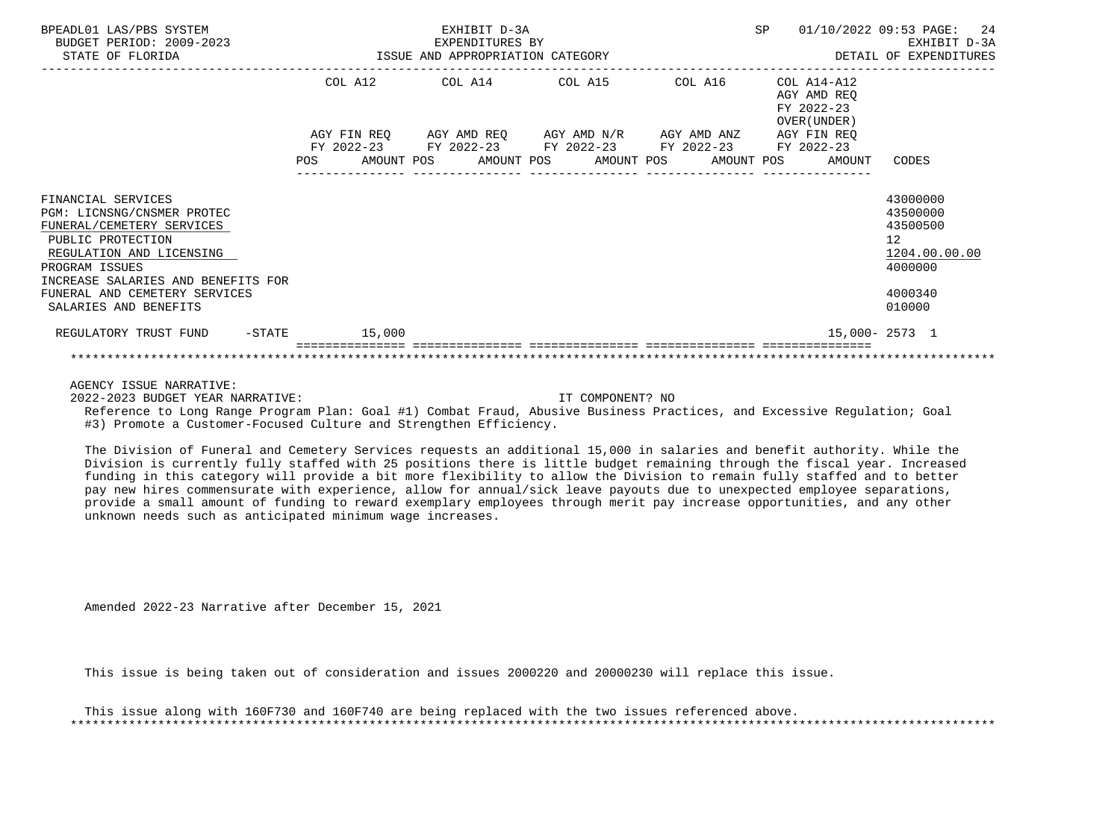| BPEADL01 LAS/PBS SYSTEM<br>BUDGET PERIOD: 2009-2023<br>STATE OF FLORIDA                                                                                                                                                                          | ISSUE AND APPROPRIATION CATEGORY | EXHIBIT D-3A<br>EXPENDITURES BY |                                                                                                                                                                      | SP                                                       | 01/10/2022 09:53 PAGE: 24<br>EXHIBIT D-3A<br>DETAIL OF EXPENDITURES                     |
|--------------------------------------------------------------------------------------------------------------------------------------------------------------------------------------------------------------------------------------------------|----------------------------------|---------------------------------|----------------------------------------------------------------------------------------------------------------------------------------------------------------------|----------------------------------------------------------|-----------------------------------------------------------------------------------------|
|                                                                                                                                                                                                                                                  |                                  |                                 | COL A12 COL A14 COL A15 COL A16                                                                                                                                      | COL A14-A12<br>AGY AMD REO<br>FY 2022-23<br>OVER (UNDER) |                                                                                         |
|                                                                                                                                                                                                                                                  | POS                              |                                 | AGY FIN REQ AGY AMD REQ AGY AMD N/R AGY AMD ANZ AGY FIN REQ<br>FY 2022-23 FY 2022-23 FY 2022-23 FY 2022-23 FY 2022-23<br>AMOUNT POS AMOUNT POS AMOUNT POS AMOUNT POS | AMOUNT                                                   | CODES                                                                                   |
| FINANCIAL SERVICES<br>PGM: LICNSNG/CNSMER PROTEC<br>FUNERAL/CEMETERY SERVICES<br>PUBLIC PROTECTION<br>REGULATION AND LICENSING<br>PROGRAM ISSUES<br>INCREASE SALARIES AND BENEFITS FOR<br>FUNERAL AND CEMETERY SERVICES<br>SALARIES AND BENEFITS |                                  |                                 |                                                                                                                                                                      |                                                          | 43000000<br>43500000<br>43500500<br>12<br>1204.00.00.00<br>4000000<br>4000340<br>010000 |
| REGULATORY TRUST FUND -STATE 15,000                                                                                                                                                                                                              |                                  |                                 |                                                                                                                                                                      | 15,000- 2573 1                                           |                                                                                         |
|                                                                                                                                                                                                                                                  |                                  |                                 |                                                                                                                                                                      |                                                          |                                                                                         |

2022-2023 BUDGET YEAR NARRATIVE: IT COMPONENT? NO

 Reference to Long Range Program Plan: Goal #1) Combat Fraud, Abusive Business Practices, and Excessive Regulation; Goal #3) Promote a Customer-Focused Culture and Strengthen Efficiency.

 The Division of Funeral and Cemetery Services requests an additional 15,000 in salaries and benefit authority. While the Division is currently fully staffed with 25 positions there is little budget remaining through the fiscal year. Increased funding in this category will provide a bit more flexibility to allow the Division to remain fully staffed and to better pay new hires commensurate with experience, allow for annual/sick leave payouts due to unexpected employee separations, provide a small amount of funding to reward exemplary employees through merit pay increase opportunities, and any other unknown needs such as anticipated minimum wage increases.

Amended 2022-23 Narrative after December 15, 2021

This issue is being taken out of consideration and issues 2000220 and 20000230 will replace this issue.

 This issue along with 160F730 and 160F740 are being replaced with the two issues referenced above. \*\*\*\*\*\*\*\*\*\*\*\*\*\*\*\*\*\*\*\*\*\*\*\*\*\*\*\*\*\*\*\*\*\*\*\*\*\*\*\*\*\*\*\*\*\*\*\*\*\*\*\*\*\*\*\*\*\*\*\*\*\*\*\*\*\*\*\*\*\*\*\*\*\*\*\*\*\*\*\*\*\*\*\*\*\*\*\*\*\*\*\*\*\*\*\*\*\*\*\*\*\*\*\*\*\*\*\*\*\*\*\*\*\*\*\*\*\*\*\*\*\*\*\*\*\*\*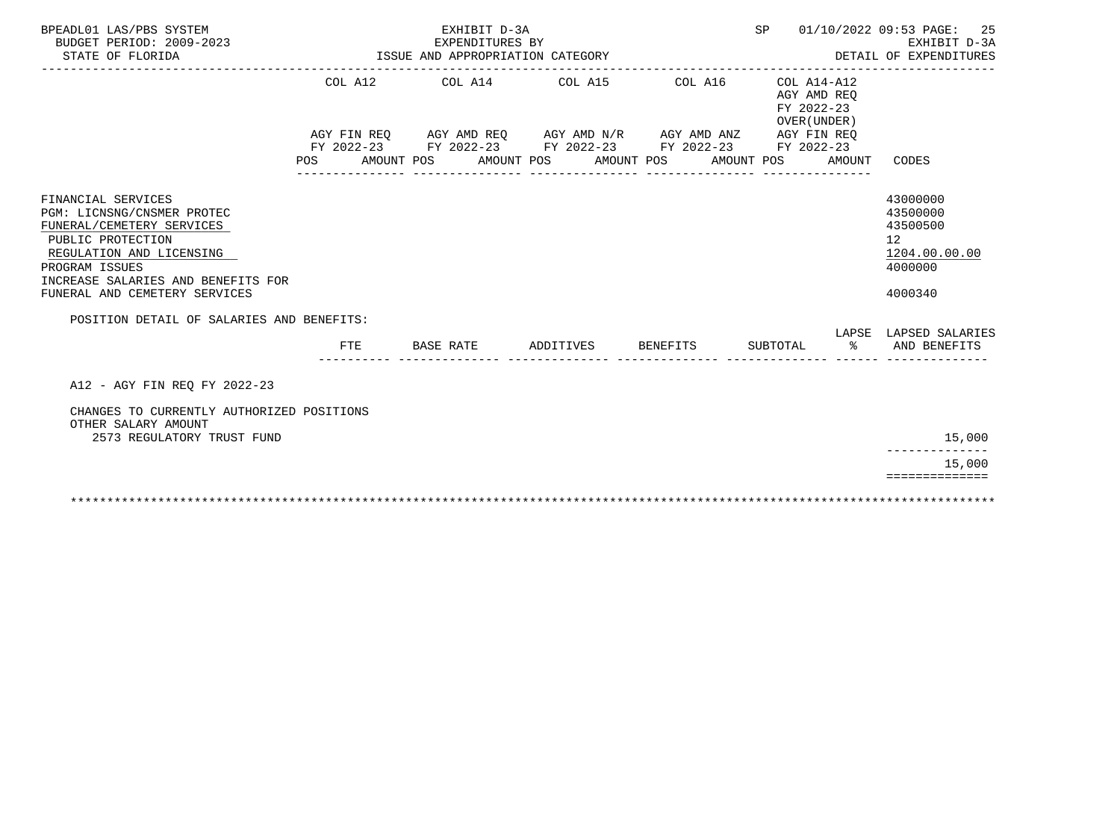| BPEADL01 LAS/PBS SYSTEM<br>BUDGET PERIOD: 2009-2023                                                                                                                                                                     |                                           | EXHIBIT D-3A<br>EXPENDITURES BY                                                                                  |                    |                                                          | SP 01/10/2022 09:53 PAGE: 25<br>EXHIBIT D-3A                                  |
|-------------------------------------------------------------------------------------------------------------------------------------------------------------------------------------------------------------------------|-------------------------------------------|------------------------------------------------------------------------------------------------------------------|--------------------|----------------------------------------------------------|-------------------------------------------------------------------------------|
| STATE OF FLORIDA                                                                                                                                                                                                        |                                           | ISSUE AND APPROPRIATION CATEGORY                                                                                 |                    |                                                          | DETAIL OF EXPENDITURES                                                        |
|                                                                                                                                                                                                                         |                                           | COL A12 COL A14 COL A15 COL A16<br>AGY FIN REQ AGY AMD REQ AGY AMD N/R AGY AMD ANZ AGY FIN REQ                   |                    | COL A14-A12<br>AGY AMD REO<br>FY 2022-23<br>OVER (UNDER) |                                                                               |
|                                                                                                                                                                                                                         |                                           | FY 2022-23 FY 2022-23 FY 2022-23 FY 2022-23 FY 2022-23<br>POS AMOUNT POS AMOUNT POS AMOUNT POS AMOUNT POS AMOUNT |                    |                                                          | CODES                                                                         |
| FINANCIAL SERVICES<br>PGM: LICNSNG/CNSMER PROTEC<br>FUNERAL/CEMETERY SERVICES<br>PUBLIC PROTECTION<br>REGULATION AND LICENSING<br>PROGRAM ISSUES<br>INCREASE SALARIES AND BENEFITS FOR<br>FUNERAL AND CEMETERY SERVICES | POSITION DETAIL OF SALARIES AND BENEFITS: |                                                                                                                  |                    |                                                          | 43000000<br>43500000<br>43500500<br>12<br>1204.00.00.00<br>4000000<br>4000340 |
|                                                                                                                                                                                                                         | FTE                                       | <b>BASE RATE</b>                                                                                                 | ADDITIVES BENEFITS |                                                          | LAPSE LAPSED SALARIES<br>SUBTOTAL % AND BENEFITS                              |
| A12 - AGY FIN REQ FY 2022-23                                                                                                                                                                                            |                                           |                                                                                                                  |                    |                                                          |                                                                               |
| CHANGES TO CURRENTLY AUTHORIZED POSITIONS<br>OTHER SALARY AMOUNT<br>2573 REGULATORY TRUST FUND                                                                                                                          |                                           |                                                                                                                  |                    |                                                          | 15,000                                                                        |
|                                                                                                                                                                                                                         |                                           |                                                                                                                  |                    |                                                          | 15,000                                                                        |
|                                                                                                                                                                                                                         |                                           |                                                                                                                  |                    |                                                          | ==============                                                                |
|                                                                                                                                                                                                                         |                                           |                                                                                                                  |                    |                                                          |                                                                               |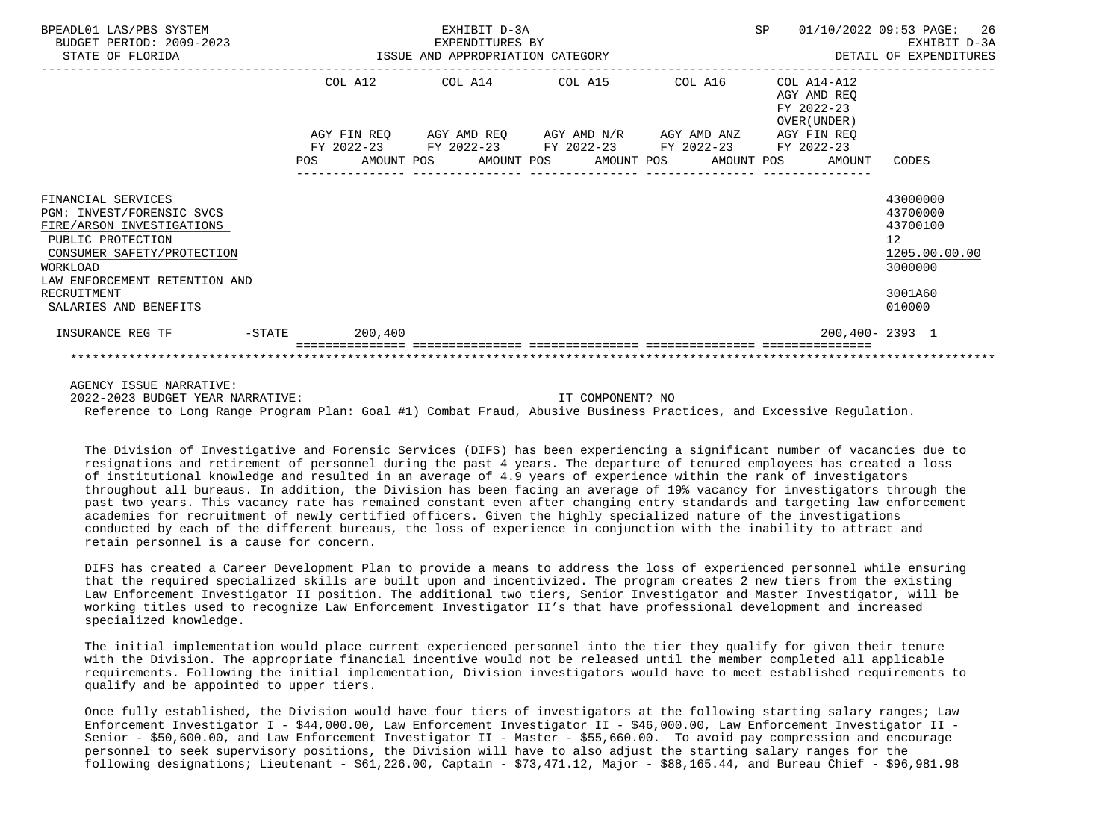| BPEADL01 LAS/PBS SYSTEM<br>BUDGET PERIOD: 2009-2023<br>STATE OF FLORIDA                                                                                                                                              |     |                  | EXHIBIT D-3A<br>EXPENDITURES BY<br>ISSUE AND APPROPRIATION CATEGORY |                                                                                                            |  | SP |                                                          | 01/10/2022 09:53 PAGE: 26<br>EXHIBIT D-3A<br>DETAIL OF EXPENDITURES                     |
|----------------------------------------------------------------------------------------------------------------------------------------------------------------------------------------------------------------------|-----|------------------|---------------------------------------------------------------------|------------------------------------------------------------------------------------------------------------|--|----|----------------------------------------------------------|-----------------------------------------------------------------------------------------|
|                                                                                                                                                                                                                      |     |                  |                                                                     | COL A12 COL A14 COL A15 COL A16                                                                            |  |    | COL A14-A12<br>AGY AMD REO<br>FY 2022-23<br>OVER (UNDER) |                                                                                         |
|                                                                                                                                                                                                                      | POS | FY 2022-23       |                                                                     | AGY FIN REO AGY AMD REO AGY AMD N/R AGY AMD ANZ AGY FIN REO<br>FY 2022-23 FY 2022-23 FY 2022-23 FY 2022-23 |  |    | AMOUNT POS AMOUNT POS AMOUNT POS AMOUNT POS AMOUNT       | CODES                                                                                   |
| FINANCIAL SERVICES<br>PGM: INVEST/FORENSIC SVCS<br>FIRE/ARSON INVESTIGATIONS<br>PUBLIC PROTECTION<br>CONSUMER SAFETY/PROTECTION<br>WORKLOAD<br>LAW ENFORCEMENT RETENTION AND<br>RECRUITMENT<br>SALARIES AND BENEFITS |     |                  |                                                                     |                                                                                                            |  |    |                                                          | 43000000<br>43700000<br>43700100<br>12<br>1205.00.00.00<br>3000000<br>3001A60<br>010000 |
| INSURANCE REG TF                                                                                                                                                                                                     |     | $-STATE$ 200,400 |                                                                     |                                                                                                            |  |    |                                                          | $200,400 - 2393$ 1                                                                      |
|                                                                                                                                                                                                                      |     |                  |                                                                     |                                                                                                            |  |    |                                                          |                                                                                         |

2022-2023 BUDGET YEAR NARRATIVE: IT COMPONENT? NO

Reference to Long Range Program Plan: Goal #1) Combat Fraud, Abusive Business Practices, and Excessive Regulation.

 The Division of Investigative and Forensic Services (DIFS) has been experiencing a significant number of vacancies due to resignations and retirement of personnel during the past 4 years. The departure of tenured employees has created a loss of institutional knowledge and resulted in an average of 4.9 years of experience within the rank of investigators throughout all bureaus. In addition, the Division has been facing an average of 19% vacancy for investigators through the past two years. This vacancy rate has remained constant even after changing entry standards and targeting law enforcement academies for recruitment of newly certified officers. Given the highly specialized nature of the investigations conducted by each of the different bureaus, the loss of experience in conjunction with the inability to attract and retain personnel is a cause for concern.

 DIFS has created a Career Development Plan to provide a means to address the loss of experienced personnel while ensuring that the required specialized skills are built upon and incentivized. The program creates 2 new tiers from the existing Law Enforcement Investigator II position. The additional two tiers, Senior Investigator and Master Investigator, will be working titles used to recognize Law Enforcement Investigator II's that have professional development and increased specialized knowledge.

 The initial implementation would place current experienced personnel into the tier they qualify for given their tenure with the Division. The appropriate financial incentive would not be released until the member completed all applicable requirements. Following the initial implementation, Division investigators would have to meet established requirements to qualify and be appointed to upper tiers.

 Once fully established, the Division would have four tiers of investigators at the following starting salary ranges; Law Enforcement Investigator I - \$44,000.00, Law Enforcement Investigator II - \$46,000.00, Law Enforcement Investigator II - Senior - \$50,600.00, and Law Enforcement Investigator II - Master - \$55,660.00. To avoid pay compression and encourage personnel to seek supervisory positions, the Division will have to also adjust the starting salary ranges for the following designations; Lieutenant - \$61,226.00, Captain - \$73,471.12, Major - \$88,165.44, and Bureau Chief - \$96,981.98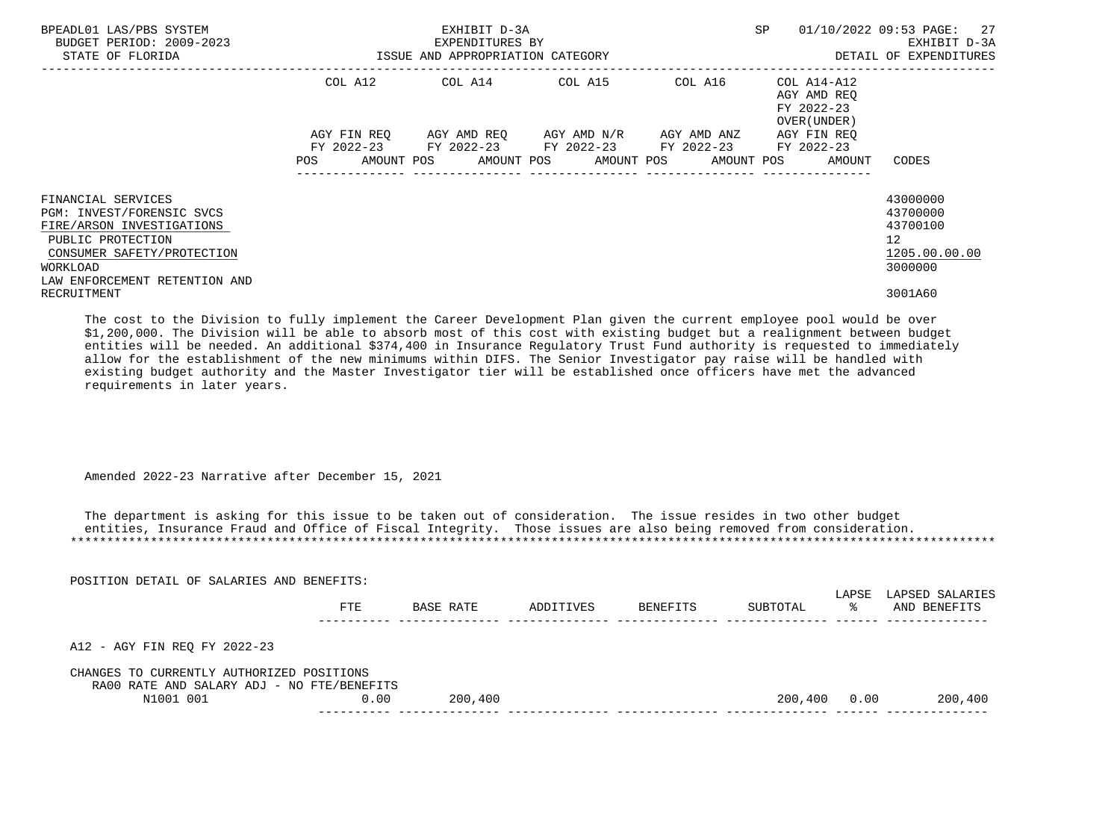| BPEADL01 LAS/PBS SYSTEM<br>BUDGET PERIOD: 2009-2023<br>STATE OF FLORIDA                                                                                                      | ISSUE AND APPROPRIATION CATEGORY | EXHIBIT D-3A<br>EXPENDITURES BY                                                                           |                  | SP                                                                          | 01/10/2022 09:53 PAGE: 27<br>EXHIBIT D-3A<br>DETAIL OF EXPENDITURES             |
|------------------------------------------------------------------------------------------------------------------------------------------------------------------------------|----------------------------------|-----------------------------------------------------------------------------------------------------------|------------------|-----------------------------------------------------------------------------|---------------------------------------------------------------------------------|
|                                                                                                                                                                              | COL A12                          | COL A14 $\phantom{000}$ COL A15 $\phantom{000}$ COL $\phantom{000}$ A14-A12                               |                  | AGY AMD REO<br>FY 2022-23<br>OVER (UNDER)                                   |                                                                                 |
|                                                                                                                                                                              |                                  | AGY FIN REQ AGY AMD REQ AGY AMD N/R AGY AMD ANZ<br>FY 2022-23 FY 2022-23 FY 2022-23 FY 2022-23 FY 2022-23 | ---------------- | AGY FIN REO<br>POS AMOUNT POS AMOUNT POS AMOUNT POS AMOUNT POS AMOUNT CODES |                                                                                 |
| FINANCIAL SERVICES<br>PGM: INVEST/FORENSIC SVCS<br>FIRE/ARSON INVESTIGATIONS<br>PUBLIC PROTECTION<br>CONSUMER SAFETY/PROTECTION<br>WORKLOAD<br>LAW ENFORCEMENT RETENTION AND |                                  |                                                                                                           |                  |                                                                             | 43000000<br>43700000<br>43700100<br>12 <sup>°</sup><br>1205.00.00.00<br>3000000 |
| RECRUITMENT                                                                                                                                                                  |                                  |                                                                                                           |                  |                                                                             | 3001A60                                                                         |

 The cost to the Division to fully implement the Career Development Plan given the current employee pool would be over \$1,200,000. The Division will be able to absorb most of this cost with existing budget but a realignment between budget entities will be needed. An additional \$374,400 in Insurance Regulatory Trust Fund authority is requested to immediately allow for the establishment of the new minimums within DIFS. The Senior Investigator pay raise will be handled with existing budget authority and the Master Investigator tier will be established once officers have met the advanced requirements in later years.

Amended 2022-23 Narrative after December 15, 2021

 The department is asking for this issue to be taken out of consideration. The issue resides in two other budget entities, Insurance Fraud and Office of Fiscal Integrity. Those issues are also being removed from consideration. \*\*\*\*\*\*\*\*\*\*\*\*\*\*\*\*\*\*\*\*\*\*\*\*\*\*\*\*\*\*\*\*\*\*\*\*\*\*\*\*\*\*\*\*\*\*\*\*\*\*\*\*\*\*\*\*\*\*\*\*\*\*\*\*\*\*\*\*\*\*\*\*\*\*\*\*\*\*\*\*\*\*\*\*\*\*\*\*\*\*\*\*\*\*\*\*\*\*\*\*\*\*\*\*\*\*\*\*\*\*\*\*\*\*\*\*\*\*\*\*\*\*\*\*\*\*\*

| POSITION DETAIL OF SALARIES AND BENEFITS:                                               |      |           |           |          |          |             |                                 |
|-----------------------------------------------------------------------------------------|------|-----------|-----------|----------|----------|-------------|---------------------------------|
|                                                                                         | FTE  | BASE RATE | ADDITIVES | BENEFITS | SUBTOTAL | LAPSE<br>°≈ | LAPSED SALARIES<br>AND BENEFITS |
|                                                                                         |      |           |           |          |          |             |                                 |
| A12 - AGY FIN REO FY 2022-23                                                            |      |           |           |          |          |             |                                 |
| CHANGES TO CURRENTLY AUTHORIZED POSITIONS<br>RA00 RATE AND SALARY ADJ - NO FTE/BENEFITS |      |           |           |          |          |             |                                 |
| N1001 001                                                                               | 0.00 | 200,400   |           |          | 200,400  | 0.00        | 200,400                         |
|                                                                                         |      |           |           |          |          |             |                                 |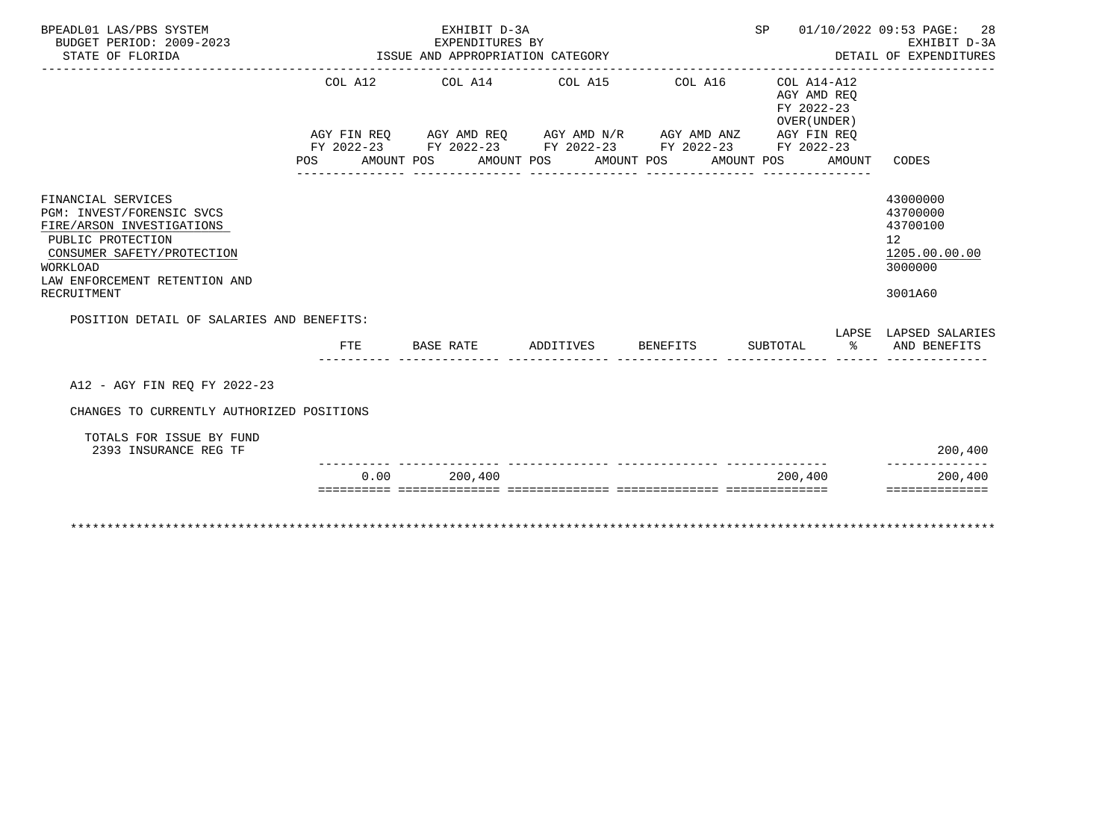| BPEADL01 LAS/PBS SYSTEM<br>BUDGET PERIOD: 2009-2023                                                                                         |     |                                  |           | EXHIBIT D-3A<br>EXPENDITURES BY |                                                                                                                                                                                                          |            |                                                     | SP 01/10/2022 09:53 PAGE: 28<br>EXHIBIT D-3A                                    |
|---------------------------------------------------------------------------------------------------------------------------------------------|-----|----------------------------------|-----------|---------------------------------|----------------------------------------------------------------------------------------------------------------------------------------------------------------------------------------------------------|------------|-----------------------------------------------------|---------------------------------------------------------------------------------|
| STATE OF FLORIDA                                                                                                                            |     | ISSUE AND APPROPRIATION CATEGORY |           |                                 |                                                                                                                                                                                                          |            |                                                     | DETAIL OF EXPENDITURES                                                          |
|                                                                                                                                             | POS |                                  |           |                                 | COL A12 COL A14 COL A15 COL A16 COL A14-A12<br>AGY FIN REQ AGY AMD REQ AGY AMD N/R AGY AMD ANZ AGY FIN REQ<br>FY 2022-23 FY 2022-23 FY 2022-23 FY 2022-23 FY 2022-23<br>AMOUNT POS AMOUNT POS AMOUNT POS | AMOUNT POS | AGY AMD REO<br>FY 2022-23<br>OVER (UNDER)<br>AMOUNT | CODES                                                                           |
|                                                                                                                                             |     |                                  |           |                                 |                                                                                                                                                                                                          |            |                                                     |                                                                                 |
| FINANCIAL SERVICES<br>PGM: INVEST/FORENSIC SVCS<br>FIRE/ARSON INVESTIGATIONS<br>PUBLIC PROTECTION<br>CONSUMER SAFETY/PROTECTION<br>WORKLOAD |     |                                  |           |                                 |                                                                                                                                                                                                          |            |                                                     | 43000000<br>43700000<br>43700100<br>12 <sup>°</sup><br>1205.00.00.00<br>3000000 |
| LAW ENFORCEMENT RETENTION AND<br>RECRUITMENT                                                                                                |     |                                  |           |                                 |                                                                                                                                                                                                          |            |                                                     | 3001A60                                                                         |
| POSITION DETAIL OF SALARIES AND BENEFITS:                                                                                                   |     |                                  |           |                                 |                                                                                                                                                                                                          |            |                                                     |                                                                                 |
|                                                                                                                                             |     | FTE                              | BASE RATE |                                 | ADDITIVES BENEFITS                                                                                                                                                                                       |            |                                                     | LAPSE LAPSED SALARIES<br>SUBTOTAL % AND BENEFITS                                |
| A12 - AGY FIN REO FY 2022-23                                                                                                                |     |                                  |           |                                 |                                                                                                                                                                                                          |            |                                                     |                                                                                 |
| CHANGES TO CURRENTLY AUTHORIZED POSITIONS                                                                                                   |     |                                  |           |                                 |                                                                                                                                                                                                          |            |                                                     |                                                                                 |
| TOTALS FOR ISSUE BY FUND<br>2393 INSURANCE REG TF                                                                                           |     |                                  |           |                                 |                                                                                                                                                                                                          |            |                                                     | 200,400                                                                         |
|                                                                                                                                             |     | 0.00                             |           | 200,400                         |                                                                                                                                                                                                          |            | 200,400                                             | -------------<br>200,400                                                        |
|                                                                                                                                             |     |                                  |           |                                 |                                                                                                                                                                                                          |            |                                                     | ==============                                                                  |
|                                                                                                                                             |     |                                  |           |                                 |                                                                                                                                                                                                          |            |                                                     |                                                                                 |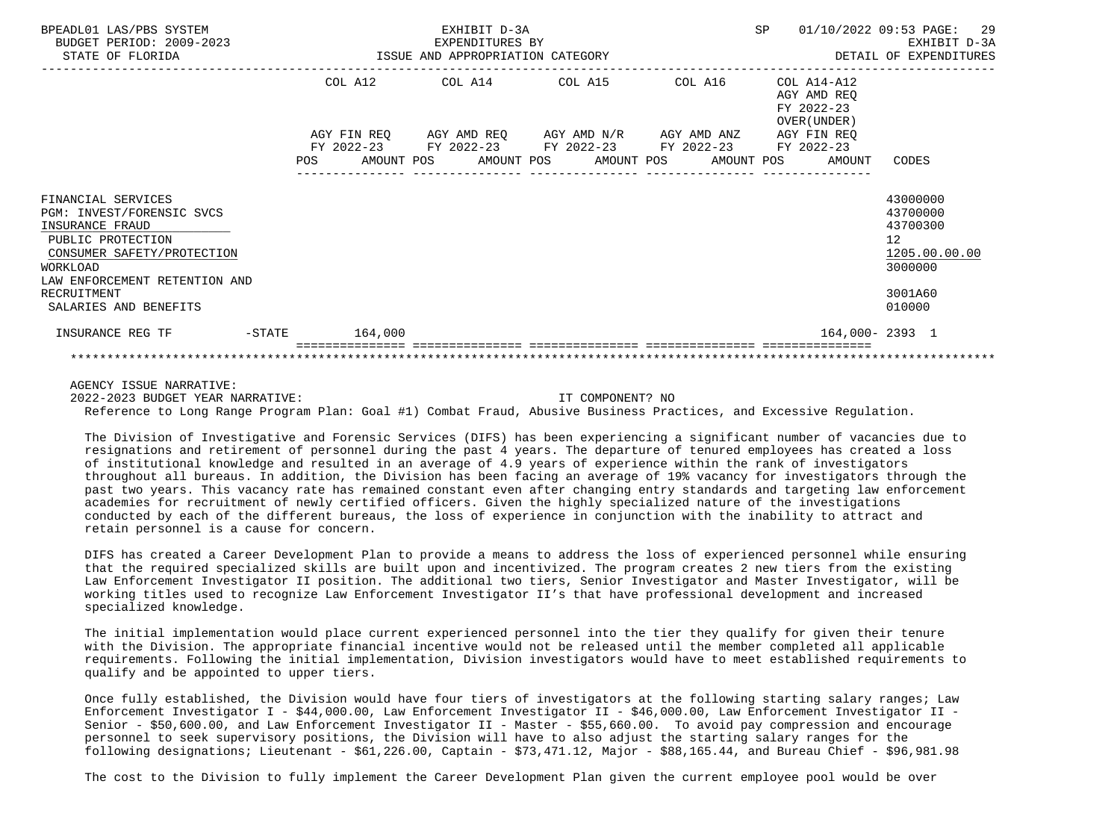| BPEADL01 LAS/PBS SYSTEM<br>BUDGET PERIOD: 2009-2023<br>STATE OF FLORIDA                                                                                                                                           |     |         | EXHIBIT D-3A<br>EXPENDITURES BY<br>ISSUE AND APPROPRIATION CATEGORY |                                                                                            |         | SP                                                       | 01/10/2022 09:53 PAGE: 29<br>EXHIBIT D-3A<br>DETAIL OF EXPENDITURES                     |
|-------------------------------------------------------------------------------------------------------------------------------------------------------------------------------------------------------------------|-----|---------|---------------------------------------------------------------------|--------------------------------------------------------------------------------------------|---------|----------------------------------------------------------|-----------------------------------------------------------------------------------------|
|                                                                                                                                                                                                                   |     |         |                                                                     | COL A12 COL A14 COL A15                                                                    | COL A16 | COL A14-A12<br>AGY AMD REO<br>FY 2022-23<br>OVER (UNDER) |                                                                                         |
|                                                                                                                                                                                                                   |     |         |                                                                     | AGY FIN REQ AGY AMD REQ AGY AMD N/R AGY AMD ANZ AGY FIN REQ                                |         |                                                          |                                                                                         |
|                                                                                                                                                                                                                   | POS |         |                                                                     | FY 2022-23 FY 2022-23 FY 2022-23 FY 2022-23<br>AMOUNT POS AMOUNT POS AMOUNT POS AMOUNT POS |         | FY 2022-23<br>AMOUNT                                     | CODES                                                                                   |
| FINANCIAL SERVICES<br>PGM: INVEST/FORENSIC SVCS<br>INSURANCE FRAUD<br>PUBLIC PROTECTION<br>CONSUMER SAFETY/PROTECTION<br><b>WORKLOAD</b><br>LAW ENFORCEMENT RETENTION AND<br>RECRUITMENT<br>SALARIES AND BENEFITS |     |         |                                                                     |                                                                                            |         |                                                          | 43000000<br>43700000<br>43700300<br>12<br>1205.00.00.00<br>3000000<br>3001A60<br>010000 |
| INSURANCE REG TF<br>$-STATE$                                                                                                                                                                                      |     | 164,000 |                                                                     |                                                                                            |         | 164,000-2393 1                                           |                                                                                         |
|                                                                                                                                                                                                                   |     |         |                                                                     |                                                                                            |         |                                                          |                                                                                         |

2022-2023 BUDGET YEAR NARRATIVE: IT COMPONENT? NO

Reference to Long Range Program Plan: Goal #1) Combat Fraud, Abusive Business Practices, and Excessive Regulation.

 The Division of Investigative and Forensic Services (DIFS) has been experiencing a significant number of vacancies due to resignations and retirement of personnel during the past 4 years. The departure of tenured employees has created a loss of institutional knowledge and resulted in an average of 4.9 years of experience within the rank of investigators throughout all bureaus. In addition, the Division has been facing an average of 19% vacancy for investigators through the past two years. This vacancy rate has remained constant even after changing entry standards and targeting law enforcement academies for recruitment of newly certified officers. Given the highly specialized nature of the investigations conducted by each of the different bureaus, the loss of experience in conjunction with the inability to attract and retain personnel is a cause for concern.

 DIFS has created a Career Development Plan to provide a means to address the loss of experienced personnel while ensuring that the required specialized skills are built upon and incentivized. The program creates 2 new tiers from the existing Law Enforcement Investigator II position. The additional two tiers, Senior Investigator and Master Investigator, will be working titles used to recognize Law Enforcement Investigator II's that have professional development and increased specialized knowledge.

 The initial implementation would place current experienced personnel into the tier they qualify for given their tenure with the Division. The appropriate financial incentive would not be released until the member completed all applicable requirements. Following the initial implementation, Division investigators would have to meet established requirements to qualify and be appointed to upper tiers.

 Once fully established, the Division would have four tiers of investigators at the following starting salary ranges; Law Enforcement Investigator I - \$44,000.00, Law Enforcement Investigator II - \$46,000.00, Law Enforcement Investigator II - Senior - \$50,600.00, and Law Enforcement Investigator II - Master - \$55,660.00. To avoid pay compression and encourage personnel to seek supervisory positions, the Division will have to also adjust the starting salary ranges for the following designations; Lieutenant - \$61,226.00, Captain - \$73,471.12, Major - \$88,165.44, and Bureau Chief - \$96,981.98

The cost to the Division to fully implement the Career Development Plan given the current employee pool would be over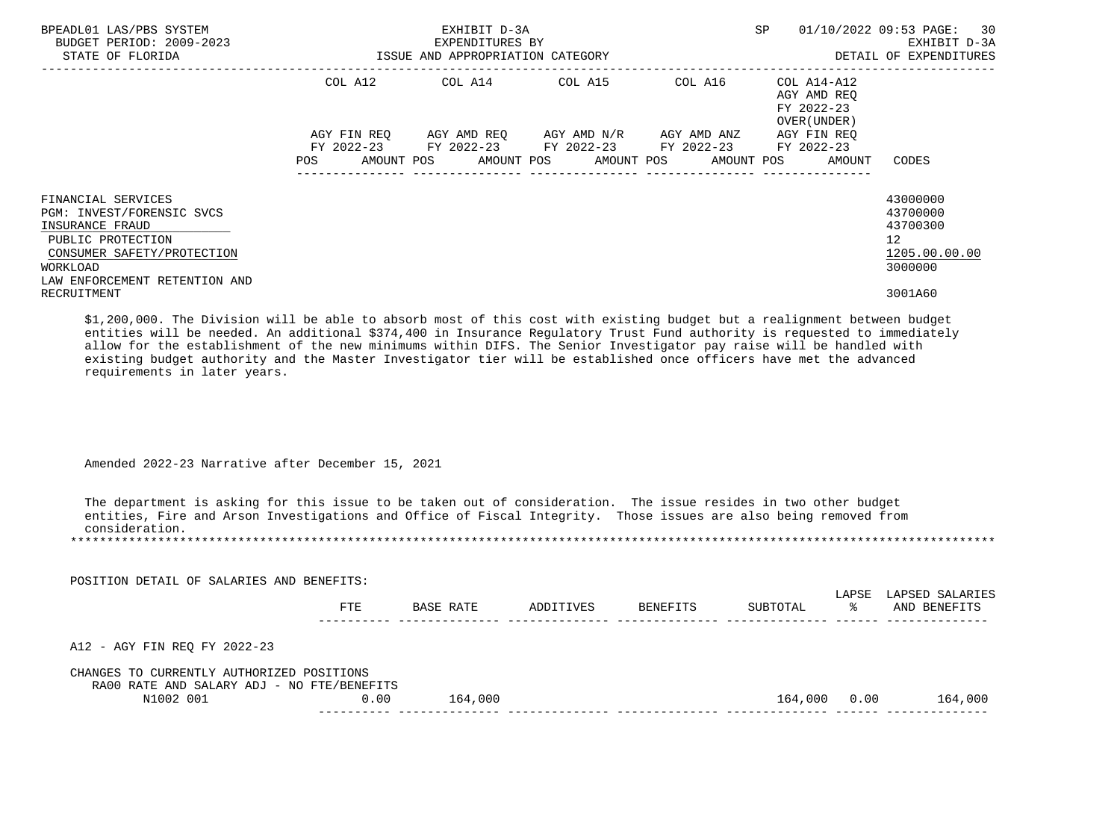| BPEADL01 LAS/PBS SYSTEM<br>BUDGET PERIOD: 2009-2023<br>STATE OF FLORIDA                                                                                            | ISSUE AND APPROPRIATION CATEGORY | EXHIBIT D-3A<br>EXPENDITURES BY             |                                               |                                        | SP                                                                              | 01/10/2022 09:53 PAGE: 30<br>EXHIBIT D-3A<br>DETAIL OF EXPENDITURES             |
|--------------------------------------------------------------------------------------------------------------------------------------------------------------------|----------------------------------|---------------------------------------------|-----------------------------------------------|----------------------------------------|---------------------------------------------------------------------------------|---------------------------------------------------------------------------------|
|                                                                                                                                                                    | COL A12                          | COL A14 COL A15                             |                                               | COL A16                                | COL A14-A12<br>AGY AMD REO<br>FY 2022-23<br>OVER (UNDER )                       |                                                                                 |
|                                                                                                                                                                    | AGY FIN REO<br><b>POS</b>        | FY 2022-23 FY 2022-23 FY 2022-23 FY 2022-23 | AGY AMD REO      AGY AMD N/R      AGY AMD ANZ | ______________________________________ | AGY FIN REO<br>FY 2022-23<br>AMOUNT POS AMOUNT POS AMOUNT POS AMOUNT POS AMOUNT | CODES                                                                           |
| FINANCIAL SERVICES<br>PGM: INVEST/FORENSIC SVCS<br>INSURANCE FRAUD<br>PUBLIC PROTECTION<br>CONSUMER SAFETY/PROTECTION<br>WORKLOAD<br>LAW ENFORCEMENT RETENTION AND |                                  |                                             |                                               |                                        |                                                                                 | 43000000<br>43700000<br>43700300<br>12 <sup>°</sup><br>1205.00.00.00<br>3000000 |
| RECRUITMENT                                                                                                                                                        |                                  |                                             |                                               |                                        |                                                                                 | 3001A60                                                                         |

 \$1,200,000. The Division will be able to absorb most of this cost with existing budget but a realignment between budget entities will be needed. An additional \$374,400 in Insurance Regulatory Trust Fund authority is requested to immediately allow for the establishment of the new minimums within DIFS. The Senior Investigator pay raise will be handled with existing budget authority and the Master Investigator tier will be established once officers have met the advanced requirements in later years.

Amended 2022-23 Narrative after December 15, 2021

 The department is asking for this issue to be taken out of consideration. The issue resides in two other budget entities, Fire and Arson Investigations and Office of Fiscal Integrity. Those issues are also being removed from consideration.<br>\*\*\*\*\*\*\*\*\*\*\*\*\*\*\*\*\*\*\*\*\*\*\*\*\*\*\* \*\*\*\*\*\*\*\*\*\*\*\*\*\*\*\*\*\*\*\*\*\*\*\*\*\*\*\*\*\*\*\*\*\*\*\*\*\*\*\*\*\*\*\*\*\*\*\*\*\*\*\*\*\*\*\*\*\*\*\*\*\*\*\*\*\*\*\*\*\*\*\*\*\*\*\*\*\*\*\*\*\*\*\*\*\*\*\*\*\*\*\*\*\*\*\*\*\*\*\*\*\*\*\*\*\*\*\*\*\*\*\*\*\*\*\*\*\*\*\*\*\*\*\*\*\*\*

| POSITION DETAIL OF SALARIES AND BENEFITS:                                               |      |           |           |          |          |             |                                 |
|-----------------------------------------------------------------------------------------|------|-----------|-----------|----------|----------|-------------|---------------------------------|
|                                                                                         | FTE  | BASE RATE | ADDITIVES | BENEFITS | SUBTOTAL | LAPSE<br>°≈ | LAPSED SALARIES<br>AND BENEFITS |
| A12 - AGY FIN REQ FY 2022-23                                                            |      |           |           |          |          |             |                                 |
| CHANGES TO CURRENTLY AUTHORIZED POSITIONS<br>RA00 RATE AND SALARY ADJ - NO FTE/BENEFITS |      |           |           |          |          |             |                                 |
| N1002 001                                                                               | 0.00 | 164,000   |           |          | 164,000  | 0.00        | 164,000                         |
|                                                                                         |      |           |           |          |          |             |                                 |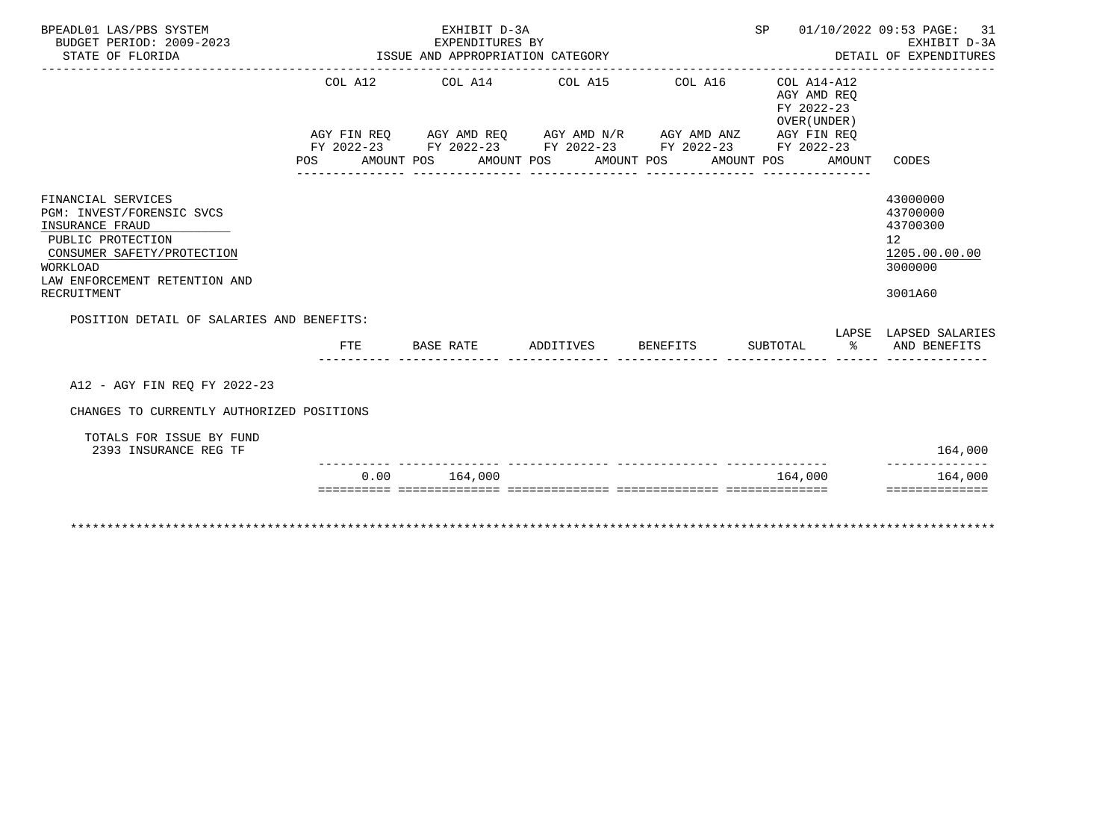| BPEADL01 LAS/PBS SYSTEM<br>BUDGET PERIOD: 2009-2023<br>STATE OF FLORIDA                                                                                                           |            | EXHIBIT D-3A<br>EXPENDITURES BY<br>ISSUE AND APPROPRIATION CATEGORY                                                                                                               |                       | SP 01/10/2022 09:53 PAGE: 31                                       | EXHIBIT D-3A<br>DETAIL OF EXPENDITURES                                                     |
|-----------------------------------------------------------------------------------------------------------------------------------------------------------------------------------|------------|-----------------------------------------------------------------------------------------------------------------------------------------------------------------------------------|-----------------------|--------------------------------------------------------------------|--------------------------------------------------------------------------------------------|
|                                                                                                                                                                                   | POS        | COL A12 COL A14 COL A15 COL A16<br>AGY FIN REQ AGY AMD REQ AGY AMD N/R AGY AMD ANZ AGY FIN REQ<br>FY 2022-23 FY 2022-23 FY 2022-23 FY 2022-23 FY 2022-23<br>AMOUNT POS AMOUNT POS | AMOUNT POS AMOUNT POS | COL A14-A12<br>AGY AMD REO<br>FY 2022-23<br>OVER (UNDER)<br>AMOUNT | CODES                                                                                      |
| FINANCIAL SERVICES<br>PGM: INVEST/FORENSIC SVCS<br>INSURANCE FRAUD<br>PUBLIC PROTECTION<br>CONSUMER SAFETY/PROTECTION<br>WORKLOAD<br>LAW ENFORCEMENT RETENTION AND<br>RECRUITMENT |            |                                                                                                                                                                                   |                       |                                                                    | 43000000<br>43700000<br>43700300<br>12 <sup>°</sup><br>1205.00.00.00<br>3000000<br>3001A60 |
| POSITION DETAIL OF SALARIES AND BENEFITS:                                                                                                                                         | <b>FTE</b> | BASE RATE            ADDITIVES           BENEFITS            SUBTOTAL                        AND  BENEFITS                                                                        |                       |                                                                    | LAPSE LAPSED SALARIES                                                                      |
| A12 - AGY FIN REO FY 2022-23                                                                                                                                                      |            |                                                                                                                                                                                   |                       |                                                                    |                                                                                            |
| CHANGES TO CURRENTLY AUTHORIZED POSITIONS<br>TOTALS FOR ISSUE BY FUND<br>2393 INSURANCE REG TF                                                                                    |            |                                                                                                                                                                                   |                       |                                                                    | 164,000                                                                                    |
|                                                                                                                                                                                   | 0.00       | 164,000<br><u>sisisisisi soosaasaasisi oosaasaasisis oosaasaasisis oosaasaasisisi</u>                                                                                             |                       | 164,000                                                            | 164,000<br>==============                                                                  |
|                                                                                                                                                                                   |            |                                                                                                                                                                                   |                       |                                                                    |                                                                                            |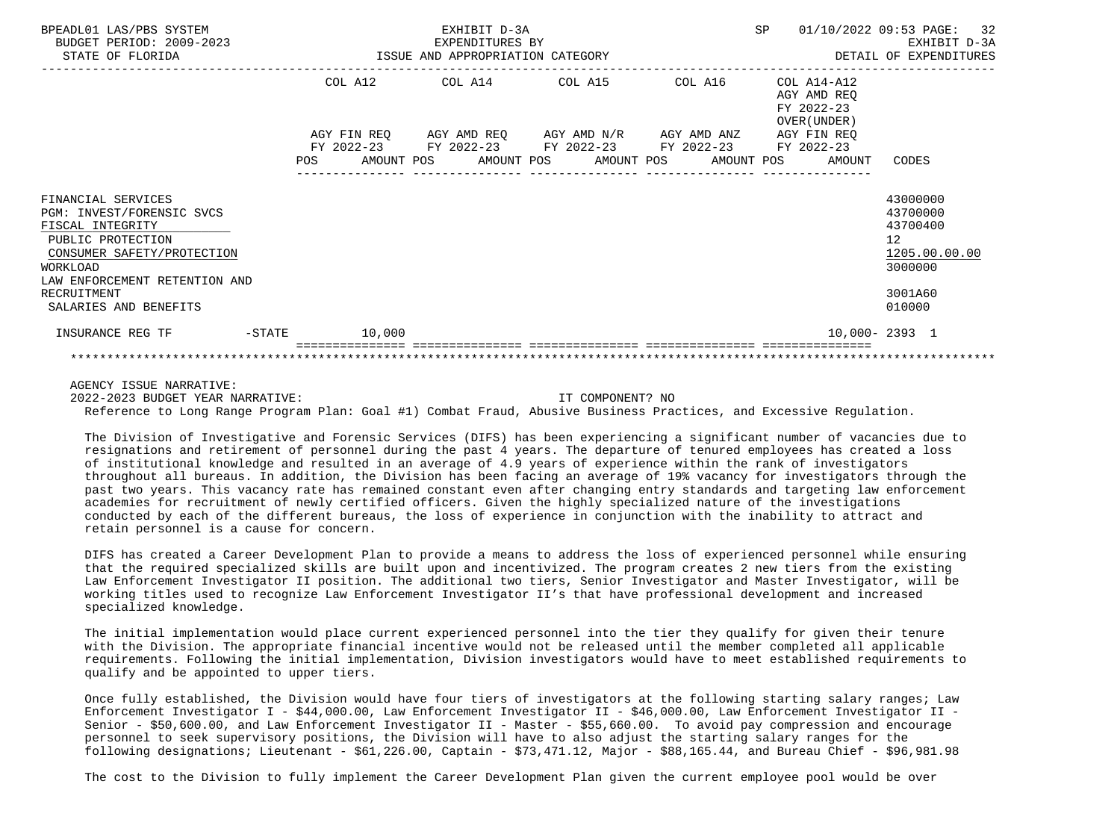| BPEADL01 LAS/PBS SYSTEM<br>BUDGET PERIOD: 2009-2023<br>STATE OF FLORIDA                                                                                                                                     |           |            |            | EXHIBIT D-3A<br>EXPENDITURES BY<br>ISSUE AND APPROPRIATION CATEGORY |            |            |                                                                                                              | SP |                                                          | 01/10/2022 09:53 PAGE: 32<br>EXHIBIT D-3A<br>DETAIL OF EXPENDITURES                     |  |
|-------------------------------------------------------------------------------------------------------------------------------------------------------------------------------------------------------------|-----------|------------|------------|---------------------------------------------------------------------|------------|------------|--------------------------------------------------------------------------------------------------------------|----|----------------------------------------------------------|-----------------------------------------------------------------------------------------|--|
|                                                                                                                                                                                                             |           | COL A12    |            | COL A14 COL A15                                                     |            |            | COL A16                                                                                                      |    | COL A14-A12<br>AGY AMD REO<br>FY 2022-23<br>OVER (UNDER) |                                                                                         |  |
|                                                                                                                                                                                                             |           | <b>POS</b> | AMOUNT POS |                                                                     | AMOUNT POS | AMOUNT POS | AGY FIN REQ AGY AMD REQ AGY AMD N/R AGY AMD ANZ<br>FY 2022-23 FY 2022-23 FY 2022-23 FY 2022-23<br>AMOUNT POS |    | AGY FIN REO<br>FY 2022-23<br>AMOUNT                      | CODES                                                                                   |  |
| FINANCIAL SERVICES<br>PGM: INVEST/FORENSIC SVCS<br>FISCAL INTEGRITY<br>PUBLIC PROTECTION<br>CONSUMER SAFETY/PROTECTION<br>WORKLOAD<br>LAW ENFORCEMENT RETENTION AND<br>RECRUITMENT<br>SALARIES AND BENEFITS |           |            |            |                                                                     |            |            |                                                                                                              |    |                                                          | 43000000<br>43700000<br>43700400<br>12<br>1205.00.00.00<br>3000000<br>3001A60<br>010000 |  |
| INSURANCE REG TF                                                                                                                                                                                            | $-$ STATE |            | 10,000     |                                                                     |            |            |                                                                                                              |    |                                                          | $10,000 - 2393$ 1                                                                       |  |
|                                                                                                                                                                                                             |           |            |            |                                                                     |            |            |                                                                                                              |    |                                                          |                                                                                         |  |

2022-2023 BUDGET YEAR NARRATIVE: IT COMPONENT? NO

Reference to Long Range Program Plan: Goal #1) Combat Fraud, Abusive Business Practices, and Excessive Regulation.

 The Division of Investigative and Forensic Services (DIFS) has been experiencing a significant number of vacancies due to resignations and retirement of personnel during the past 4 years. The departure of tenured employees has created a loss of institutional knowledge and resulted in an average of 4.9 years of experience within the rank of investigators throughout all bureaus. In addition, the Division has been facing an average of 19% vacancy for investigators through the past two years. This vacancy rate has remained constant even after changing entry standards and targeting law enforcement academies for recruitment of newly certified officers. Given the highly specialized nature of the investigations conducted by each of the different bureaus, the loss of experience in conjunction with the inability to attract and retain personnel is a cause for concern.

 DIFS has created a Career Development Plan to provide a means to address the loss of experienced personnel while ensuring that the required specialized skills are built upon and incentivized. The program creates 2 new tiers from the existing Law Enforcement Investigator II position. The additional two tiers, Senior Investigator and Master Investigator, will be working titles used to recognize Law Enforcement Investigator II's that have professional development and increased specialized knowledge.

 The initial implementation would place current experienced personnel into the tier they qualify for given their tenure with the Division. The appropriate financial incentive would not be released until the member completed all applicable requirements. Following the initial implementation, Division investigators would have to meet established requirements to qualify and be appointed to upper tiers.

 Once fully established, the Division would have four tiers of investigators at the following starting salary ranges; Law Enforcement Investigator I - \$44,000.00, Law Enforcement Investigator II - \$46,000.00, Law Enforcement Investigator II - Senior - \$50,600.00, and Law Enforcement Investigator II - Master - \$55,660.00. To avoid pay compression and encourage personnel to seek supervisory positions, the Division will have to also adjust the starting salary ranges for the following designations; Lieutenant - \$61,226.00, Captain - \$73,471.12, Major - \$88,165.44, and Bureau Chief - \$96,981.98

The cost to the Division to fully implement the Career Development Plan given the current employee pool would be over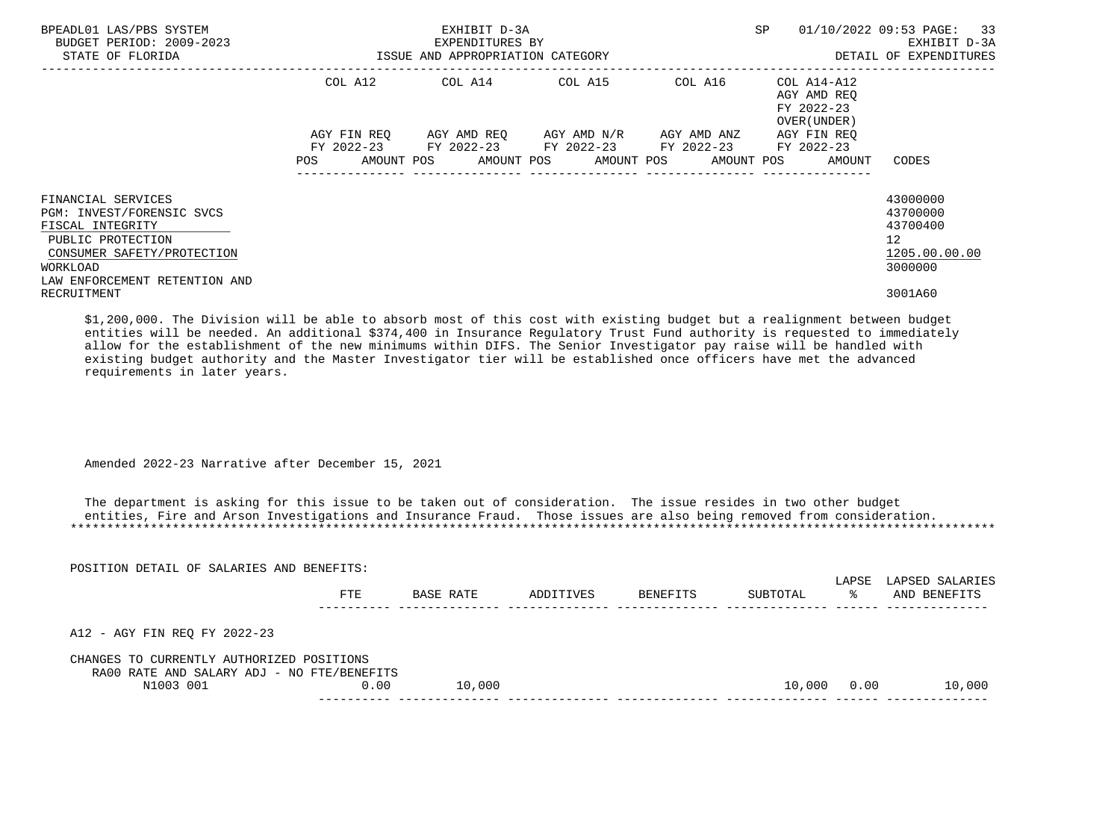| BPEADL01 LAS/PBS SYSTEM<br>BUDGET PERIOD: 2009-2023<br>STATE OF FLORIDA                                                                                             | ISSUE AND APPROPRIATION CATEGORY | EXHIBIT D-3A<br>EXPENDITURES BY                                                                           |                                   | SP                                                                    | 01/10/2022 09:53 PAGE: 33<br>EXHIBIT D-3A<br>DETAIL OF EXPENDITURES             |
|---------------------------------------------------------------------------------------------------------------------------------------------------------------------|----------------------------------|-----------------------------------------------------------------------------------------------------------|-----------------------------------|-----------------------------------------------------------------------|---------------------------------------------------------------------------------|
|                                                                                                                                                                     | COL A12                          | COL A14 COL A15                                                                                           |                                   | COL A16 COL A14-A12<br>AGY AMD REO<br>FY 2022-23<br>OVER (UNDER)      |                                                                                 |
|                                                                                                                                                                     |                                  | AGY FIN REQ AGY AMD REQ AGY AMD N/R AGY AMD ANZ<br>FY 2022-23 FY 2022-23 FY 2022-23 FY 2022-23 FY 2022-23 | ---------------- ---------------- | AGY FIN REO<br>POS AMOUNT POS AMOUNT POS AMOUNT POS AMOUNT POS AMOUNT | CODES                                                                           |
| FINANCIAL SERVICES<br>PGM: INVEST/FORENSIC SVCS<br>FISCAL INTEGRITY<br>PUBLIC PROTECTION<br>CONSUMER SAFETY/PROTECTION<br>WORKLOAD<br>LAW ENFORCEMENT RETENTION AND |                                  |                                                                                                           |                                   |                                                                       | 43000000<br>43700000<br>43700400<br>12 <sup>°</sup><br>1205.00.00.00<br>3000000 |
| RECRUITMENT                                                                                                                                                         |                                  |                                                                                                           |                                   |                                                                       | 3001A60                                                                         |

 \$1,200,000. The Division will be able to absorb most of this cost with existing budget but a realignment between budget entities will be needed. An additional \$374,400 in Insurance Regulatory Trust Fund authority is requested to immediately allow for the establishment of the new minimums within DIFS. The Senior Investigator pay raise will be handled with existing budget authority and the Master Investigator tier will be established once officers have met the advanced requirements in later years.

Amended 2022-23 Narrative after December 15, 2021

POSITION DETAIL OF SALARIES AND BENEFITS:

 The department is asking for this issue to be taken out of consideration. The issue resides in two other budget entities, Fire and Arson Investigations and Insurance Fraud. Those issues are also being removed from consideration. \*\*\*\*\*\*\*\*\*\*\*\*\*\*\*\*\*\*\*\*\*\*\*\*\*\*\*\*\*\*\*\*\*\*\*\*\*\*\*\*\*\*\*\*\*\*\*\*\*\*\*\*\*\*\*\*\*\*\*\*\*\*\*\*\*\*\*\*\*\*\*\*\*\*\*\*\*\*\*\*\*\*\*\*\*\*\*\*\*\*\*\*\*\*\*\*\*\*\*\*\*\*\*\*\*\*\*\*\*\*\*\*\*\*\*\*\*\*\*\*\*\*\*\*\*\*\*

| POSITION DETAIL OF SALARIES AND BENEFITS:                                               |      |           |           |          |          | LAPSE | LAPSED SALARIES |
|-----------------------------------------------------------------------------------------|------|-----------|-----------|----------|----------|-------|-----------------|
|                                                                                         | FTE  | BASE RATE | ADDITIVES | BENEFITS | SUBTOTAL | °≈    | AND BENEFITS    |
| A12 - AGY FIN REO FY 2022-23                                                            |      |           |           |          |          |       |                 |
| CHANGES TO CURRENTLY AUTHORIZED POSITIONS<br>RA00 RATE AND SALARY ADJ - NO FTE/BENEFITS |      |           |           |          |          |       |                 |
| N1003 001                                                                               | 0.00 | 10,000    |           |          | 10,000   | 0.00  | 10,000          |
|                                                                                         |      |           |           |          |          |       |                 |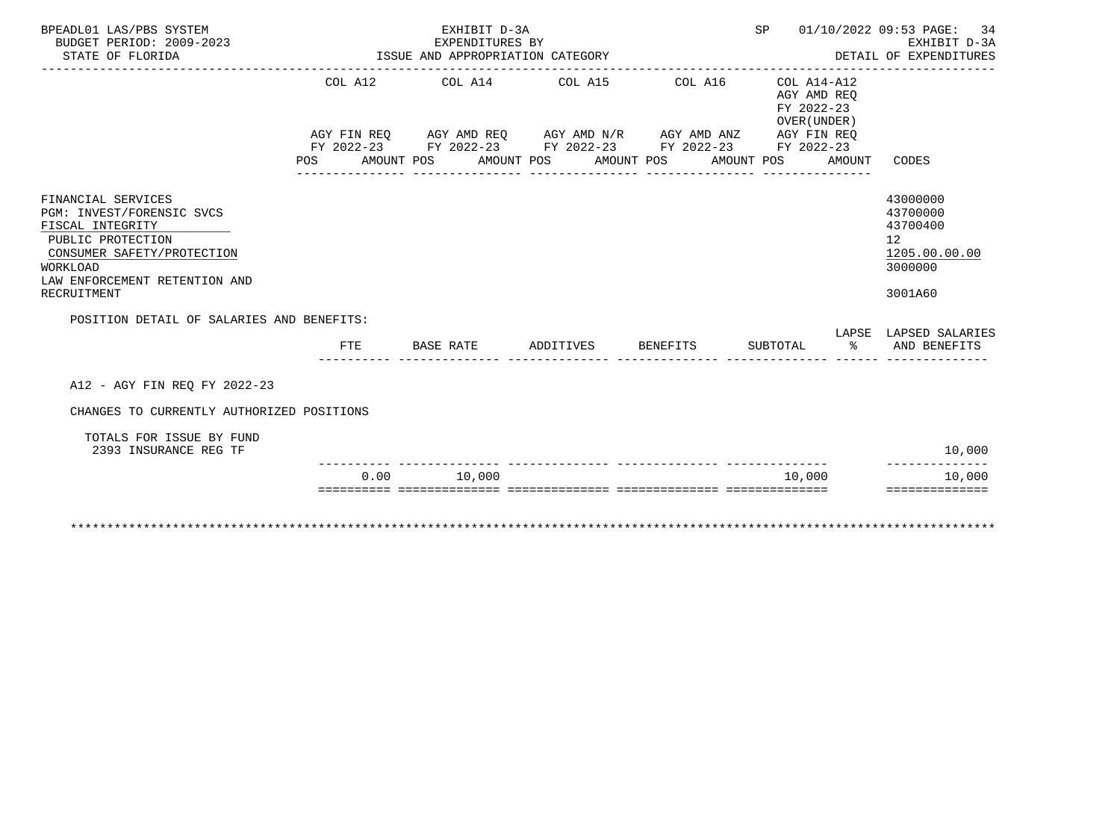| BPEADL01 LAS/PBS SYSTEM<br>BUDGET PERIOD: 2009-2023<br>STATE OF FLORIDA                                                                                                            |      | EXHIBIT D-3A<br>EXPENDITURES BY<br>ISSUE AND APPROPRIATION CATEGORY |                    |                                                                                                                                                                                   | SP 01/10/2022 09:53 PAGE: 34                                       | EXHIBIT D-3A<br>DETAIL OF EXPENDITURES                                        |
|------------------------------------------------------------------------------------------------------------------------------------------------------------------------------------|------|---------------------------------------------------------------------|--------------------|-----------------------------------------------------------------------------------------------------------------------------------------------------------------------------------|--------------------------------------------------------------------|-------------------------------------------------------------------------------|
|                                                                                                                                                                                    | POS  | AMOUNT POS AMOUNT POS                                               |                    | COL A12 COL A14 COL A15 COL A16<br>AGY FIN REQ AGY AMD REQ AGY AMD N/R AGY AMD ANZ AGY FIN REQ<br>FY 2022-23 FY 2022-23 FY 2022-23 FY 2022-23 FY 2022-23<br>AMOUNT POS AMOUNT POS | COL A14-A12<br>AGY AMD REO<br>FY 2022-23<br>OVER (UNDER)<br>AMOUNT | CODES                                                                         |
| FINANCIAL SERVICES<br>PGM: INVEST/FORENSIC SVCS<br>FISCAL INTEGRITY<br>PUBLIC PROTECTION<br>CONSUMER SAFETY/PROTECTION<br>WORKLOAD<br>LAW ENFORCEMENT RETENTION AND<br>RECRUITMENT |      |                                                                     |                    |                                                                                                                                                                                   |                                                                    | 43000000<br>43700000<br>43700400<br>12<br>1205.00.00.00<br>3000000<br>3001A60 |
| POSITION DETAIL OF SALARIES AND BENEFITS:                                                                                                                                          | FTE  | BASE RATE                                                           | ADDITIVES BENEFITS |                                                                                                                                                                                   | SUBTOTAL                                                           | LAPSE LAPSED SALARIES<br>% AND BENEFITS                                       |
| A12 - AGY FIN REO FY 2022-23                                                                                                                                                       |      |                                                                     |                    |                                                                                                                                                                                   |                                                                    |                                                                               |
| CHANGES TO CURRENTLY AUTHORIZED POSITIONS<br>TOTALS FOR ISSUE BY FUND<br>2393 INSURANCE REG TF                                                                                     |      |                                                                     |                    |                                                                                                                                                                                   |                                                                    | 10,000<br>--------------                                                      |
|                                                                                                                                                                                    | 0.00 | 10,000                                                              |                    |                                                                                                                                                                                   | 10,000                                                             | 10,000<br>==============                                                      |
|                                                                                                                                                                                    |      |                                                                     |                    |                                                                                                                                                                                   |                                                                    |                                                                               |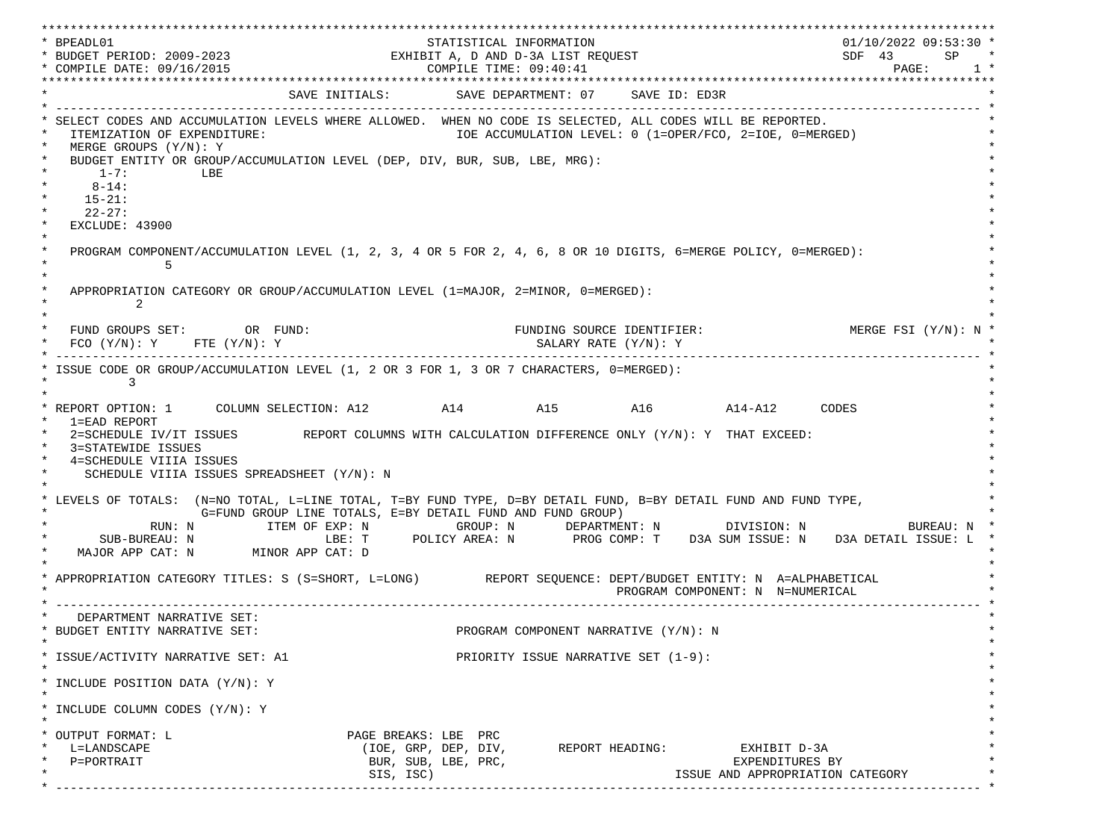\*\*\*\*\*\*\*\*\*\*\*\*\*\*\*\*\*\*\*\*\*\*\*\*\*\*\*\*\*\*\*\*\*\*\*\*\*\*\*\*\*\*\*\*\*\*\*\*\*\*\*\*\*\*\*\*\*\*\*\*\*\*\*\*\*\*\*\*\*\*\*\*\*\*\*\*\*\*\*\*\*\*\*\*\*\*\*\*\*\*\*\*\*\*\*\*\*\*\*\*\*\*\*\*\*\*\*\*\*\*\*\*\*\*\*\*\*\*\*\*\*\*\*\*\*\*\*\*\*\*\* \* BPEADL01 STATISTICAL INFORMATION 01/10/2022 09:53:30 \* \* BUDGET PERIOD: 2009-2023 EXHIBIT A, D AND D-3A LIST REQUEST SDF 43 SP \* \* COMPILE DATE: 09/16/2015 2010 2020 2020 COMPILE TIME: 09:40:41 \*\*\*\*\*\*\*\*\*\*\*\*\*\*\*\*\*\*\*\*\*\*\*\*\*\*\*\*\*\*\*\*\*\*\*\*\*\*\*\*\*\*\*\*\*\*\*\*\*\*\*\*\*\*\*\*\*\*\*\*\*\*\*\*\*\*\*\*\*\*\*\*\*\*\*\*\*\*\*\*\*\*\*\*\*\*\*\*\*\*\*\*\*\*\*\*\*\*\*\*\*\*\*\*\*\*\*\*\*\*\*\*\*\*\*\*\*\*\*\*\*\*\*\*\*\*\*\*\*\*\* SAVE INITIALS: SAVE DEPARTMENT: 07 SAVE ID: ED3R \* ------------------------------------------------------------------------------------------------------------------------------- \* SELECT CODES AND ACCUMULATION LEVELS WHERE ALLOWED. WHEN NO CODE IS SELECTED, ALL CODES WILL BE REPORTED. ITEMIZATION OF EXPENDITURE:  $\overline{10E}$  accumulation level: 0 (1=OPER/FCO, 2=IOE, 0=MERGED) MERGE GROUPS (Y/N): Y BUDGET ENTITY OR GROUP/ACCUMULATION LEVEL (DEP, DIV, BUR, SUB, LBE, MRG):  $*$  1-7: LBE  $*$  $*$  8-14:  $*$  $*$  15-21:  $*$  $*$  22-27: \* \* EXCLUDE: 43900 \*  $\star$   $\star$  \* PROGRAM COMPONENT/ACCUMULATION LEVEL (1, 2, 3, 4 OR 5 FOR 2, 4, 6, 8 OR 10 DIGITS, 6=MERGE POLICY, 0=MERGED): \*  $\star$  5  $\star$  $\star$   $\star$ APPROPRIATION CATEGORY OR GROUP/ACCUMULATION LEVEL (1=MAJOR, 2=MINOR, 0=MERGED):  $\star$  2  $\star$  $\star$   $\star$ FUND GROUPS SET: OR FUND: THE SOURCE IDENTIFIER: MERGE FSI (Y/N): N  $FCO (Y/N): Y$  FTE  $(Y/N): Y$  SALARY RATE  $(Y/N): Y$  \* ------------------------------------------------------------------------------------------------------------------------------- \* ISSUE CODE OR GROUP/ACCUMULATION LEVEL (1, 2 OR 3 FOR 1, 3 OR 7 CHARACTERS, 0=MERGED):  $\star$  3  $\star$  $\star$   $\star$  \* REPORT OPTION: 1 COLUMN SELECTION: A12 A14 A15 A16 A14-A12 CODES \* \* 1=EAD REPORT \* 2=SCHEDULE IV/IT ISSUES REPORT COLUMNS WITH CALCULATION DIFFERENCE ONLY (Y/N): Y THAT EXCEED: 3=STATEWIDE ISSUES 4=SCHEDULE VIIIA ISSUES SCHEDULE VIIIA ISSUES SPREADSHEET (Y/N): N \* \* \* LEVELS OF TOTALS: (N=NO TOTAL, L=LINE TOTAL, T=BY FUND TYPE, D=BY DETAIL FUND, B=BY DETAIL FUND AND FUND TYPE, \* G=FUND GROUP LINE TOTALS, E=BY DETAIL FUND AND FUND GROUP) \* RUN: N ITEM OF EXP: N GROUP: N DEPARTMENT: N DIVISION: N BUREAU: N \* \* SUB-BUREAU: N LBE: T POLICY AREA: N PROG COMP: T D3A SUM ISSUE: N D3A DETAIL ISSUE: L \* MAJOR APP CAT: N MINOR APP CAT: D \* \* APPROPRIATION CATEGORY TITLES: S (S=SHORT, L=LONG) REPORT SEQUENCE: DEPT/BUDGET ENTITY: N A=ALPHABETICAL PROGRAM COMPONENT: N N=NUMERICAL \* ------------------------------------------------------------------------------------------------------------------------------- \* DEPARTMENT NARRATIVE SET:<br>BUDGET ENTITY NARRATIVE SET: PROGRAM COMPONENT NARRATIVE (Y/N): N \* \* \* ISSUE/ACTIVITY NARRATIVE SET: A1 PRIORITY ISSUE NARRATIVE SET (1-9): \*  $\star$   $\star$  \* INCLUDE POSITION DATA (Y/N): Y \* \* \* INCLUDE COLUMN CODES  $(Y/N): Y$  \* \* \* OUTPUT FORMAT: L PAGE BREAKS: LBE PRC \* \* L=LANDSCAPE (IOE, GRP, DEP, DIV, REPORT HEADING: EXHIBIT D-3A \* \* P=PORTRAIT BUR, SUB, LBE, PRC, EXPENDITURES BY \* SIS, ISC) THE SUBSECTED SERVICE AND APPROPRIATION CATEGORY \* ------------------------------------------------------------------------------------------------------------------------------- \*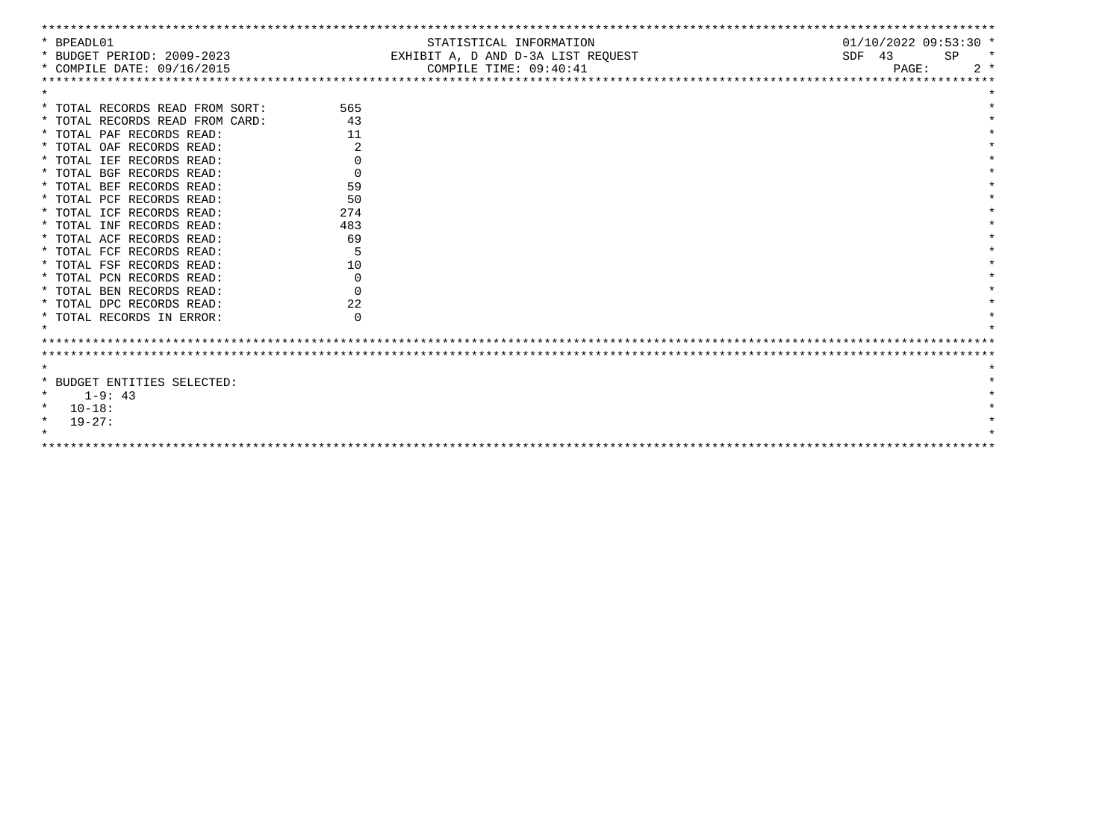| * BPEADL01                      |              | STATISTICAL INFORMATION            |          | $01/10/2022$ 09:53:30 * |    |         |
|---------------------------------|--------------|------------------------------------|----------|-------------------------|----|---------|
| * BUDGET PERIOD: 2009-2023      |              | EXHIBIT A, D AND D-3A LIST REOUEST | $SDF$ 43 |                         | SP | $\star$ |
| * COMPILE DATE: 09/16/2015      |              | COMPILE TIME: 09:40:41             |          | PAGE:                   |    | $2 *$   |
|                                 |              |                                    |          |                         |    |         |
|                                 |              |                                    |          |                         |    |         |
| * TOTAL RECORDS READ FROM SORT: | 565          |                                    |          |                         |    |         |
| * TOTAL RECORDS READ FROM CARD: | 43           |                                    |          |                         |    |         |
| * TOTAL PAF RECORDS READ:       | 11           |                                    |          |                         |    |         |
| * TOTAL OAF RECORDS READ:       |              |                                    |          |                         |    |         |
| * TOTAL IEF RECORDS READ:       | 0            |                                    |          |                         |    |         |
| * TOTAL BGF RECORDS READ:       | $\Omega$     |                                    |          |                         |    |         |
| * TOTAL BEF RECORDS READ:       | 59           |                                    |          |                         |    |         |
| * TOTAL PCF RECORDS READ:       | 50           |                                    |          |                         |    |         |
| * TOTAL ICF RECORDS READ:       | 274          |                                    |          |                         |    |         |
| * TOTAL INF RECORDS READ:       | 483          |                                    |          |                         |    |         |
| * TOTAL ACF RECORDS READ:       | 69           |                                    |          |                         |    |         |
| * TOTAL FCF RECORDS READ:       |              |                                    |          |                         |    |         |
| * TOTAL FSF RECORDS READ:       | 10           |                                    |          |                         |    |         |
| * TOTAL PCN RECORDS READ:       | $\Omega$     |                                    |          |                         |    |         |
| * TOTAL BEN RECORDS READ:       | <sup>n</sup> |                                    |          |                         |    |         |
| * TOTAL DPC RECORDS READ:       | 22           |                                    |          |                         |    |         |
| * TOTAL RECORDS IN ERROR:       | $\Omega$     |                                    |          |                         |    |         |
|                                 |              |                                    |          |                         |    |         |
|                                 |              |                                    |          |                         |    |         |
|                                 |              |                                    |          |                         |    |         |
| $\star$                         |              |                                    |          |                         |    |         |
| * BUDGET ENTITIES SELECTED:     |              |                                    |          |                         |    |         |
| $1 - 9:43$<br>$\star$           |              |                                    |          |                         |    |         |
| $10 - 18:$<br>$\star$           |              |                                    |          |                         |    |         |
| $\star$<br>$19-27:$             |              |                                    |          |                         |    |         |
|                                 |              |                                    |          |                         |    |         |
|                                 |              |                                    |          |                         |    |         |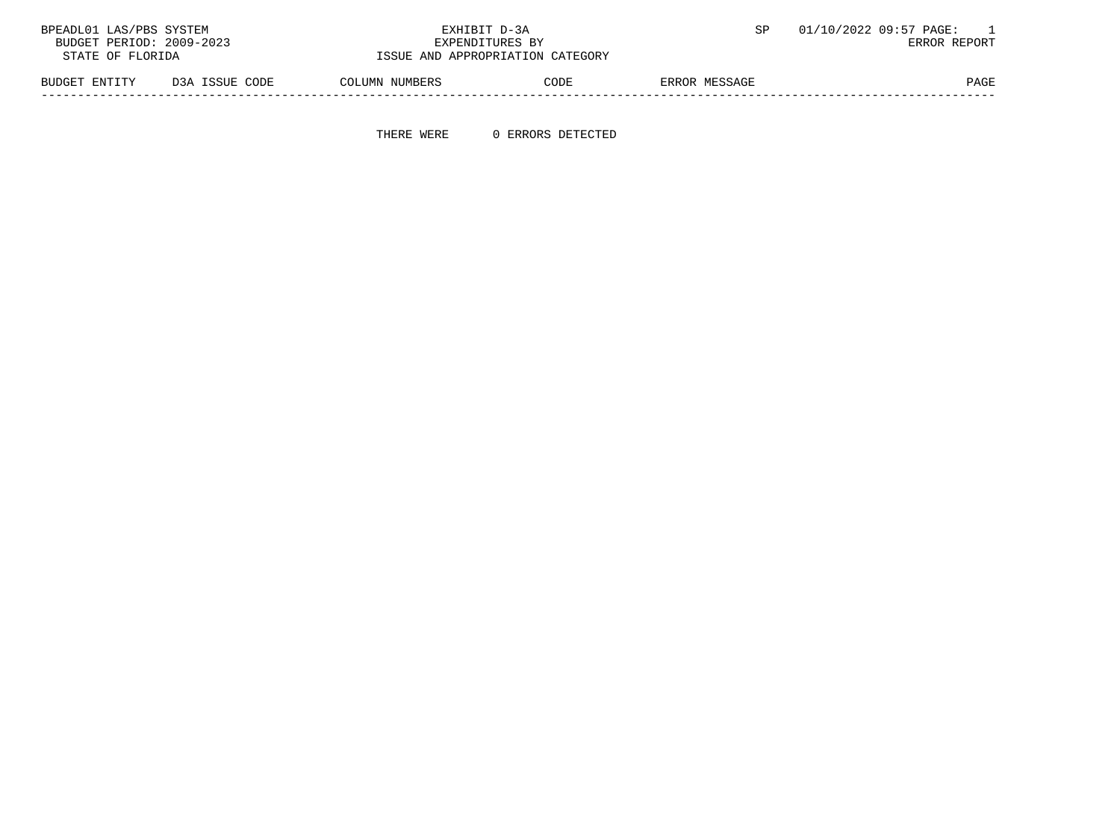| 01/10/2022 09:57 PAGE: |               | EXHIBIT D-3A                     |                |                | BPEADL01 LAS/PBS SYSTEM  |
|------------------------|---------------|----------------------------------|----------------|----------------|--------------------------|
| ERROR REPORT           |               | EXPENDITURES BY                  |                |                | BUDGET PERIOD: 2009-2023 |
|                        |               | ISSUE AND APPROPRIATION CATEGORY |                |                | STATE OF FLORIDA         |
|                        | ERROR MESSAGE | CODE                             | COLUMN NUMBERS | D3A ISSUE CODE | BUDGET ENTITY            |

-----------------------------------------------------------------------------------------------------------------------------------

THERE WERE 0 ERRORS DETECTED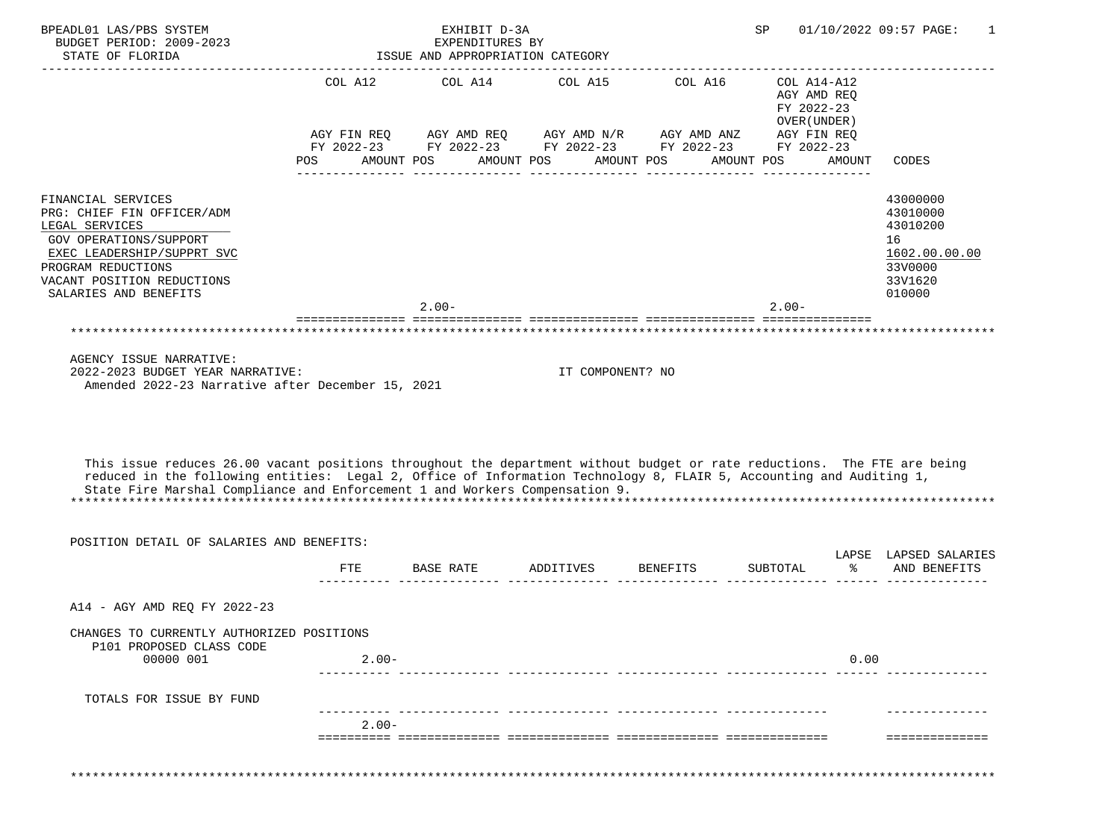| STATE OF FLORIDA                                                                                                                                                                                                                                                                                                               |         | EXHIBIT D-3A<br>EXPENDITURES BY<br>ISSUE AND APPROPRIATION CATEGORY                                                                          |                                          |          | SP<br>------------------- |                                                                                          | 01/10/2022 09:57 PAGE:<br>1                                                             |
|--------------------------------------------------------------------------------------------------------------------------------------------------------------------------------------------------------------------------------------------------------------------------------------------------------------------------------|---------|----------------------------------------------------------------------------------------------------------------------------------------------|------------------------------------------|----------|---------------------------|------------------------------------------------------------------------------------------|-----------------------------------------------------------------------------------------|
|                                                                                                                                                                                                                                                                                                                                | POS     | COL A12 COL A14<br>AGY FIN REQ AGY AMD REQ AGY AMD $N/R$ AGY AMD ANZ<br>FY 2022-23 FY 2022-23 FY 2022-23 FY 2022-23 FY 2022-23<br>AMOUNT POS | COL A15 COL A16<br>AMOUNT POS AMOUNT POS |          | AMOUNT POS                | COL A14-A12<br>AGY AMD REO<br>FY 2022-23<br>OVER (UNDER)<br>AGY FIN REQ<br><b>AMOUNT</b> | CODES                                                                                   |
| FINANCIAL SERVICES<br>PRG: CHIEF FIN OFFICER/ADM<br>LEGAL SERVICES<br>GOV OPERATIONS/SUPPORT<br>EXEC LEADERSHIP/SUPPRT SVC<br>PROGRAM REDUCTIONS<br>VACANT POSITION REDUCTIONS<br>SALARIES AND BENEFITS                                                                                                                        |         | $2.00 -$                                                                                                                                     |                                          |          | $2.00-$                   |                                                                                          | 43000000<br>43010000<br>43010200<br>16<br>1602.00.00.00<br>33V0000<br>33V1620<br>010000 |
|                                                                                                                                                                                                                                                                                                                                |         |                                                                                                                                              |                                          |          |                           |                                                                                          |                                                                                         |
| 2022-2023 BUDGET YEAR NARRATIVE:<br>Amended 2022-23 Narrative after December 15, 2021                                                                                                                                                                                                                                          |         |                                                                                                                                              | IT COMPONENT? NO                         |          |                           |                                                                                          |                                                                                         |
| This issue reduces 26.00 vacant positions throughout the department without budget or rate reductions. The FTE are being<br>reduced in the following entities: Legal 2, Office of Information Technology 8, FLAIR 5, Accounting and Auditing 1,<br>State Fire Marshal Compliance and Enforcement 1 and Workers Compensation 9. |         |                                                                                                                                              |                                          |          |                           |                                                                                          |                                                                                         |
| POSITION DETAIL OF SALARIES AND BENEFITS:                                                                                                                                                                                                                                                                                      |         |                                                                                                                                              |                                          |          |                           |                                                                                          |                                                                                         |
|                                                                                                                                                                                                                                                                                                                                | FTE     | BASE RATE                                                                                                                                    | ADDITIVES                                | BENEFITS | SUBTOTAL                  | ిన                                                                                       | LAPSE LAPSED SALARIES<br>AND BENEFITS                                                   |
| A14 - AGY AMD REQ FY 2022-23                                                                                                                                                                                                                                                                                                   |         |                                                                                                                                              |                                          |          |                           |                                                                                          |                                                                                         |
| CHANGES TO CURRENTLY AUTHORIZED POSITIONS<br>P101 PROPOSED CLASS CODE<br>00000 001                                                                                                                                                                                                                                             | $2.00-$ |                                                                                                                                              |                                          |          |                           | 0.00                                                                                     |                                                                                         |
| TOTALS FOR ISSUE BY FUND                                                                                                                                                                                                                                                                                                       |         |                                                                                                                                              |                                          |          |                           |                                                                                          |                                                                                         |
|                                                                                                                                                                                                                                                                                                                                | $2.00-$ |                                                                                                                                              |                                          |          |                           |                                                                                          |                                                                                         |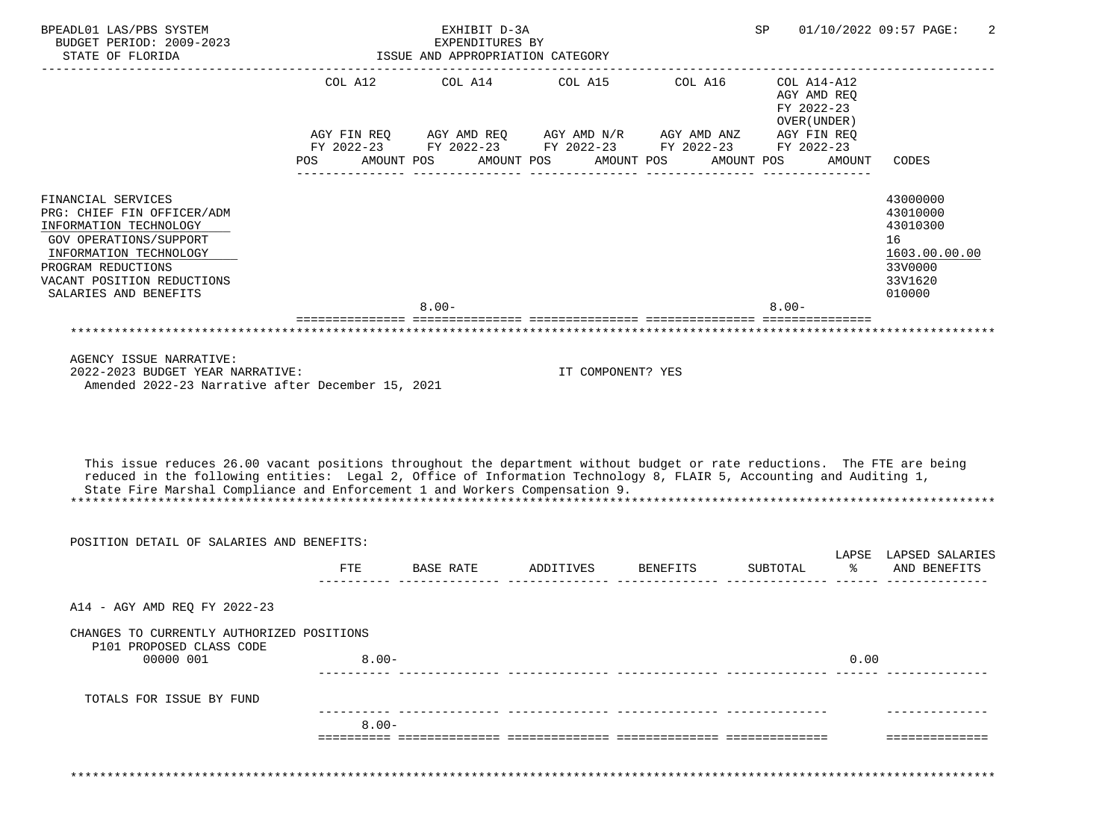| BPEADL01 LAS/PBS SYSTEM<br>BUDGET PERIOD: 2009-2023<br>STATE OF FLORIDA                                                                                                                                                                                                                                                                                                                                                 |          | EXHIBIT D-3A<br>EXPENDITURES BY<br>ISSUE AND APPROPRIATION CATEGORY                                                                          |                                          | ------------------                  | SP         |                                                                                   | 01/10/2022 09:57 PAGE:<br>2                                                             |
|-------------------------------------------------------------------------------------------------------------------------------------------------------------------------------------------------------------------------------------------------------------------------------------------------------------------------------------------------------------------------------------------------------------------------|----------|----------------------------------------------------------------------------------------------------------------------------------------------|------------------------------------------|-------------------------------------|------------|-----------------------------------------------------------------------------------|-----------------------------------------------------------------------------------------|
|                                                                                                                                                                                                                                                                                                                                                                                                                         | POS      | COL A12 COL A14<br>AGY FIN REQ AGY AMD REQ AGY AMD $N/R$ AGY AMD ANZ<br>FY 2022-23 FY 2022-23 FY 2022-23 FY 2022-23 FY 2022-23<br>AMOUNT POS | COL A15 COL A16<br>AMOUNT POS AMOUNT POS |                                     | AMOUNT POS | COL A14-A12<br>AGY AMD REO<br>FY 2022-23<br>OVER (UNDER)<br>AGY FIN REQ<br>AMOUNT | CODES                                                                                   |
| FINANCIAL SERVICES<br>PRG: CHIEF FIN OFFICER/ADM<br>INFORMATION TECHNOLOGY<br>GOV OPERATIONS/SUPPORT<br>INFORMATION TECHNOLOGY<br>PROGRAM REDUCTIONS<br>VACANT POSITION REDUCTIONS<br>SALARIES AND BENEFITS                                                                                                                                                                                                             |          | $8.00 -$                                                                                                                                     |                                          |                                     | $8.00 -$   |                                                                                   | 43000000<br>43010000<br>43010300<br>16<br>1603.00.00.00<br>33V0000<br>33V1620<br>010000 |
|                                                                                                                                                                                                                                                                                                                                                                                                                         |          |                                                                                                                                              |                                          |                                     |            |                                                                                   |                                                                                         |
| AGENCY ISSUE NARRATIVE:                                                                                                                                                                                                                                                                                                                                                                                                 |          |                                                                                                                                              |                                          |                                     |            |                                                                                   |                                                                                         |
| 2022-2023 BUDGET YEAR NARRATIVE:<br>Amended 2022-23 Narrative after December 15, 2021<br>This issue reduces 26.00 vacant positions throughout the department without budget or rate reductions. The FTE are being<br>reduced in the following entities: Legal 2, Office of Information Technology 8, FLAIR 5, Accounting and Auditing 1,<br>State Fire Marshal Compliance and Enforcement 1 and Workers Compensation 9. |          |                                                                                                                                              | IT COMPONENT? YES                        |                                     |            |                                                                                   |                                                                                         |
| POSITION DETAIL OF SALARIES AND BENEFITS:                                                                                                                                                                                                                                                                                                                                                                               |          |                                                                                                                                              |                                          |                                     |            |                                                                                   |                                                                                         |
|                                                                                                                                                                                                                                                                                                                                                                                                                         | FTE      | BASE RATE                                                                                                                                    | ADDITIVES                                | BENEFITS                            | SUBTOTAL   | ిన                                                                                | LAPSE LAPSED SALARIES<br>AND BENEFITS                                                   |
| A14 - AGY AMD REQ FY 2022-23                                                                                                                                                                                                                                                                                                                                                                                            |          |                                                                                                                                              |                                          | <u> ------ -------------- -----</u> |            |                                                                                   |                                                                                         |
| CHANGES TO CURRENTLY AUTHORIZED POSITIONS<br>P101 PROPOSED CLASS CODE<br>00000 001                                                                                                                                                                                                                                                                                                                                      | $8.00 -$ |                                                                                                                                              |                                          |                                     |            | 0.00                                                                              |                                                                                         |
| TOTALS FOR ISSUE BY FUND                                                                                                                                                                                                                                                                                                                                                                                                |          |                                                                                                                                              |                                          |                                     |            |                                                                                   |                                                                                         |
|                                                                                                                                                                                                                                                                                                                                                                                                                         | $8.00 -$ |                                                                                                                                              |                                          |                                     |            |                                                                                   |                                                                                         |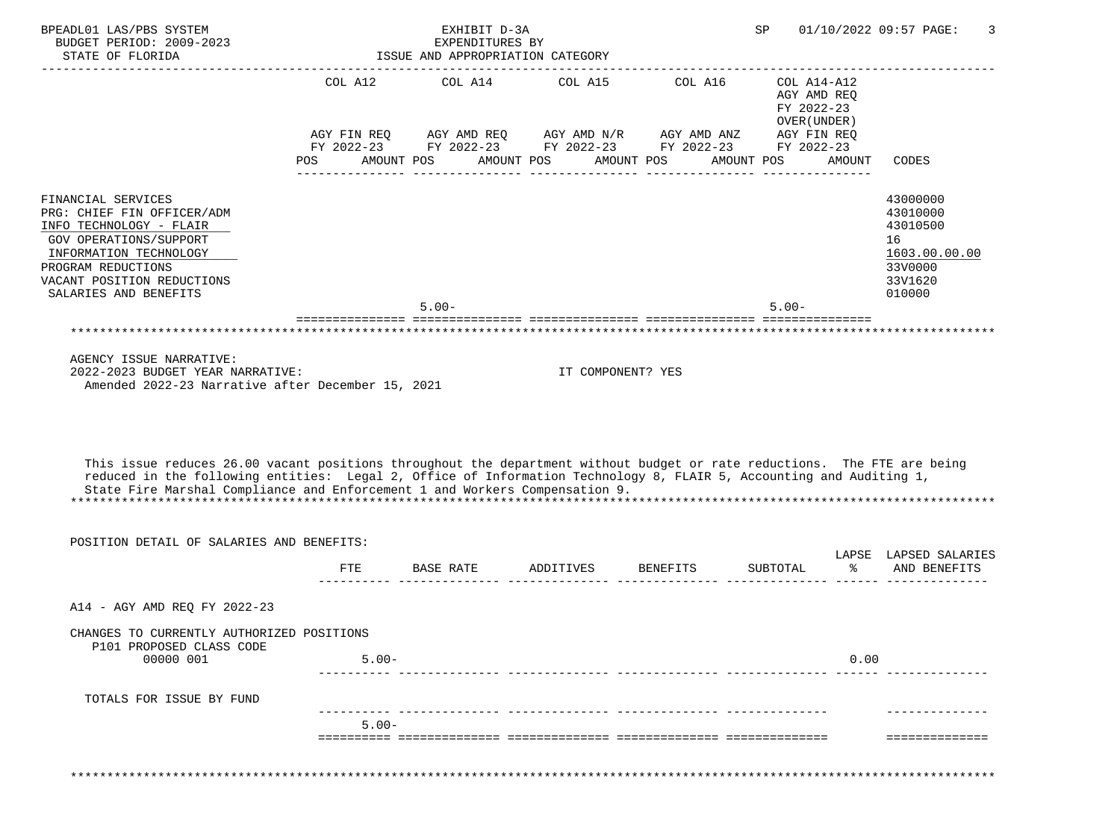| BPEADL01 LAS/PBS SYSTEM<br>BUDGET PERIOD: 2009-2023<br>STATE OF FLORIDA                                                                                                                                                                                                                                                                                                                                                 |          | EXHIBIT D-3A<br>EXPENDITURES BY<br>ISSUE AND APPROPRIATION CATEGORY                                                                          |                                          | ------------------ | SP         |                                                                                   | 01/10/2022 09:57 PAGE:<br>3                                                             |
|-------------------------------------------------------------------------------------------------------------------------------------------------------------------------------------------------------------------------------------------------------------------------------------------------------------------------------------------------------------------------------------------------------------------------|----------|----------------------------------------------------------------------------------------------------------------------------------------------|------------------------------------------|--------------------|------------|-----------------------------------------------------------------------------------|-----------------------------------------------------------------------------------------|
|                                                                                                                                                                                                                                                                                                                                                                                                                         | POS      | COL A12 COL A14<br>AGY FIN REQ AGY AMD REQ AGY AMD $N/R$ AGY AMD ANZ<br>FY 2022-23 FY 2022-23 FY 2022-23 FY 2022-23 FY 2022-23<br>AMOUNT POS | COL A15 COL A16<br>AMOUNT POS AMOUNT POS |                    | AMOUNT POS | COL A14-A12<br>AGY AMD REO<br>FY 2022-23<br>OVER (UNDER)<br>AGY FIN REQ<br>AMOUNT | CODES                                                                                   |
| FINANCIAL SERVICES<br>PRG: CHIEF FIN OFFICER/ADM<br>INFO TECHNOLOGY - FLAIR<br><b>GOV OPERATIONS/SUPPORT</b><br>INFORMATION TECHNOLOGY<br>PROGRAM REDUCTIONS<br>VACANT POSITION REDUCTIONS<br>SALARIES AND BENEFITS                                                                                                                                                                                                     |          | $5.00 -$                                                                                                                                     |                                          |                    | $5.00 -$   |                                                                                   | 43000000<br>43010000<br>43010500<br>16<br>1603.00.00.00<br>33V0000<br>33V1620<br>010000 |
|                                                                                                                                                                                                                                                                                                                                                                                                                         |          |                                                                                                                                              |                                          |                    |            |                                                                                   |                                                                                         |
| AGENCY ISSUE NARRATIVE:                                                                                                                                                                                                                                                                                                                                                                                                 |          |                                                                                                                                              |                                          |                    |            |                                                                                   |                                                                                         |
| 2022-2023 BUDGET YEAR NARRATIVE:<br>Amended 2022-23 Narrative after December 15, 2021<br>This issue reduces 26.00 vacant positions throughout the department without budget or rate reductions. The FTE are being<br>reduced in the following entities: Legal 2, Office of Information Technology 8, FLAIR 5, Accounting and Auditing 1,<br>State Fire Marshal Compliance and Enforcement 1 and Workers Compensation 9. |          |                                                                                                                                              | IT COMPONENT? YES                        |                    |            |                                                                                   |                                                                                         |
| POSITION DETAIL OF SALARIES AND BENEFITS:                                                                                                                                                                                                                                                                                                                                                                               |          |                                                                                                                                              |                                          |                    |            |                                                                                   |                                                                                         |
|                                                                                                                                                                                                                                                                                                                                                                                                                         | FTE      | BASE RATE                                                                                                                                    | ADDITIVES                                | BENEFITS           | SUBTOTAL   | ిన                                                                                | LAPSE LAPSED SALARIES<br>AND BENEFITS                                                   |
| A14 - AGY AMD REQ FY 2022-23                                                                                                                                                                                                                                                                                                                                                                                            |          |                                                                                                                                              |                                          |                    |            |                                                                                   |                                                                                         |
| CHANGES TO CURRENTLY AUTHORIZED POSITIONS<br>P101 PROPOSED CLASS CODE<br>00000 001                                                                                                                                                                                                                                                                                                                                      | $5.00 -$ |                                                                                                                                              |                                          |                    |            | 0.00                                                                              |                                                                                         |
| TOTALS FOR ISSUE BY FUND                                                                                                                                                                                                                                                                                                                                                                                                |          |                                                                                                                                              |                                          |                    |            |                                                                                   |                                                                                         |
|                                                                                                                                                                                                                                                                                                                                                                                                                         | $5.00 -$ |                                                                                                                                              |                                          |                    |            |                                                                                   |                                                                                         |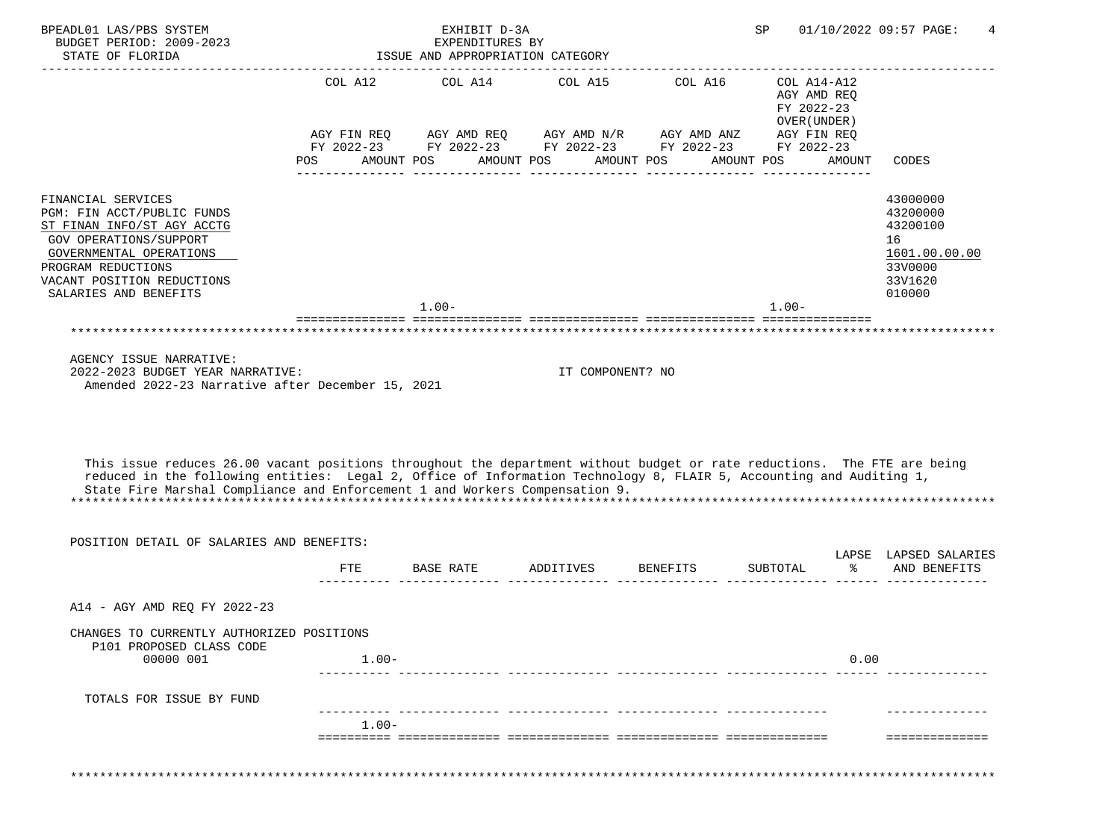| BPEADL01 LAS/PBS SYSTEM<br>BUDGET PERIOD: 2009-2023<br>STATE OF FLORIDA                                                                                                                                                                                                                                                                                                                                                 |          | EXHIBIT D-3A<br>EXPENDITURES BY<br>ISSUE AND APPROPRIATION CATEGORY                                                                                          |                       | ---------------------          | SP         |                                                                                   | 01/10/2022 09:57 PAGE:<br>4                                                             |
|-------------------------------------------------------------------------------------------------------------------------------------------------------------------------------------------------------------------------------------------------------------------------------------------------------------------------------------------------------------------------------------------------------------------------|----------|--------------------------------------------------------------------------------------------------------------------------------------------------------------|-----------------------|--------------------------------|------------|-----------------------------------------------------------------------------------|-----------------------------------------------------------------------------------------|
|                                                                                                                                                                                                                                                                                                                                                                                                                         | POS      | COL A12 COL A14 COL A15 COL A16<br>AGY FIN REQ AGY AMD REQ AGY AMD $N/R$ AGY AMD ANZ<br>FY 2022-23 FY 2022-23 FY 2022-23 FY 2022-23 FY 2022-23<br>AMOUNT POS | AMOUNT POS AMOUNT POS |                                | AMOUNT POS | COL A14-A12<br>AGY AMD REO<br>FY 2022-23<br>OVER (UNDER)<br>AGY FIN REQ<br>AMOUNT | CODES                                                                                   |
| FINANCIAL SERVICES<br>PGM: FIN ACCT/PUBLIC FUNDS<br>ST FINAN INFO/ST AGY ACCTG<br><b>GOV OPERATIONS/SUPPORT</b><br>GOVERNMENTAL OPERATIONS<br>PROGRAM REDUCTIONS<br>VACANT POSITION REDUCTIONS<br>SALARIES AND BENEFITS                                                                                                                                                                                                 |          | $1.00 -$                                                                                                                                                     |                       |                                | $1.00 -$   |                                                                                   | 43000000<br>43200000<br>43200100<br>16<br>1601.00.00.00<br>33V0000<br>33V1620<br>010000 |
|                                                                                                                                                                                                                                                                                                                                                                                                                         |          |                                                                                                                                                              |                       |                                |            |                                                                                   |                                                                                         |
| AGENCY ISSUE NARRATIVE:                                                                                                                                                                                                                                                                                                                                                                                                 |          |                                                                                                                                                              |                       |                                |            |                                                                                   |                                                                                         |
| 2022-2023 BUDGET YEAR NARRATIVE:<br>Amended 2022-23 Narrative after December 15, 2021<br>This issue reduces 26.00 vacant positions throughout the department without budget or rate reductions. The FTE are being<br>reduced in the following entities: Legal 2, Office of Information Technology 8, FLAIR 5, Accounting and Auditing 1,<br>State Fire Marshal Compliance and Enforcement 1 and Workers Compensation 9. |          |                                                                                                                                                              | IT COMPONENT? NO      |                                |            |                                                                                   |                                                                                         |
| POSITION DETAIL OF SALARIES AND BENEFITS:                                                                                                                                                                                                                                                                                                                                                                               |          |                                                                                                                                                              |                       |                                |            |                                                                                   |                                                                                         |
|                                                                                                                                                                                                                                                                                                                                                                                                                         | FTE      | BASE RATE                                                                                                                                                    | ADDITIVES             | BENEFITS                       | SUBTOTAL   | ిన                                                                                | LAPSE LAPSED SALARIES<br>AND BENEFITS                                                   |
| A14 - AGY AMD REO FY 2022-23                                                                                                                                                                                                                                                                                                                                                                                            |          |                                                                                                                                                              |                       | ________ _______________ _____ |            |                                                                                   |                                                                                         |
| CHANGES TO CURRENTLY AUTHORIZED POSITIONS<br>P101 PROPOSED CLASS CODE<br>00000 001                                                                                                                                                                                                                                                                                                                                      | $1.00 -$ |                                                                                                                                                              |                       |                                |            | 0.00                                                                              |                                                                                         |
| TOTALS FOR ISSUE BY FUND                                                                                                                                                                                                                                                                                                                                                                                                |          |                                                                                                                                                              |                       |                                |            |                                                                                   |                                                                                         |
|                                                                                                                                                                                                                                                                                                                                                                                                                         | $1.00 -$ |                                                                                                                                                              |                       |                                |            |                                                                                   |                                                                                         |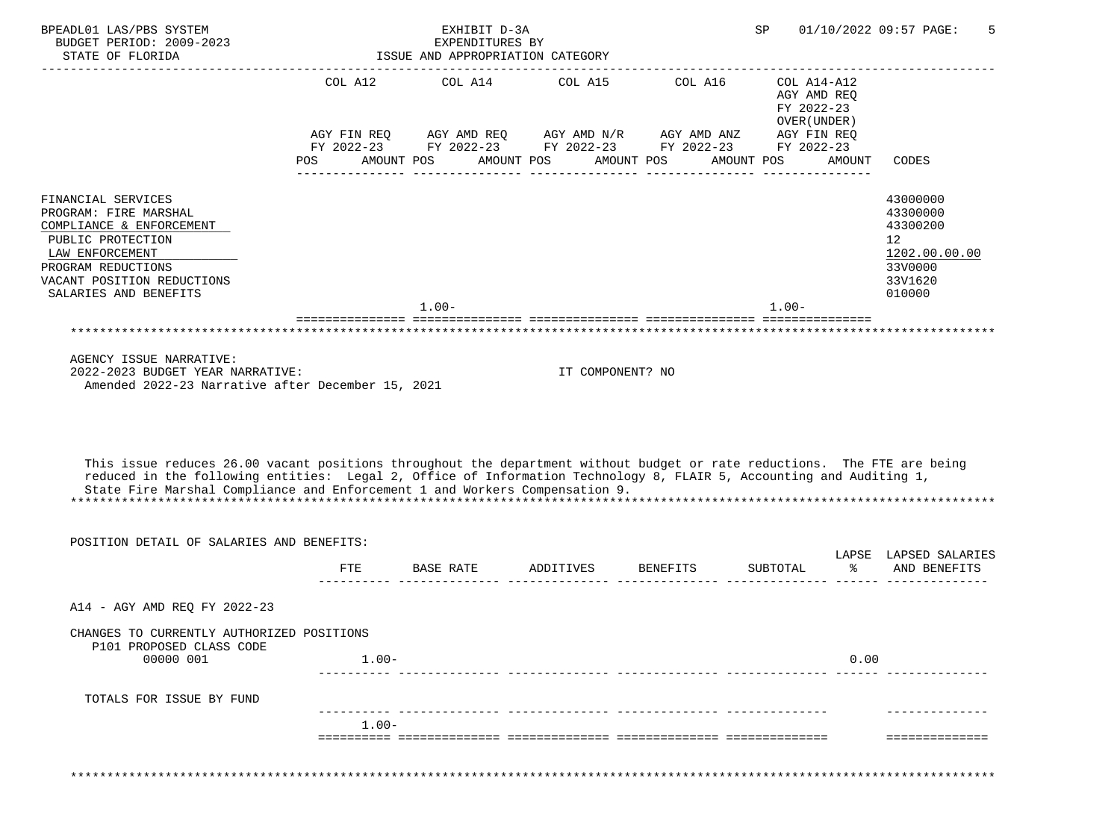| STATE OF FLORIDA                                                                                                                                                                                   |                       | EXHIBIT D-3A<br>EXPENDITURES BY<br>ISSUE AND APPROPRIATION CATEGORY                                                                  |                       |                       | SP                       |                                                                     | 01/10/2022 09:57 PAGE:<br>5                                                                          |
|----------------------------------------------------------------------------------------------------------------------------------------------------------------------------------------------------|-----------------------|--------------------------------------------------------------------------------------------------------------------------------------|-----------------------|-----------------------|--------------------------|---------------------------------------------------------------------|------------------------------------------------------------------------------------------------------|
|                                                                                                                                                                                                    | COL A12<br><b>POS</b> | COL A14<br>AGY FIN REQ AGY AMD REQ AGY AMD $N/R$ AGY AMD ANZ<br>FY 2022-23 FY 2022-23 FY 2022-23 FY 2022-23 FY 2022-23<br>AMOUNT POS | COL A15<br>AMOUNT POS | COL A16<br>AMOUNT POS | FY 2022-23<br>AMOUNT POS | COL A14-A12<br>AGY AMD REQ<br>OVER (UNDER)<br>AGY FIN REQ<br>AMOUNT | CODES                                                                                                |
| FINANCIAL SERVICES<br>PROGRAM: FIRE MARSHAL<br>COMPLIANCE & ENFORCEMENT<br>PUBLIC PROTECTION<br>LAW ENFORCEMENT<br>PROGRAM REDUCTIONS<br>VACANT POSITION REDUCTIONS<br>SALARIES AND BENEFITS       |                       | $1.00 -$                                                                                                                             |                       |                       | $1.00 -$                 |                                                                     | 43000000<br>43300000<br>43300200<br>12 <sup>°</sup><br>1202.00.00.00<br>33V0000<br>33V1620<br>010000 |
| ***********************************                                                                                                                                                                |                       |                                                                                                                                      |                       |                       |                          |                                                                     |                                                                                                      |
| AGENCY ISSUE NARRATIVE:<br>2022-2023 BUDGET YEAR NARRATIVE:<br>Amended 2022-23 Narrative after December 15, 2021                                                                                   |                       |                                                                                                                                      | IT COMPONENT? NO      |                       |                          |                                                                     |                                                                                                      |
| This issue reduces 26.00 vacant positions throughout the department without budget or rate reductions. The FTE are being                                                                           |                       |                                                                                                                                      |                       |                       |                          |                                                                     |                                                                                                      |
| reduced in the following entities: Legal 2, Office of Information Technology 8, FLAIR 5, Accounting and Auditing 1,<br>State Fire Marshal Compliance and Enforcement 1 and Workers Compensation 9. |                       |                                                                                                                                      |                       |                       |                          |                                                                     |                                                                                                      |
| POSITION DETAIL OF SALARIES AND BENEFITS:                                                                                                                                                          |                       |                                                                                                                                      |                       |                       |                          |                                                                     |                                                                                                      |
|                                                                                                                                                                                                    | <b>FTE</b>            | BASE RATE                                                                                                                            | ADDITIVES             | <b>BENEFITS</b>       | SUBTOTAL                 | $\approx$                                                           | LAPSE LAPSED SALARIES<br>AND BENEFITS                                                                |
| A14 - AGY AMD REO FY 2022-23                                                                                                                                                                       |                       |                                                                                                                                      |                       |                       |                          |                                                                     |                                                                                                      |
| CHANGES TO CURRENTLY AUTHORIZED POSITIONS<br>P101 PROPOSED CLASS CODE<br>00000 001                                                                                                                 | $1.00 -$              |                                                                                                                                      |                       |                       |                          | 0.00                                                                |                                                                                                      |
| TOTALS FOR ISSUE BY FUND                                                                                                                                                                           |                       |                                                                                                                                      |                       |                       |                          |                                                                     |                                                                                                      |
|                                                                                                                                                                                                    | $1.00 -$              |                                                                                                                                      |                       |                       |                          |                                                                     |                                                                                                      |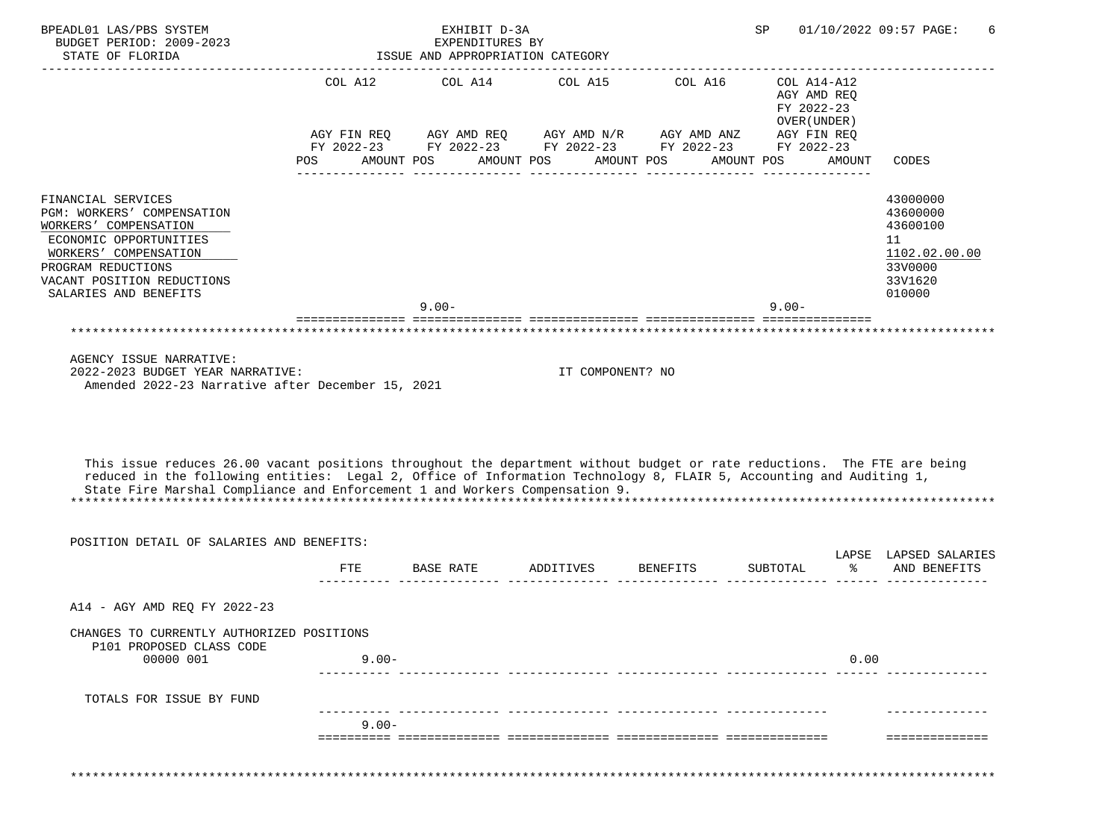|                                                                                                                                                                                                                                                                                                                                                                                                                                                    |          | COL A12 COL A14                                                                                                           |                       | COL A15 COL A16 | ------------------<br>COL A14-A12                                      |        |                                                                                         |
|----------------------------------------------------------------------------------------------------------------------------------------------------------------------------------------------------------------------------------------------------------------------------------------------------------------------------------------------------------------------------------------------------------------------------------------------------|----------|---------------------------------------------------------------------------------------------------------------------------|-----------------------|-----------------|------------------------------------------------------------------------|--------|-----------------------------------------------------------------------------------------|
|                                                                                                                                                                                                                                                                                                                                                                                                                                                    | POS      | AGY FIN REQ AGY AMD REQ AGY AMD $N/R$ AGY AMD ANZ<br>FY 2022-23 FY 2022-23 FY 2022-23 FY 2022-23 FY 2022-23<br>AMOUNT POS | AMOUNT POS AMOUNT POS |                 | AGY AMD REO<br>FY 2022-23<br>OVER (UNDER)<br>AGY FIN REQ<br>AMOUNT POS | AMOUNT | CODES                                                                                   |
| FINANCIAL SERVICES<br>PGM: WORKERS' COMPENSATION<br>WORKERS' COMPENSATION<br>ECONOMIC OPPORTUNITIES<br>WORKERS' COMPENSATION<br>PROGRAM REDUCTIONS<br>VACANT POSITION REDUCTIONS<br>SALARIES AND BENEFITS                                                                                                                                                                                                                                          |          | $9.00 -$                                                                                                                  |                       |                 | $9.00 -$                                                               |        | 43000000<br>43600000<br>43600100<br>11<br>1102.02.00.00<br>33V0000<br>33V1620<br>010000 |
|                                                                                                                                                                                                                                                                                                                                                                                                                                                    |          |                                                                                                                           |                       |                 |                                                                        |        |                                                                                         |
| AGENCY ISSUE NARRATIVE:<br>2022-2023 BUDGET YEAR NARRATIVE:<br>Amended 2022-23 Narrative after December 15, 2021<br>This issue reduces 26.00 vacant positions throughout the department without budget or rate reductions. The FTE are being<br>reduced in the following entities: Legal 2, Office of Information Technology 8, FLAIR 5, Accounting and Auditing 1,<br>State Fire Marshal Compliance and Enforcement 1 and Workers Compensation 9. |          |                                                                                                                           | IT COMPONENT? NO      |                 |                                                                        |        |                                                                                         |
| POSITION DETAIL OF SALARIES AND BENEFITS:                                                                                                                                                                                                                                                                                                                                                                                                          |          |                                                                                                                           |                       |                 |                                                                        |        |                                                                                         |
|                                                                                                                                                                                                                                                                                                                                                                                                                                                    | FTE      | BASE RATE                                                                                                                 | ADDITIVES             | BENEFITS        | SUBTOTAL<br><u> ------ -------------- -----</u>                        | ిన     | LAPSE LAPSED SALARIES<br>AND BENEFITS                                                   |
| A14 - AGY AMD REQ FY 2022-23                                                                                                                                                                                                                                                                                                                                                                                                                       |          |                                                                                                                           |                       |                 |                                                                        |        |                                                                                         |
| CHANGES TO CURRENTLY AUTHORIZED POSITIONS<br>P101 PROPOSED CLASS CODE<br>00000 001                                                                                                                                                                                                                                                                                                                                                                 | $9.00 -$ |                                                                                                                           |                       |                 |                                                                        | 0.00   |                                                                                         |
|                                                                                                                                                                                                                                                                                                                                                                                                                                                    |          |                                                                                                                           |                       |                 |                                                                        |        |                                                                                         |
| TOTALS FOR ISSUE BY FUND                                                                                                                                                                                                                                                                                                                                                                                                                           |          |                                                                                                                           |                       |                 |                                                                        |        |                                                                                         |
|                                                                                                                                                                                                                                                                                                                                                                                                                                                    | $9.00 -$ |                                                                                                                           |                       |                 |                                                                        |        |                                                                                         |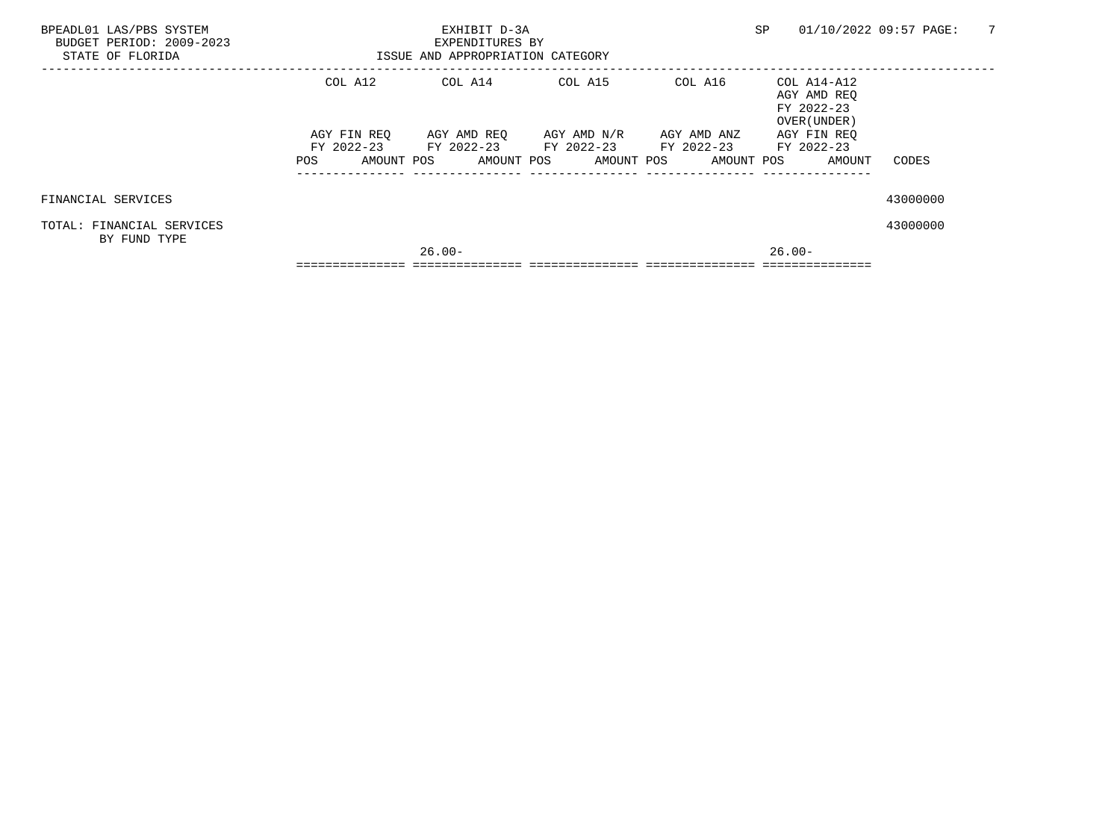| BPEADL01 LAS/PBS SYSTEM<br>BUDGET PERIOD: 2009-2023<br>STATE OF FLORIDA |                        | EXHIBIT D-3A<br>EXPENDITURES BY<br>ISSUE AND APPROPRIATION CATEGORY |                                                                  |                                                        | SP                                                                      | 7<br>01/10/2022 09:57 PAGE: |
|-------------------------------------------------------------------------|------------------------|---------------------------------------------------------------------|------------------------------------------------------------------|--------------------------------------------------------|-------------------------------------------------------------------------|-----------------------------|
|                                                                         | COL A12<br>AGY FIN REO |                                                                     | COL A14 COL A15<br>AGY AMD REO      AGY AMD N/R      AGY AMD ANZ | COL A16                                                | COL A14-A12<br>AGY AMD REO<br>FY 2022-23<br>OVER (UNDER)<br>AGY FIN REO |                             |
|                                                                         |                        |                                                                     |                                                                  | FY 2022-23 FY 2022-23 FY 2022-23 FY 2022-23 FY 2022-23 |                                                                         |                             |
|                                                                         |                        |                                                                     |                                                                  |                                                        | POS AMOUNT POS AMOUNT POS AMOUNT POS AMOUNT POS AMOUNT                  | CODES                       |
| FINANCIAL SERVICES                                                      |                        |                                                                     |                                                                  |                                                        |                                                                         | 43000000                    |
| TOTAL: FINANCIAL SERVICES<br>BY FUND TYPE                               |                        |                                                                     |                                                                  |                                                        |                                                                         | 43000000                    |
|                                                                         |                        | $26.00 -$                                                           |                                                                  |                                                        | 26.00-                                                                  |                             |
|                                                                         |                        |                                                                     |                                                                  |                                                        |                                                                         |                             |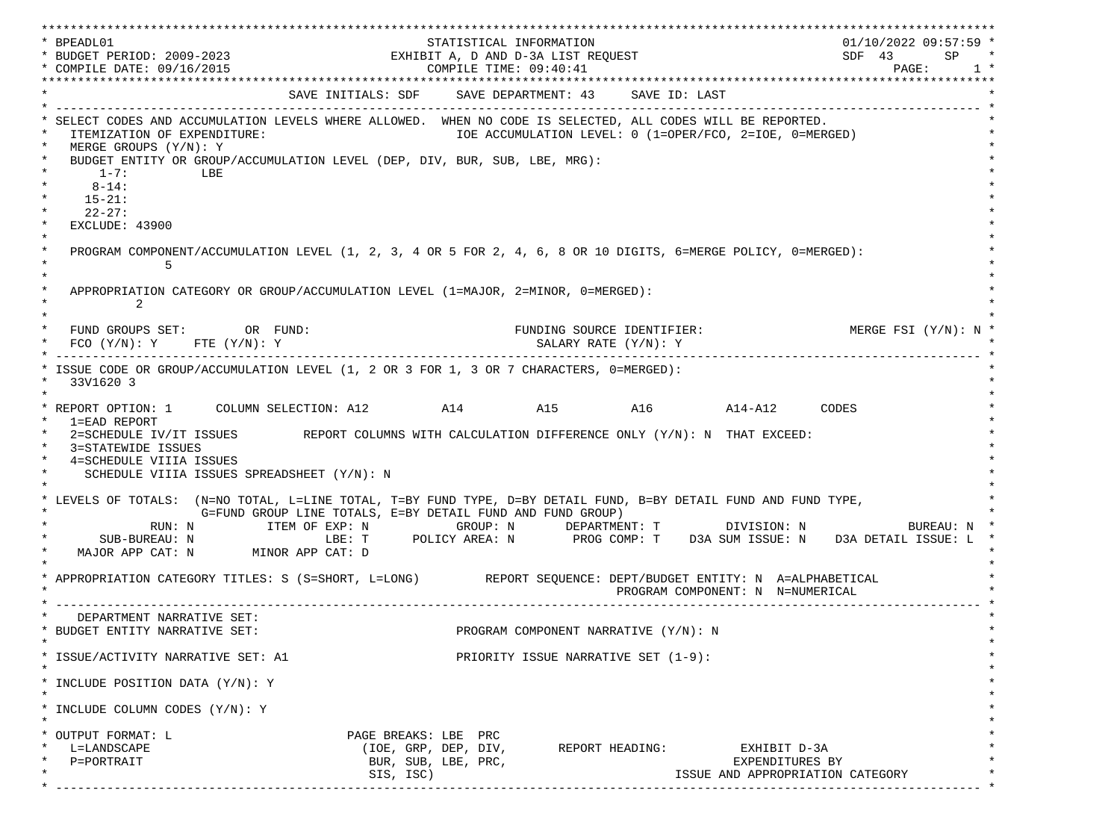\*\*\*\*\*\*\*\*\*\*\*\*\*\*\*\*\*\*\*\*\*\*\*\*\*\*\*\*\*\*\*\*\*\*\*\*\*\*\*\*\*\*\*\*\*\*\*\*\*\*\*\*\*\*\*\*\*\*\*\*\*\*\*\*\*\*\*\*\*\*\*\*\*\*\*\*\*\*\*\*\*\*\*\*\*\*\*\*\*\*\*\*\*\*\*\*\*\*\*\*\*\*\*\*\*\*\*\*\*\*\*\*\*\*\*\*\*\*\*\*\*\*\*\*\*\*\*\*\*\*\* \* BPEADL01 STATISTICAL INFORMATION 01/10/2022 09:57:59 \* \* BUDGET PERIOD: 2009-2023 EXHIBIT A, D AND D-3A LIST REQUEST SDF 43 SP \* \* COMPILE DATE: 09/16/2015 2010 2020 2020 COMPILE TIME: 09:40:41 \*\*\*\*\*\*\*\*\*\*\*\*\*\*\*\*\*\*\*\*\*\*\*\*\*\*\*\*\*\*\*\*\*\*\*\*\*\*\*\*\*\*\*\*\*\*\*\*\*\*\*\*\*\*\*\*\*\*\*\*\*\*\*\*\*\*\*\*\*\*\*\*\*\*\*\*\*\*\*\*\*\*\*\*\*\*\*\*\*\*\*\*\*\*\*\*\*\*\*\*\*\*\*\*\*\*\*\*\*\*\*\*\*\*\*\*\*\*\*\*\*\*\*\*\*\*\*\*\*\*\* SAVE INITIALS: SDF SAVE DEPARTMENT: 43 SAVE ID: LAST \* ------------------------------------------------------------------------------------------------------------------------------- \* SELECT CODES AND ACCUMULATION LEVELS WHERE ALLOWED. WHEN NO CODE IS SELECTED, ALL CODES WILL BE REPORTED. ITEMIZATION OF EXPENDITURE:  $\overline{10E}$  accumulation level: 0 (1=OPER/FCO, 2=IOE, 0=MERGED)  $MERGE$  GROUPS  $(Y/N): Y$ BUDGET ENTITY OR GROUP/ACCUMULATION LEVEL (DEP, DIV, BUR, SUB, LBE, MRG):  $*$  1-7: LBE  $*$  $*$  8-14:  $*$  $*$  15-21:  $*$  $*$  22-27: \* \* EXCLUDE: 43900 \*  $\star$   $\star$  \* PROGRAM COMPONENT/ACCUMULATION LEVEL (1, 2, 3, 4 OR 5 FOR 2, 4, 6, 8 OR 10 DIGITS, 6=MERGE POLICY, 0=MERGED): \*  $\star$  5  $\star$  $\star$   $\star$ APPROPRIATION CATEGORY OR GROUP/ACCUMULATION LEVEL (1=MAJOR, 2=MINOR, 0=MERGED):  $\star$  2  $\star$  $\star$   $\star$ FUND GROUPS SET: OR FUND: THE SOURCE IDENTIFIER: MERGE FSI (Y/N): N  $FCO$  (Y/N): Y  $FTE$  (Y/N): Y  $SALARY$  RATE (Y/N): Y \* ------------------------------------------------------------------------------------------------------------------------------- \* \* ISSUE CODE OR GROUP/ACCUMULATION LEVEL (1, 2 OR 3 FOR 1, 3 OR 7 CHARACTERS, 0=MERGED): \* \* 33V1620 3 \*  $\star$   $\star$  \* REPORT OPTION: 1 COLUMN SELECTION: A12 A14 A15 A16 A14-A12 CODES \* \* 1=EAD REPORT \* 2=SCHEDULE IV/IT ISSUES REPORT COLUMNS WITH CALCULATION DIFFERENCE ONLY (Y/N): N THAT EXCEED: 3=STATEWIDE ISSUES 4=SCHEDULE VIIIA ISSUES SCHEDULE VIIIA ISSUES SPREADSHEET (Y/N): N \* \* \* LEVELS OF TOTALS: (N=NO TOTAL, L=LINE TOTAL, T=BY FUND TYPE, D=BY DETAIL FUND, B=BY DETAIL FUND AND FUND TYPE, \* G=FUND GROUP LINE TOTALS, E=BY DETAIL FUND AND FUND GROUP) \* RUN: N ITEM OF EXP: N GROUP: N DEPARTMENT: T DIVISION: N BUREAU: N \* \* SUB-BUREAU: N LBE: T POLICY AREA: N PROG COMP: T D3A SUM ISSUE: N D3A DETAIL ISSUE: L \* MAJOR APP CAT: N MINOR APP CAT: D \* \* APPROPRIATION CATEGORY TITLES: S (S=SHORT, L=LONG) REPORT SEQUENCE: DEPT/BUDGET ENTITY: N A=ALPHABETICAL PROGRAM COMPONENT: N N=NUMERICAL \* ------------------------------------------------------------------------------------------------------------------------------- \* DEPARTMENT NARRATIVE SET:<br>BUDGET ENTITY NARRATIVE SET: PROGRAM COMPONENT NARRATIVE (Y/N): N \* \* \* ISSUE/ACTIVITY NARRATIVE SET: A1 PRIORITY ISSUE NARRATIVE SET (1-9): \*  $\star$   $\star$  \* INCLUDE POSITION DATA (Y/N): Y \* \* \* INCLUDE COLUMN CODES  $(Y/N): Y$  \* \* \* OUTPUT FORMAT: L PAGE BREAKS: LBE PRC \* \* L=LANDSCAPE (IOE, GRP, DEP, DIV, REPORT HEADING: EXHIBIT D-3A \* \* P=PORTRAIT BUR, SUB, LBE, PRC, EXPENDITURES BY \* SIS, ISC) ISSUE AND APPROPRIATION CATEGORY \* ------------------------------------------------------------------------------------------------------------------------------- \*